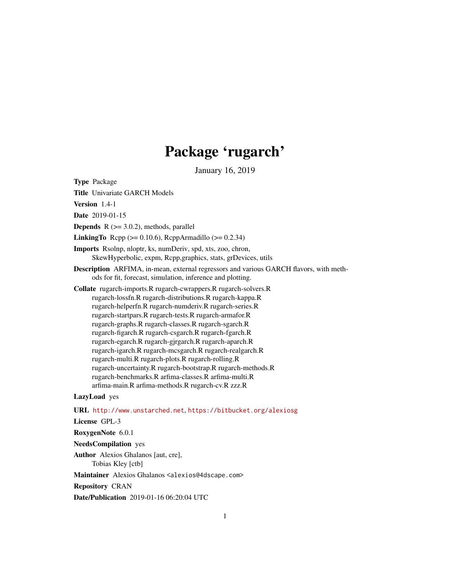# Package 'rugarch'

January 16, 2019

Type Package

Title Univariate GARCH Models

Version 1.4-1

Date 2019-01-15

**Depends**  $R$  ( $>= 3.0.2$ ), methods, parallel

**LinkingTo** Rcpp ( $>= 0.10.6$ ), RcppArmadillo ( $>= 0.2.34$ )

Imports Rsolnp, nloptr, ks, numDeriv, spd, xts, zoo, chron, SkewHyperbolic, expm, Rcpp,graphics, stats, grDevices, utils

Description ARFIMA, in-mean, external regressors and various GARCH flavors, with methods for fit, forecast, simulation, inference and plotting.

Collate rugarch-imports.R rugarch-cwrappers.R rugarch-solvers.R rugarch-lossfn.R rugarch-distributions.R rugarch-kappa.R rugarch-helperfn.R rugarch-numderiv.R rugarch-series.R rugarch-startpars.R rugarch-tests.R rugarch-armafor.R rugarch-graphs.R rugarch-classes.R rugarch-sgarch.R rugarch-figarch.R rugarch-csgarch.R rugarch-fgarch.R rugarch-egarch.R rugarch-gjrgarch.R rugarch-aparch.R rugarch-igarch.R rugarch-mcsgarch.R rugarch-realgarch.R rugarch-multi.R rugarch-plots.R rugarch-rolling.R rugarch-uncertainty.R rugarch-bootstrap.R rugarch-methods.R rugarch-benchmarks.R arfima-classes.R arfima-multi.R arfima-main.R arfima-methods.R rugarch-cv.R zzz.R

# LazyLoad yes

URL <http://www.unstarched.net>, <https://bitbucket.org/alexiosg>

License GPL-3

RoxygenNote 6.0.1

NeedsCompilation yes

Author Alexios Ghalanos [aut, cre], Tobias Kley [ctb]

Maintainer Alexios Ghalanos <alexios@4dscape.com>

Repository CRAN

Date/Publication 2019-01-16 06:20:04 UTC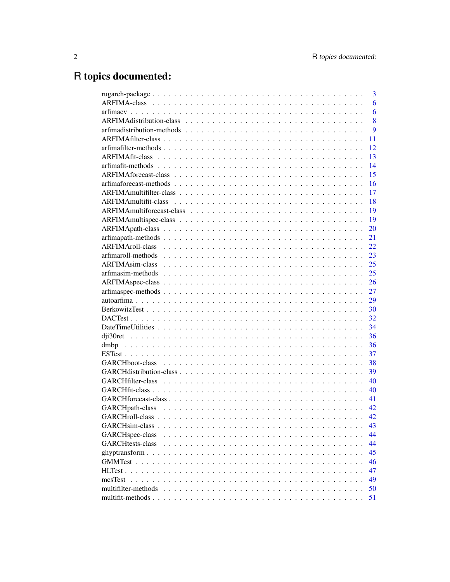# R topics documented:

|                             | 3  |
|-----------------------------|----|
|                             | 6  |
|                             | 6  |
|                             | 8  |
|                             | 9  |
|                             | 11 |
|                             | 12 |
|                             | 13 |
|                             | 14 |
|                             | 15 |
|                             | 16 |
|                             | 17 |
|                             | 18 |
|                             | 19 |
|                             | 19 |
|                             | 20 |
|                             | 21 |
|                             | 22 |
|                             | 23 |
|                             | 25 |
|                             | 25 |
|                             | 26 |
|                             | 27 |
|                             | 29 |
|                             | 30 |
|                             | 32 |
|                             | 34 |
|                             | 36 |
|                             | 36 |
|                             | 37 |
|                             | 38 |
|                             | 39 |
|                             | 40 |
|                             | 40 |
|                             | 41 |
|                             | 42 |
|                             | 42 |
|                             | 43 |
| GARCH <sub>spec-class</sub> | 44 |
| <b>GARCHtests-class</b>     | 44 |
|                             | 45 |
|                             | 46 |
|                             | 47 |
| mcsTest                     | 49 |
|                             | 50 |
|                             | 51 |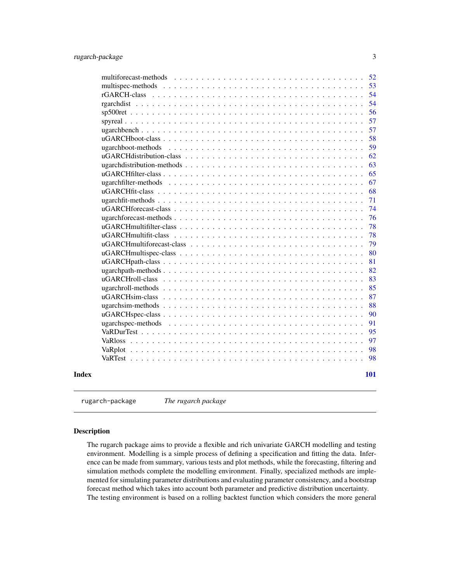<span id="page-2-0"></span>

|       | 52<br>multiforecast-methods |
|-------|-----------------------------|
|       | 53<br>multispec-methods     |
|       | 54                          |
|       | 54                          |
|       | 56                          |
|       | 57                          |
|       | 57                          |
|       | 58                          |
|       | 59<br>ugarchboot-methods    |
|       | 62                          |
|       | 63                          |
|       | 65                          |
|       | 67<br>ugarchfilter-methods  |
|       | 68                          |
|       | 71                          |
|       | 74                          |
|       | 76                          |
|       | 78                          |
|       | 78<br>uGARCHmultifit-class  |
|       | 79                          |
|       | 80                          |
|       | 81                          |
|       | 82<br>ugarchpath-methods    |
|       | uGARCHroll-class<br>83      |
|       | 85<br>ugarchroll-methods    |
|       | uGARCHsim-class<br>87       |
|       | 88                          |
|       | 90                          |
|       | 91<br>ugarchspec-methods    |
|       | 95                          |
|       | 97                          |
|       | 98<br>VaRplot               |
|       | 98                          |
|       |                             |
| Index | 101                         |
|       |                             |

rugarch-package *The rugarch package*

# Description

The rugarch package aims to provide a flexible and rich univariate GARCH modelling and testing environment. Modelling is a simple process of defining a specification and fitting the data. Inference can be made from summary, various tests and plot methods, while the forecasting, filtering and simulation methods complete the modelling environment. Finally, specialized methods are implemented for simulating parameter distributions and evaluating parameter consistency, and a bootstrap forecast method which takes into account both parameter and predictive distribution uncertainty. The testing environment is based on a rolling backtest function which considers the more general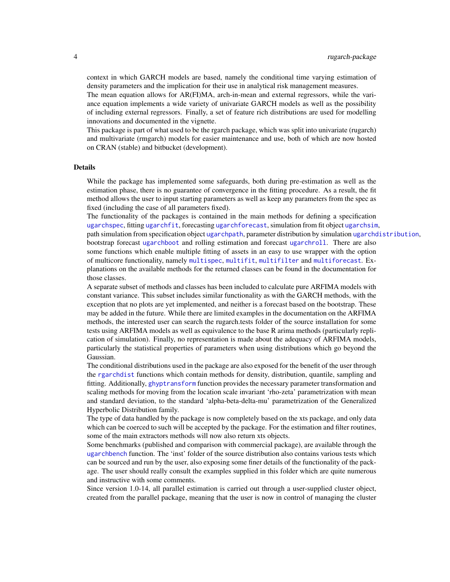context in which GARCH models are based, namely the conditional time varying estimation of density parameters and the implication for their use in analytical risk management measures.

The mean equation allows for AR(FI)MA, arch-in-mean and external regressors, while the variance equation implements a wide variety of univariate GARCH models as well as the possibility of including external regressors. Finally, a set of feature rich distributions are used for modelling innovations and documented in the vignette.

This package is part of what used to be the rgarch package, which was split into univariate (rugarch) and multivariate (rmgarch) models for easier maintenance and use, both of which are now hosted on CRAN (stable) and bitbucket (development).

#### Details

While the package has implemented some safeguards, both during pre-estimation as well as the estimation phase, there is no guarantee of convergence in the fitting procedure. As a result, the fit method allows the user to input starting parameters as well as keep any parameters from the spec as fixed (including the case of all parameters fixed).

The functionality of the packages is contained in the main methods for defining a specification [ugarchspec](#page-90-1), fitting [ugarchfit](#page-70-1), forecasting [ugarchforecast](#page-75-1), simulation from fit object [ugarchsim](#page-87-1), path simulation from specification object [ugarchpath](#page-81-1), parameter distribution by simulation [ugarchdistribution](#page-62-1), bootstrap forecast [ugarchboot](#page-58-1) and rolling estimation and forecast [ugarchroll](#page-84-1). There are also some functions which enable multiple fitting of assets in an easy to use wrapper with the option of multicore functionality, namely [multispec](#page-52-1), [multifit](#page-50-1), [multifilter](#page-49-1) and [multiforecast](#page-51-1). Explanations on the available methods for the returned classes can be found in the documentation for those classes.

A separate subset of methods and classes has been included to calculate pure ARFIMA models with constant variance. This subset includes similar functionality as with the GARCH methods, with the exception that no plots are yet implemented, and neither is a forecast based on the bootstrap. These may be added in the future. While there are limited examples in the documentation on the ARFIMA methods, the interested user can search the rugarch.tests folder of the source installation for some tests using ARFIMA models as well as equivalence to the base R arima methods (particularly replication of simulation). Finally, no representation is made about the adequacy of ARFIMA models, particularly the statistical properties of parameters when using distributions which go beyond the Gaussian.

The conditional distributions used in the package are also exposed for the benefit of the user through the [rgarchdist](#page-53-1) functions which contain methods for density, distribution, quantile, sampling and fitting. Additionally, [ghyptransform](#page-44-1) function provides the necessary parameter transformation and scaling methods for moving from the location scale invariant 'rho-zeta' parametrization with mean and standard deviation, to the standard 'alpha-beta-delta-mu' parametrization of the Generalized Hyperbolic Distribution family.

The type of data handled by the package is now completely based on the xts package, and only data which can be coerced to such will be accepted by the package. For the estimation and filter routines, some of the main extractors methods will now also return xts objects.

Some benchmarks (published and comparison with commercial package), are available through the [ugarchbench](#page-56-1) function. The 'inst' folder of the source distribution also contains various tests which can be sourced and run by the user, also exposing some finer details of the functionality of the package. The user should really consult the examples supplied in this folder which are quite numerous and instructive with some comments.

Since version 1.0-14, all parallel estimation is carried out through a user-supplied cluster object, created from the parallel package, meaning that the user is now in control of managing the cluster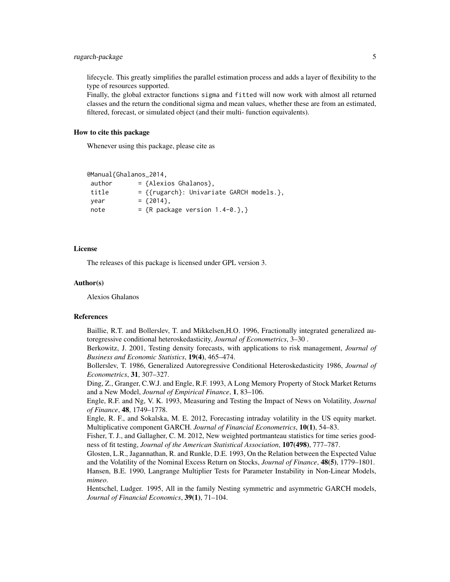lifecycle. This greatly simplifies the parallel estimation process and adds a layer of flexibility to the type of resources supported.

Finally, the global extractor functions sigma and fitted will now work with almost all returned classes and the return the conditional sigma and mean values, whether these are from an estimated, filtered, forecast, or simulated object (and their multi- function equivalents).

#### How to cite this package

Whenever using this package, please cite as

```
@Manual{Ghalanos_2014,
```

| author | $=$ {Alexios Ghalanos},                    |
|--------|--------------------------------------------|
| title  | $=$ {{rugarch}: Univariate GARCH models.}, |
| vear   | $=$ {2014}.                                |
| note   | = ${R}$ package version 1.4-0.},}          |

#### **License**

The releases of this package is licensed under GPL version 3.

### Author(s)

Alexios Ghalanos

#### References

Baillie, R.T. and Bollerslev, T. and Mikkelsen,H.O. 1996, Fractionally integrated generalized autoregressive conditional heteroskedasticity, *Journal of Econometrics*, 3–30 .

Berkowitz, J. 2001, Testing density forecasts, with applications to risk management, *Journal of Business and Economic Statistics*, 19(4), 465–474.

Bollerslev, T. 1986, Generalized Autoregressive Conditional Heteroskedasticity 1986, *Journal of Econometrics*, 31, 307–327.

Ding, Z., Granger, C.W.J. and Engle, R.F. 1993, A Long Memory Property of Stock Market Returns and a New Model, *Journal of Empirical Finance*, 1, 83–106.

Engle, R.F. and Ng, V. K. 1993, Measuring and Testing the Impact of News on Volatility, *Journal of Finance*, 48, 1749–1778.

Engle, R. F., and Sokalska, M. E. 2012, Forecasting intraday volatility in the US equity market. Multiplicative component GARCH. *Journal of Financial Econometrics*, 10(1), 54–83.

Fisher, T. J., and Gallagher, C. M. 2012, New weighted portmanteau statistics for time series goodness of fit testing, *Journal of the American Statistical Association*, 107(498), 777–787.

Glosten, L.R., Jagannathan, R. and Runkle, D.E. 1993, On the Relation between the Expected Value and the Volatility of the Nominal Excess Return on Stocks, *Journal of Finance*, 48(5), 1779–1801. Hansen, B.E. 1990, Langrange Multiplier Tests for Parameter Instability in Non-Linear Models, *mimeo*.

Hentschel, Ludger. 1995, All in the family Nesting symmetric and asymmetric GARCH models, *Journal of Financial Economics*, 39(1), 71–104.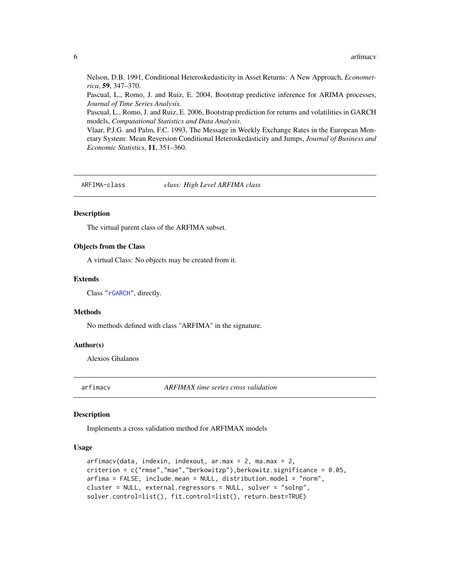Nelson, D.B. 1991, Conditional Heteroskedasticity in Asset Returns: A New Approach, *Econometrica*, 59, 347–370.

Pascual, L., Romo, J. and Ruiz, E. 2004, Bootstrap predictive inference for ARIMA processes, *Journal of Time Series Analysis*.

Pascual, L., Romo, J. and Ruiz, E. 2006, Bootstrap prediction for returns and volatilities in GARCH models, *Computational Statistics and Data Analysis*.

Vlaar, P.J.G. and Palm, F.C. 1993, The Message in Weekly Exchange Rates in the European Monetary System: Mean Reversion Conditional Heteroskedasticity and Jumps, *Journal of Business and Economic Statistics*, 11, 351–360.

<span id="page-5-1"></span>ARFIMA-class *class: High Level ARFIMA class*

# **Description**

The virtual parent class of the ARFIMA subset.

#### Objects from the Class

A virtual Class: No objects may be created from it.

#### Extends

Class ["rGARCH"](#page-53-2), directly.

#### Methods

No methods defined with class "ARFIMA" in the signature.

#### Author(s)

Alexios Ghalanos

arfimacv *ARFIMAX time series cross validation*

#### **Description**

Implements a cross validation method for ARFIMAX models

#### Usage

```
arfimacv(data, indexin, indexout, ar.max = 2, ma.max = 2,
criterion = c("rmse","mae","berkowitzp"),berkowitz.significance = 0.05,
arfima = FALSE, include.mean = NULL, distribution.model = "norm",
cluster = NULL, external.regressors = NULL, solver = "solnp",
solver.control=list(), fit.control=list(), return.best=TRUE)
```
<span id="page-5-0"></span>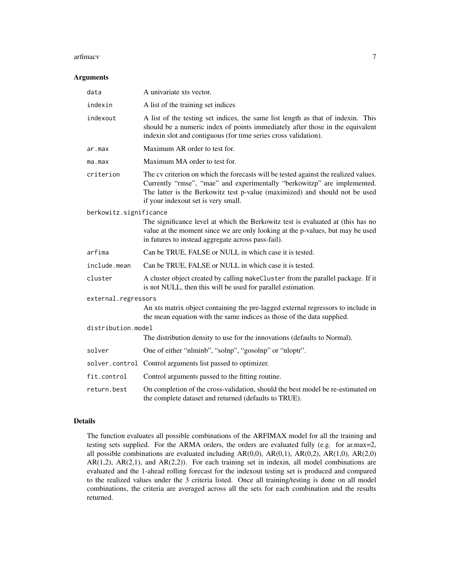#### arfimacv 7

#### Arguments

| data                   | A univariate xts vector.                                                                                                                                                                                                                                                              |  |
|------------------------|---------------------------------------------------------------------------------------------------------------------------------------------------------------------------------------------------------------------------------------------------------------------------------------|--|
| indexin                | A list of the training set indices                                                                                                                                                                                                                                                    |  |
| indexout               | A list of the testing set indices, the same list length as that of indexin. This<br>should be a numeric index of points immediately after those in the equivalent<br>indexin slot and contiguous (for time series cross validation).                                                  |  |
| ar.max                 | Maximum AR order to test for.                                                                                                                                                                                                                                                         |  |
| ma.max                 | Maximum MA order to test for.                                                                                                                                                                                                                                                         |  |
| criterion              | The cv criterion on which the forecasts will be tested against the realized values.<br>Currently "rmse", "mae" and experimentally "berkowitzp" are implemented.<br>The latter is the Berkowitz test p-value (maximized) and should not be used<br>if your indexout set is very small. |  |
| berkowitz.significance |                                                                                                                                                                                                                                                                                       |  |
|                        | The significance level at which the Berkowitz test is evaluated at (this has no<br>value at the moment since we are only looking at the p-values, but may be used<br>in futures to instead aggregate across pass-fail).                                                               |  |
| arfima                 | Can be TRUE, FALSE or NULL in which case it is tested.                                                                                                                                                                                                                                |  |
| include.mean           | Can be TRUE, FALSE or NULL in which case it is tested.                                                                                                                                                                                                                                |  |
| cluster                | A cluster object created by calling makeCluster from the parallel package. If it<br>is not NULL, then this will be used for parallel estimation.                                                                                                                                      |  |
| external.regressors    |                                                                                                                                                                                                                                                                                       |  |
|                        | An xts matrix object containing the pre-lagged external regressors to include in<br>the mean equation with the same indices as those of the data supplied.                                                                                                                            |  |
| distribution.model     |                                                                                                                                                                                                                                                                                       |  |
|                        | The distribution density to use for the innovations (defaults to Normal).                                                                                                                                                                                                             |  |
| solver                 | One of either "nlminb", "solnp", "gosolnp" or "nloptr".                                                                                                                                                                                                                               |  |
|                        | solver.control Control arguments list passed to optimizer.                                                                                                                                                                                                                            |  |
| fit.control            | Control arguments passed to the fitting routine.                                                                                                                                                                                                                                      |  |
| return.best            | On completion of the cross-validation, should the best model be re-estimated on<br>the complete dataset and returned (defaults to TRUE).                                                                                                                                              |  |

#### Details

The function evaluates all possible combinations of the ARFIMAX model for all the training and testing sets supplied. For the ARMA orders, the orders are evaluated fully (e.g. for ar.max=2, all possible combinations are evaluated including  $AR(0,0)$ ,  $AR(0,1)$ ,  $AR(0,2)$ ,  $AR(1,0)$ ,  $AR(2,0)$  $AR(1,2)$ ,  $AR(2,1)$ , and  $AR(2,2)$ ). For each training set in indexin, all model combinations are evaluated and the 1-ahead rolling forecast for the indexout testing set is produced and compared to the realized values under the 3 criteria listed. Once all training/testing is done on all model combinations, the criteria are averaged across all the sets for each combination and the results returned.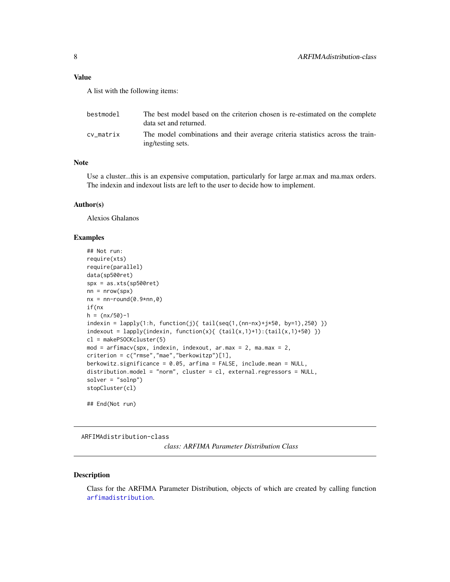# <span id="page-7-0"></span>Value

A list with the following items:

| bestmodel | The best model based on the criterion chosen is re-estimated on the complete<br>data set and returned. |
|-----------|--------------------------------------------------------------------------------------------------------|
| cv matrix | The model combinations and their average criteria statistics across the train-<br>ing/testing sets.    |

# Note

Use a cluster...this is an expensive computation, particularly for large ar.max and ma.max orders. The indexin and indexout lists are left to the user to decide how to implement.

#### Author(s)

Alexios Ghalanos

# Examples

```
## Not run:
require(xts)
require(parallel)
data(sp500ret)
spx = as.xts(sp500ret)
nn = nrow(spx)nx = nn-round(0.9*nn, 0)if(nx
h = (nx/50)-1indexin = \text{lapply}(1:h, function(j) {\text{ tail}}(seq(1, (nn-nx)+j*50, by=1), 250) )indexout = lapply(indevin, function(x) { (tail(x,1)+1):(tail(x,1)+50) })cl = makePSOCKcluster(5)
mod = \text{arfinacy}(\text{spx}, \text{indexin}, \text{indexout}, \text{ar.max} = 2, \text{max} = 2,criterion = c("rmse","mae","berkowitzp")[1],
berkowitz.significance = 0.05, arfima = FALSE, include.mean = NULL,
distribution.model = "norm", cluster = cl, external.regressors = NULL,
solver = "solnp")
stopCluster(cl)
## End(Not run)
```
<span id="page-7-1"></span>ARFIMAdistribution-class

*class: ARFIMA Parameter Distribution Class*

#### Description

Class for the ARFIMA Parameter Distribution, objects of which are created by calling function [arfimadistribution](#page-8-1).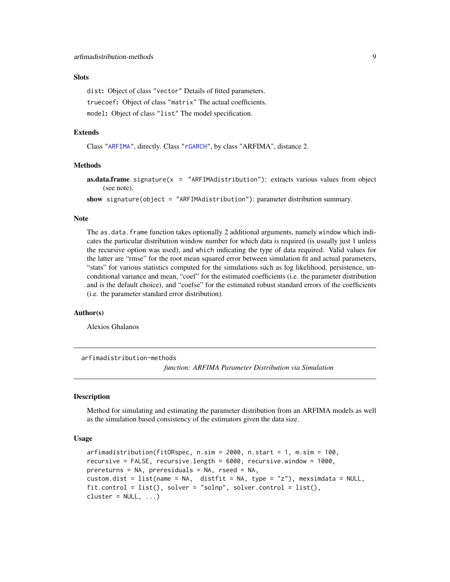# <span id="page-8-0"></span>**Slots**

dist: Object of class "vector" Details of fitted parameters. truecoef: Object of class "matrix" The actual coefficients. model: Object of class "list" The model specification.

#### Extends

Class ["ARFIMA"](#page-5-1), directly. Class ["rGARCH"](#page-53-2), by class "ARFIMA", distance 2.

## Methods

**as.data.frame** signature( $x =$  "ARFIMAdistribution"): extracts various values from object (see note).

show signature(object = "ARFIMAdistribution"): parameter distribution summary.

#### Note

The as.data. frame function takes optionally 2 additional arguments, namely window which indicates the particular distribution window number for which data is required (is usually just 1 unless the recursive option was used), and which indicating the type of data required. Valid values for the latter are "rmse" for the root mean squared error between simulation fit and actual parameters, "stats" for various statistics computed for the simulations such as log likelihood, persistence, unconditional variance and mean, "coef" for the estimated coefficients (i.e. the parameter distribution and is the default choice), and "coefse" for the estimated robust standard errors of the coefficients (i.e. the parameter standard error distribution).

#### Author(s)

Alexios Ghalanos

arfimadistribution-methods

*function: ARFIMA Parameter Distribution via Simulation*

### <span id="page-8-1"></span>Description

Method for simulating and estimating the parameter distribution from an ARFIMA models as well as the simulation based consistency of the estimators given the data size.

#### Usage

```
arfimadistribution(fitORspec, n.sim = 2000, n.start = 1, m.sim = 100,
recursive = FALSE, recursive.length = 6000, recursive.window = 1000,
prereturns = NA, preresiduals = NA, rseed = NA,
custom.dist = list(name = NA, distfit = NA, type = "z"), mexsimdata = NULL,
fit.control = list(), solver = "solnp", solver.control = list(),
cluster = NULL, ...
```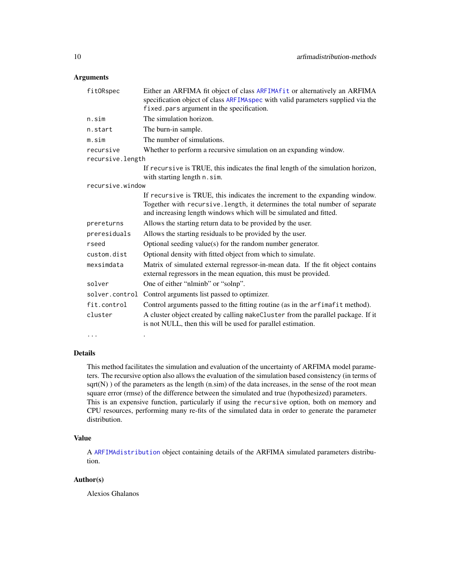# Arguments

| fitORspec        | Either an ARFIMA fit object of class ARFIMA fit or alternatively an ARFIMA<br>specification object of class ARFIMAspec with valid parameters supplied via the<br>fixed.pars argument in the specification.                     |
|------------------|--------------------------------------------------------------------------------------------------------------------------------------------------------------------------------------------------------------------------------|
| n.sim            | The simulation horizon.                                                                                                                                                                                                        |
| n.start          | The burn-in sample.                                                                                                                                                                                                            |
| m.sim            | The number of simulations.                                                                                                                                                                                                     |
| recursive        | Whether to perform a recursive simulation on an expanding window.                                                                                                                                                              |
| recursive.length |                                                                                                                                                                                                                                |
|                  | If recursive is TRUE, this indicates the final length of the simulation horizon,                                                                                                                                               |
|                  | with starting length n. sim.                                                                                                                                                                                                   |
| recursive.window |                                                                                                                                                                                                                                |
|                  | If recursive is TRUE, this indicates the increment to the expanding window.<br>Together with recursive.length, it determines the total number of separate<br>and increasing length windows which will be simulated and fitted. |
| prereturns       | Allows the starting return data to be provided by the user.                                                                                                                                                                    |
| preresiduals     | Allows the starting residuals to be provided by the user.                                                                                                                                                                      |
| rseed            | Optional seeding value(s) for the random number generator.                                                                                                                                                                     |
| custom.dist      | Optional density with fitted object from which to simulate.                                                                                                                                                                    |
| mexsimdata       | Matrix of simulated external regressor-in-mean data. If the fit object contains<br>external regressors in the mean equation, this must be provided.                                                                            |
| solver           | One of either "nlminb" or "solnp".                                                                                                                                                                                             |
| solver.control   | Control arguments list passed to optimizer.                                                                                                                                                                                    |
| fit.control      | Control arguments passed to the fitting routine (as in the arfimafit method).                                                                                                                                                  |
| cluster          | A cluster object created by calling makeCluster from the parallel package. If it<br>is not NULL, then this will be used for parallel estimation.                                                                               |
| $\cdots$         |                                                                                                                                                                                                                                |

#### Details

This method facilitates the simulation and evaluation of the uncertainty of ARFIMA model parameters. The recursive option also allows the evaluation of the simulation based consistency (in terms of  $sqrt(N)$ ) of the parameters as the length  $(n,sim)$  of the data increases, in the sense of the root mean square error (rmse) of the difference between the simulated and true (hypothesized) parameters. This is an expensive function, particularly if using the recursive option, both on memory and CPU resources, performing many re-fits of the simulated data in order to generate the parameter distribution.

#### Value

A [ARFIMAdistribution](#page-7-1) object containing details of the ARFIMA simulated parameters distribution.

# Author(s)

Alexios Ghalanos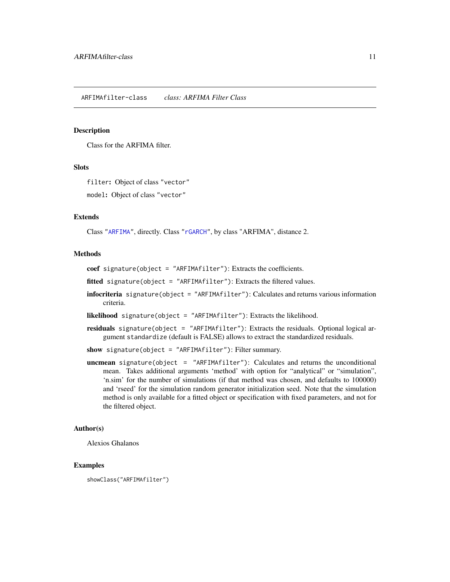#### <span id="page-10-1"></span><span id="page-10-0"></span>Description

Class for the ARFIMA filter.

# **Slots**

filter: Object of class "vector"

model: Object of class "vector"

#### Extends

Class ["ARFIMA"](#page-5-1), directly. Class ["rGARCH"](#page-53-2), by class "ARFIMA", distance 2.

# Methods

coef signature(object = "ARFIMAfilter"): Extracts the coefficients.

fitted signature(object = "ARFIMAfilter"): Extracts the filtered values.

infocriteria signature(object = "ARFIMAfilter"): Calculates and returns various information criteria.

likelihood signature(object = "ARFIMAfilter"): Extracts the likelihood.

residuals signature(object = "ARFIMAfilter"): Extracts the residuals. Optional logical argument standardize (default is FALSE) allows to extract the standardized residuals.

show signature(object = "ARFIMAfilter"): Filter summary.

uncmean signature(object = "ARFIMAfilter"): Calculates and returns the unconditional mean. Takes additional arguments 'method' with option for "analytical" or "simulation", 'n.sim' for the number of simulations (if that method was chosen, and defaults to 100000) and 'rseed' for the simulation random generator initialization seed. Note that the simulation method is only available for a fitted object or specification with fixed parameters, and not for the filtered object.

# Author(s)

Alexios Ghalanos

# Examples

showClass("ARFIMAfilter")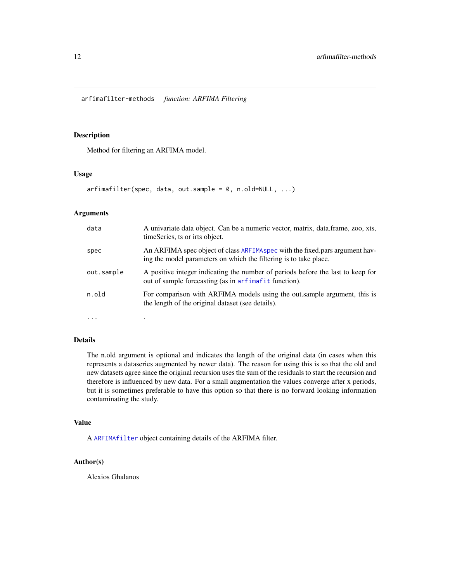<span id="page-11-0"></span>arfimafilter-methods *function: ARFIMA Filtering*

# Description

Method for filtering an ARFIMA model.

# Usage

arfimafilter(spec, data, out.sample = 0, n.old=NULL, ...)

#### Arguments

| data       | A univariate data object. Can be a numeric vector, matrix, data.frame, zoo, xts,<br>timeSeries, ts or irts object.                                |
|------------|---------------------------------------------------------------------------------------------------------------------------------------------------|
| spec       | An ARFIMA spec object of class ARFIMA spec with the fixed pars argument hav-<br>ing the model parameters on which the filtering is to take place. |
| out.sample | A positive integer indicating the number of periods before the last to keep for<br>out of sample forecasting (as in arfimafit function).          |
| n.old      | For comparison with ARFIMA models using the out.sample argument, this is<br>the length of the original dataset (see details).                     |
| $\cdots$   |                                                                                                                                                   |

# Details

The n.old argument is optional and indicates the length of the original data (in cases when this represents a dataseries augmented by newer data). The reason for using this is so that the old and new datasets agree since the original recursion uses the sum of the residuals to start the recursion and therefore is influenced by new data. For a small augmentation the values converge after x periods, but it is sometimes preferable to have this option so that there is no forward looking information contaminating the study.

#### Value

A [ARFIMAfilter](#page-10-1) object containing details of the ARFIMA filter.

#### Author(s)

Alexios Ghalanos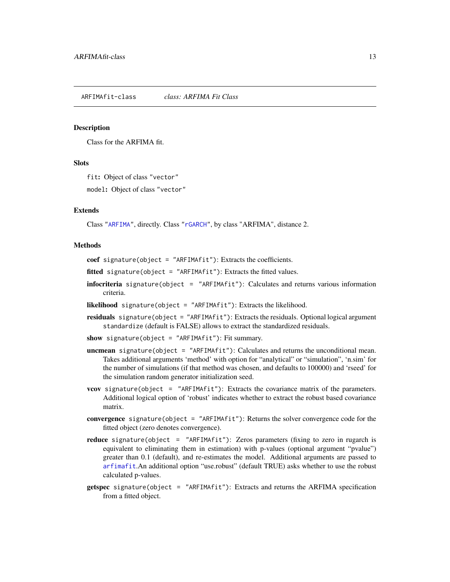#### <span id="page-12-1"></span><span id="page-12-0"></span>Description

Class for the ARFIMA fit.

#### **Slots**

fit: Object of class "vector"

model: Object of class "vector"

# Extends

Class ["ARFIMA"](#page-5-1), directly. Class ["rGARCH"](#page-53-2), by class "ARFIMA", distance 2.

#### Methods

coef signature(object = "ARFIMAfit"): Extracts the coefficients.

- fitted signature(object = "ARFIMAfit"): Extracts the fitted values.
- infocriteria signature(object = "ARFIMAfit"): Calculates and returns various information criteria.
- likelihood signature(object = "ARFIMAfit"): Extracts the likelihood.
- residuals signature(object = "ARFIMAfit"): Extracts the residuals. Optional logical argument standardize (default is FALSE) allows to extract the standardized residuals.
- show signature(object = "ARFIMAfit"): Fit summary.
- uncmean signature(object = "ARFIMAfit"): Calculates and returns the unconditional mean. Takes additional arguments 'method' with option for "analytical" or "simulation", 'n.sim' for the number of simulations (if that method was chosen, and defaults to 100000) and 'rseed' for the simulation random generator initialization seed.
- **vcov** signature(object = "ARFIMA $fit$ "): Extracts the covariance matrix of the parameters. Additional logical option of 'robust' indicates whether to extract the robust based covariance matrix.
- convergence signature(object = "ARFIMAfit"): Returns the solver convergence code for the fitted object (zero denotes convergence).
- reduce signature(object = "ARFIMAfit"): Zeros parameters (fixing to zero in rugarch is equivalent to eliminating them in estimation) with p-values (optional argument "pvalue") greater than 0.1 (default), and re-estimates the model. Additional arguments are passed to [arfimafit](#page-13-1).An additional option "use.robust" (default TRUE) asks whether to use the robust calculated p-values.
- getspec signature(object = "ARFIMAfit"): Extracts and returns the ARFIMA specification from a fitted object.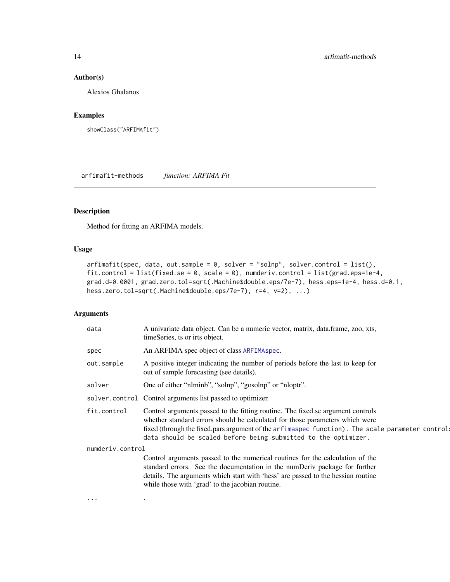# <span id="page-13-0"></span>Author(s)

Alexios Ghalanos

# Examples

```
showClass("ARFIMAfit")
```
arfimafit-methods *function: ARFIMA Fit*

# <span id="page-13-1"></span>Description

Method for fitting an ARFIMA models.

#### Usage

```
arfimafit(spec, data, out.sample = 0, solver = "solnp", solver.control = list(),
fit.control = list(fixed.se = 0, scale = 0), numderiv.control = list(grad.eps=1e-4,
grad.d=0.0001, grad.zero.tol=sqrt(.Machine$double.eps/7e-7), hess.eps=1e-4, hess.d=0.1,
hess.zero.tol=sqrt(.Machine$double.eps/7e-7), r=4, v=2), ...)
```
# Arguments

... .

| An ARFIMA spec object of class ARFIMA spec.<br>A positive integer indicating the number of periods before the last to keep for<br>out of sample forecasting (see details).<br>One of either "nlminb", "solnp", "gosolnp" or "nloptr".<br>solver.control Control arguments list passed to optimizer.<br>Control arguments passed to the fitting routine. The fixed se argument controls<br>whether standard errors should be calculated for those parameters which were<br>data should be scaled before being submitted to the optimizer.<br>numderiv.control<br>Control arguments passed to the numerical routines for the calculation of the<br>standard errors. See the documentation in the numDeriv package for further<br>details. The arguments which start with 'hess' are passed to the hessian routine<br>while those with 'grad' to the jacobian routine. | data        | A univariate data object. Can be a numeric vector, matrix, data.frame, zoo, xts,<br>timeSeries, ts or irts object. |
|---------------------------------------------------------------------------------------------------------------------------------------------------------------------------------------------------------------------------------------------------------------------------------------------------------------------------------------------------------------------------------------------------------------------------------------------------------------------------------------------------------------------------------------------------------------------------------------------------------------------------------------------------------------------------------------------------------------------------------------------------------------------------------------------------------------------------------------------------------------------|-------------|--------------------------------------------------------------------------------------------------------------------|
|                                                                                                                                                                                                                                                                                                                                                                                                                                                                                                                                                                                                                                                                                                                                                                                                                                                                     | spec        |                                                                                                                    |
|                                                                                                                                                                                                                                                                                                                                                                                                                                                                                                                                                                                                                                                                                                                                                                                                                                                                     | out.sample  |                                                                                                                    |
|                                                                                                                                                                                                                                                                                                                                                                                                                                                                                                                                                                                                                                                                                                                                                                                                                                                                     | solver      |                                                                                                                    |
|                                                                                                                                                                                                                                                                                                                                                                                                                                                                                                                                                                                                                                                                                                                                                                                                                                                                     |             |                                                                                                                    |
|                                                                                                                                                                                                                                                                                                                                                                                                                                                                                                                                                                                                                                                                                                                                                                                                                                                                     | fit.control | fixed (through the fixed pars argument of the arfimaspec function). The scale parameter control                    |
|                                                                                                                                                                                                                                                                                                                                                                                                                                                                                                                                                                                                                                                                                                                                                                                                                                                                     |             |                                                                                                                    |
|                                                                                                                                                                                                                                                                                                                                                                                                                                                                                                                                                                                                                                                                                                                                                                                                                                                                     |             |                                                                                                                    |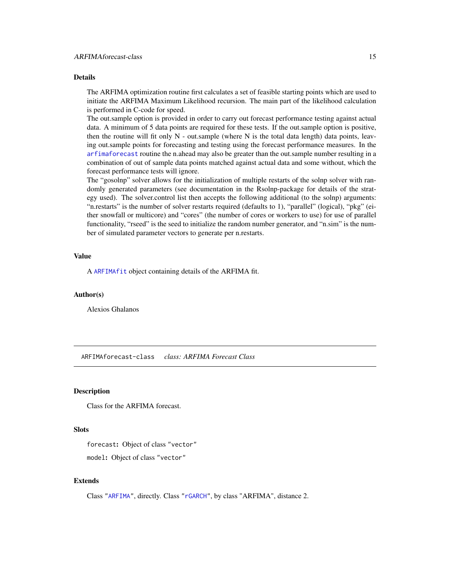# <span id="page-14-0"></span>Details

The ARFIMA optimization routine first calculates a set of feasible starting points which are used to initiate the ARFIMA Maximum Likelihood recursion. The main part of the likelihood calculation is performed in C-code for speed.

The out.sample option is provided in order to carry out forecast performance testing against actual data. A minimum of 5 data points are required for these tests. If the out.sample option is positive, then the routine will fit only  $N$  - out. sample (where  $N$  is the total data length) data points, leaving out.sample points for forecasting and testing using the forecast performance measures. In the [arfimaforecast](#page-15-1) routine the n.ahead may also be greater than the out.sample number resulting in a combination of out of sample data points matched against actual data and some without, which the forecast performance tests will ignore.

The "gosolnp" solver allows for the initialization of multiple restarts of the solnp solver with randomly generated parameters (see documentation in the Rsolnp-package for details of the strategy used). The solver.control list then accepts the following additional (to the solnp) arguments: "n.restarts" is the number of solver restarts required (defaults to 1), "parallel" (logical), "pkg" (either snowfall or multicore) and "cores" (the number of cores or workers to use) for use of parallel functionality, "rseed" is the seed to initialize the random number generator, and "n.sim" is the number of simulated parameter vectors to generate per n.restarts.

#### Value

A [ARFIMAfit](#page-12-1) object containing details of the ARFIMA fit.

#### Author(s)

Alexios Ghalanos

<span id="page-14-1"></span>ARFIMAforecast-class *class: ARFIMA Forecast Class*

# Description

Class for the ARFIMA forecast.

# **Slots**

forecast: Object of class "vector"

model: Object of class "vector"

#### Extends

Class ["ARFIMA"](#page-5-1), directly. Class ["rGARCH"](#page-53-2), by class "ARFIMA", distance 2.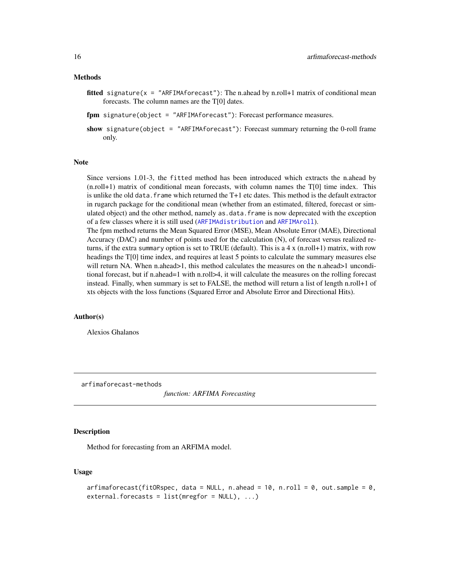#### <span id="page-15-0"></span>Methods

- fitted signature( $x =$  "ARFIMAforecast"): The n.ahead by n.roll+1 matrix of conditional mean forecasts. The column names are the T[0] dates.
- fpm signature(object = "ARFIMAforecast"): Forecast performance measures.
- show signature(object = "ARFIMAforecast"): Forecast summary returning the 0-roll frame only.

#### Note

Since versions 1.01-3, the fitted method has been introduced which extracts the n.ahead by (n.roll+1) matrix of conditional mean forecasts, with column names the T[0] time index. This is unlike the old data.frame which returned the T+1 etc dates. This method is the default extractor in rugarch package for the conditional mean (whether from an estimated, filtered, forecast or simulated object) and the other method, namely as.data.frame is now deprecated with the exception of a few classes where it is still used ([ARFIMAdistribution](#page-7-1) and [ARFIMAroll](#page-21-1)).

The fpm method returns the Mean Squared Error (MSE), Mean Absolute Error (MAE), Directional Accuracy (DAC) and number of points used for the calculation (N), of forecast versus realized returns, if the extra summary option is set to TRUE (default). This is a 4 x (n.roll+1) matrix, with row headings the T[0] time index, and requires at least 5 points to calculate the summary measures else will return NA. When n.ahead>1, this method calculates the measures on the n.ahead>1 unconditional forecast, but if n.ahead=1 with n.roll>4, it will calculate the measures on the rolling forecast instead. Finally, when summary is set to FALSE, the method will return a list of length n.roll+1 of xts objects with the loss functions (Squared Error and Absolute Error and Directional Hits).

#### Author(s)

Alexios Ghalanos

arfimaforecast-methods

*function: ARFIMA Forecasting*

#### <span id="page-15-1"></span>Description

Method for forecasting from an ARFIMA model.

#### Usage

```
arfinaforecast(fitORspec, data = NULL, n. ahead = 10, n.roll = 0, out. sample = 0,external.forecasts = list(mregfor = NULL), ...)
```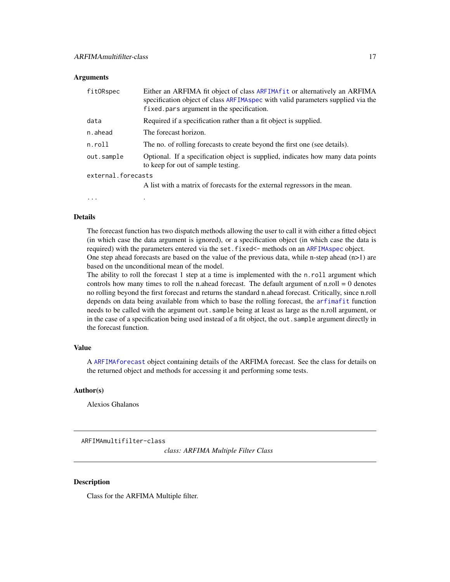#### <span id="page-16-0"></span>**Arguments**

| fitORspec          | Either an ARFIMA fit object of class ARFIMAfit or alternatively an ARFIMA<br>specification object of class ARFIMAspec with valid parameters supplied via the<br>fixed pars argument in the specification. |
|--------------------|-----------------------------------------------------------------------------------------------------------------------------------------------------------------------------------------------------------|
| data               | Required if a specification rather than a fit object is supplied.                                                                                                                                         |
| n.ahead            | The forecast horizon.                                                                                                                                                                                     |
| n.roll             | The no. of rolling forecasts to create beyond the first one (see details).                                                                                                                                |
| out.sample         | Optional. If a specification object is supplied, indicates how many data points<br>to keep for out of sample testing.                                                                                     |
| external.forecasts |                                                                                                                                                                                                           |
|                    | A list with a matrix of forecasts for the external regressors in the mean.                                                                                                                                |

... .

#### Details

The forecast function has two dispatch methods allowing the user to call it with either a fitted object (in which case the data argument is ignored), or a specification object (in which case the data is required) with the parameters entered via the set.fixed<- methods on an [ARFIMAspec](#page-25-1) object. One step ahead forecasts are based on the value of the previous data, while n-step ahead  $(n>1)$  are based on the unconditional mean of the model.

The ability to roll the forecast 1 step at a time is implemented with the n.roll argument which controls how many times to roll the n.ahead forecast. The default argument of  $n$  roll = 0 denotes no rolling beyond the first forecast and returns the standard n.ahead forecast. Critically, since n.roll depends on data being available from which to base the rolling forecast, the [arfimafit](#page-13-1) function needs to be called with the argument out.sample being at least as large as the n.roll argument, or in the case of a specification being used instead of a fit object, the out. sample argument directly in the forecast function.

# Value

A [ARFIMAforecast](#page-14-1) object containing details of the ARFIMA forecast. See the class for details on the returned object and methods for accessing it and performing some tests.

# Author(s)

Alexios Ghalanos

ARFIMAmultifilter-class

*class: ARFIMA Multiple Filter Class*

# Description

Class for the ARFIMA Multiple filter.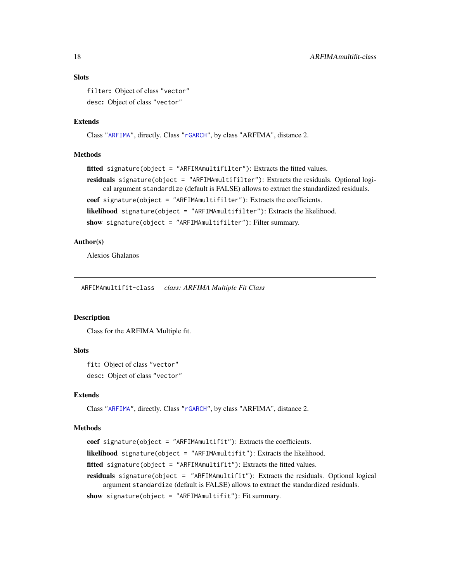## **Slots**

filter: Object of class "vector" desc: Object of class "vector"

#### Extends

Class ["ARFIMA"](#page-5-1), directly. Class ["rGARCH"](#page-53-2), by class "ARFIMA", distance 2.

#### Methods

```
fitted signature(object = "ARFIMAmultifilter"): Extracts the fitted values.
residuals signature(object = "ARFIMAmultifilter"): Extracts the residuals. Optional logi-
    cal argument standardize (default is FALSE) allows to extract the standardized residuals.
coef signature(object = "ARFIMAmultifilter"): Extracts the coefficients.
likelihood signature(object = "ARFIMAmultifilter"): Extracts the likelihood.
show signature(object = "ARFIMAmultifilter"): Filter summary.
```
#### Author(s)

Alexios Ghalanos

ARFIMAmultifit-class *class: ARFIMA Multiple Fit Class*

#### Description

Class for the ARFIMA Multiple fit.

# **Slots**

fit: Object of class "vector" desc: Object of class "vector"

#### Extends

Class ["ARFIMA"](#page-5-1), directly. Class ["rGARCH"](#page-53-2), by class "ARFIMA", distance 2.

#### Methods

```
coef signature(object = "ARFIMAmultifit"): Extracts the coefficients.
likelihood signature(object = "ARFIMAmultifit"): Extracts the likelihood.
fitted signature(object = "ARFIMAmultifit"): Extracts the fitted values.
residuals signature(object = "ARFIMAmultifit"): Extracts the residuals. Optional logical
     argument standardize (default is FALSE) allows to extract the standardized residuals.
show signature(object = "ARFIMAmultifit"): Fit summary.
```
<span id="page-17-0"></span>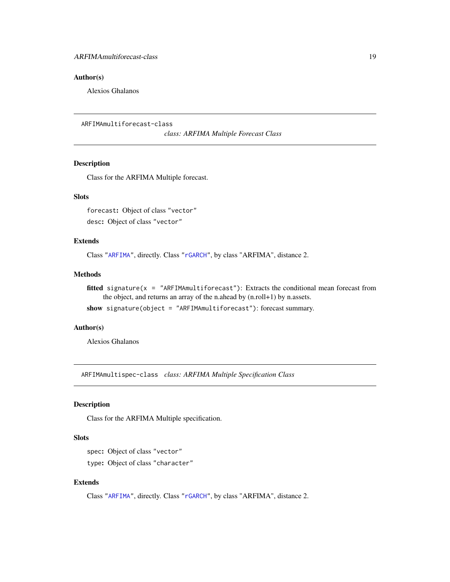# <span id="page-18-0"></span>Author(s)

Alexios Ghalanos

```
ARFIMAmultiforecast-class
```
*class: ARFIMA Multiple Forecast Class*

# Description

Class for the ARFIMA Multiple forecast.

# **Slots**

forecast: Object of class "vector" desc: Object of class "vector"

# Extends

Class ["ARFIMA"](#page-5-1), directly. Class ["rGARCH"](#page-53-2), by class "ARFIMA", distance 2.

#### Methods

fitted signature( $x =$  "ARFIMAmultiforecast"): Extracts the conditional mean forecast from the object, and returns an array of the n.ahead by (n.roll+1) by n.assets.

show signature(object = "ARFIMAmultiforecast"): forecast summary.

#### Author(s)

Alexios Ghalanos

ARFIMAmultispec-class *class: ARFIMA Multiple Specification Class*

# Description

Class for the ARFIMA Multiple specification.

# Slots

spec: Object of class "vector"

type: Object of class "character"

# Extends

Class ["ARFIMA"](#page-5-1), directly. Class ["rGARCH"](#page-53-2), by class "ARFIMA", distance 2.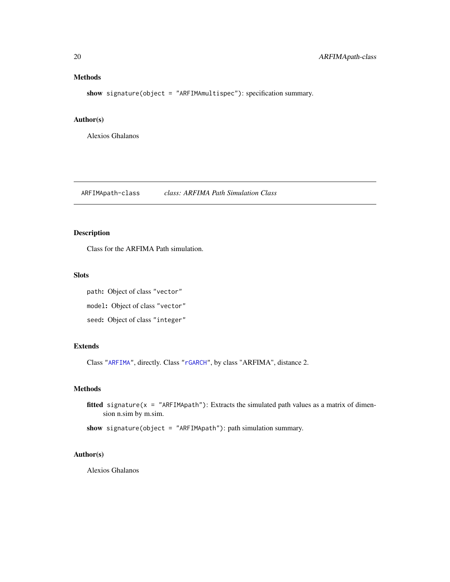# <span id="page-19-0"></span>Methods

show signature(object = "ARFIMAmultispec"): specification summary.

#### Author(s)

Alexios Ghalanos

<span id="page-19-1"></span>ARFIMApath-class *class: ARFIMA Path Simulation Class*

# Description

Class for the ARFIMA Path simulation.

## Slots

path: Object of class "vector" model: Object of class "vector" seed: Object of class "integer"

# Extends

Class ["ARFIMA"](#page-5-1), directly. Class ["rGARCH"](#page-53-2), by class "ARFIMA", distance 2.

# Methods

fitted signature( $x =$  "ARFIMApath"): Extracts the simulated path values as a matrix of dimension n.sim by m.sim.

show signature(object = "ARFIMApath"): path simulation summary.

# Author(s)

Alexios Ghalanos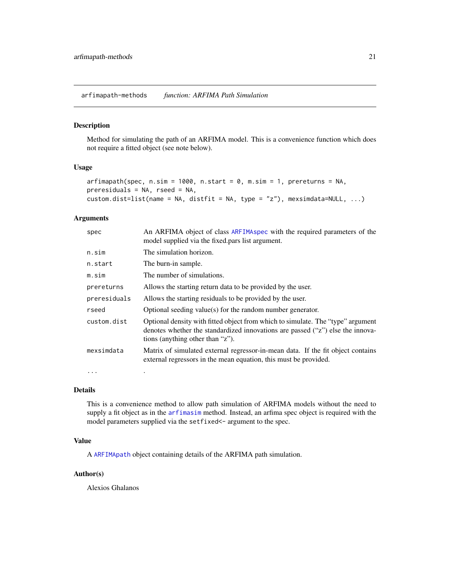<span id="page-20-0"></span>arfimapath-methods *function: ARFIMA Path Simulation*

# Description

Method for simulating the path of an ARFIMA model. This is a convenience function which does not require a fitted object (see note below).

#### Usage

```
arfinapath(spec, n.sim = 1000, n.start = 0, m.sim = 1, prereturns = NA,
preresiduals = NA, rseed = NA,
custom.dist=list(name = NA, distfit = NA, type = "z"), mexsimdata=NULL, ...)
```
# Arguments

| spec         | An ARFIMA object of class ARFIMA spec with the required parameters of the<br>model supplied via the fixed pars list argument.                                                                         |
|--------------|-------------------------------------------------------------------------------------------------------------------------------------------------------------------------------------------------------|
| n.sim        | The simulation horizon.                                                                                                                                                                               |
| n.start      | The burn-in sample.                                                                                                                                                                                   |
| m.sim        | The number of simulations.                                                                                                                                                                            |
| prereturns   | Allows the starting return data to be provided by the user.                                                                                                                                           |
| preresiduals | Allows the starting residuals to be provided by the user.                                                                                                                                             |
| rseed        | Optional seeding value(s) for the random number generator.                                                                                                                                            |
| custom.dist  | Optional density with fitted object from which to simulate. The "type" argument<br>denotes whether the standardized innovations are passed ("z") else the innova-<br>tions (anything other than "z"). |
| mexsimdata   | Matrix of simulated external regressor-in-mean data. If the fit object contains<br>external regressors in the mean equation, this must be provided.                                                   |
| $\cdots$     |                                                                                                                                                                                                       |

#### Details

This is a convenience method to allow path simulation of ARFIMA models without the need to supply a fit object as in the [arfimasim](#page-24-1) method. Instead, an arfima spec object is required with the model parameters supplied via the setfixed <- argument to the spec.

# Value

A [ARFIMApath](#page-19-1) object containing details of the ARFIMA path simulation.

# Author(s)

Alexios Ghalanos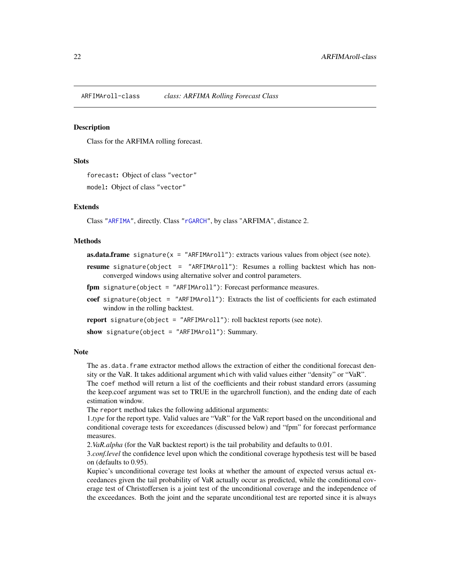<span id="page-21-1"></span><span id="page-21-0"></span>ARFIMAroll-class *class: ARFIMA Rolling Forecast Class*

## Description

Class for the ARFIMA rolling forecast.

# **Slots**

forecast: Object of class "vector"

model: Object of class "vector"

# Extends

Class ["ARFIMA"](#page-5-1), directly. Class ["rGARCH"](#page-53-2), by class "ARFIMA", distance 2.

#### Methods

```
as.data.frame signature(x = "ARFIMAroll"): extracts various values from object (see note).
```
- resume signature(object = "ARFIMAroll"): Resumes a rolling backtest which has nonconverged windows using alternative solver and control parameters.
- fpm signature(object = "ARFIMAroll"): Forecast performance measures.
- coef signature(object = "ARFIMAroll"): Extracts the list of coefficients for each estimated window in the rolling backtest.

report signature(object = "ARFIMAroll"): roll backtest reports (see note).

show signature(object = "ARFIMAroll"): Summary.

#### **Note**

The as.data.frame extractor method allows the extraction of either the conditional forecast density or the VaR. It takes additional argument which with valid values either "density" or "VaR".

The coef method will return a list of the coefficients and their robust standard errors (assuming the keep.coef argument was set to TRUE in the ugarchroll function), and the ending date of each estimation window.

The report method takes the following additional arguments:

1.*type* for the report type. Valid values are "VaR" for the VaR report based on the unconditional and conditional coverage tests for exceedances (discussed below) and "fpm" for forecast performance measures.

2.*VaR.alpha* (for the VaR backtest report) is the tail probability and defaults to 0.01.

3.*conf.level* the confidence level upon which the conditional coverage hypothesis test will be based on (defaults to 0.95).

Kupiec's unconditional coverage test looks at whether the amount of expected versus actual exceedances given the tail probability of VaR actually occur as predicted, while the conditional coverage test of Christoffersen is a joint test of the unconditional coverage and the independence of the exceedances. Both the joint and the separate unconditional test are reported since it is always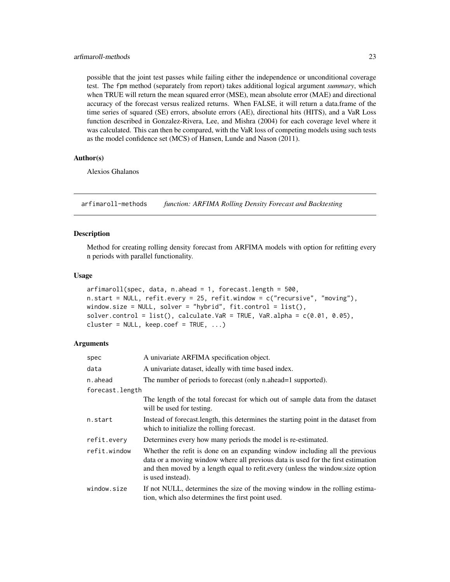#### <span id="page-22-0"></span>arfimaroll-methods 23

possible that the joint test passes while failing either the independence or unconditional coverage test. The fpm method (separately from report) takes additional logical argument *summary*, which when TRUE will return the mean squared error (MSE), mean absolute error (MAE) and directional accuracy of the forecast versus realized returns. When FALSE, it will return a data.frame of the time series of squared (SE) errors, absolute errors (AE), directional hits (HITS), and a VaR Loss function described in Gonzalez-Rivera, Lee, and Mishra (2004) for each coverage level where it was calculated. This can then be compared, with the VaR loss of competing models using such tests as the model confidence set (MCS) of Hansen, Lunde and Nason (2011).

# Author(s)

Alexios Ghalanos

arfimaroll-methods *function: ARFIMA Rolling Density Forecast and Backtesting*

#### Description

Method for creating rolling density forecast from ARFIMA models with option for refitting every n periods with parallel functionality.

#### Usage

```
arfinaroll(spec, data, n. ahead = 1, forecast.length = 500,n.start = NULL, refit.every = 25, refit.window = c("recursive", "moving"),
window.size = NULL, solver = "hybrid", fit.control = list(),
solver.control = list(), calculate.VaR = TRUE, VaR.alpha = c(0.01, 0.05),
cluster = NULL, keep.coef = TRUE, ...)
```
#### Arguments

| spec            | A univariate ARFIMA specification object.                                                                                                                                                                                                                              |
|-----------------|------------------------------------------------------------------------------------------------------------------------------------------------------------------------------------------------------------------------------------------------------------------------|
| data            | A univariate dataset, ideally with time based index.                                                                                                                                                                                                                   |
| n.ahead         | The number of periods to forecast (only n.ahead=1 supported).                                                                                                                                                                                                          |
| forecast.length |                                                                                                                                                                                                                                                                        |
|                 | The length of the total forecast for which out of sample data from the dataset<br>will be used for testing.                                                                                                                                                            |
| n.start         | Instead of forecast.length, this determines the starting point in the dataset from<br>which to initialize the rolling forecast.                                                                                                                                        |
| refit.every     | Determines every how many periods the model is re-estimated.                                                                                                                                                                                                           |
| refit.window    | Whether the refit is done on an expanding window including all the previous<br>data or a moving window where all previous data is used for the first estimation<br>and then moved by a length equal to refit every (unless the window size option<br>is used instead). |
| window.size     | If not NULL, determines the size of the moving window in the rolling estima-<br>tion, which also determines the first point used.                                                                                                                                      |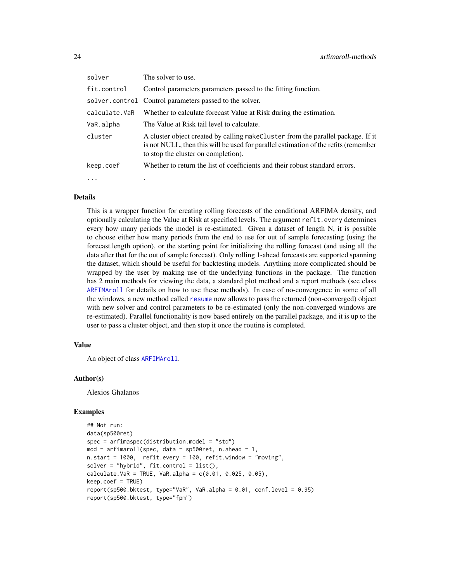| solver        | The solver to use.                                                                                                                                                                                              |
|---------------|-----------------------------------------------------------------------------------------------------------------------------------------------------------------------------------------------------------------|
| fit.control   | Control parameters parameters passed to the fitting function.                                                                                                                                                   |
|               | solver.control Control parameters passed to the solver.                                                                                                                                                         |
| calculate.VaR | Whether to calculate forecast Value at Risk during the estimation.                                                                                                                                              |
| VaR.alpha     | The Value at Risk tail level to calculate.                                                                                                                                                                      |
| cluster       | A cluster object created by calling make Cluster from the parallel package. If it<br>is not NULL, then this will be used for parallel estimation of the refits (remember<br>to stop the cluster on completion). |
| keep.coef     | Whether to return the list of coefficients and their robust standard errors.                                                                                                                                    |
| $\cdots$      |                                                                                                                                                                                                                 |

#### Details

This is a wrapper function for creating rolling forecasts of the conditional ARFIMA density, and optionally calculating the Value at Risk at specified levels. The argument refit.every determines every how many periods the model is re-estimated. Given a dataset of length N, it is possible to choose either how many periods from the end to use for out of sample forecasting (using the forecast.length option), or the starting point for initializing the rolling forecast (and using all the data after that for the out of sample forecast). Only rolling 1-ahead forecasts are supported spanning the dataset, which should be useful for backtesting models. Anything more complicated should be wrapped by the user by making use of the underlying functions in the package. The function has 2 main methods for viewing the data, a standard plot method and a report methods (see class [ARFIMAroll](#page-21-1) for details on how to use these methods). In case of no-convergence in some of all the windows, a new method called [resume](#page-82-1) now allows to pass the returned (non-converged) object with new solver and control parameters to be re-estimated (only the non-converged windows are re-estimated). Parallel functionality is now based entirely on the parallel package, and it is up to the user to pass a cluster object, and then stop it once the routine is completed.

#### Value

An object of class [ARFIMAroll](#page-21-1).

#### Author(s)

Alexios Ghalanos

#### Examples

```
## Not run:
data(sp500ret)
spec = arfimaspec(distribution.model = "std")
mod = \text{arfinaroll}(spec, data = sp500ret, n. ahead = 1,n.start = 1000, refit.every = 100, refit.window = "moving",
solver = "hybrid", fit-control = list(),calcutate.VaR = TRUE, VaR.alpha = c(0.01, 0.025, 0.05),keep.coef = TRUE)
report(sp500.bktest, type="VaR", VaR.alpha = 0.01, conf.level = 0.95)
report(sp500.bktest, type="fpm")
```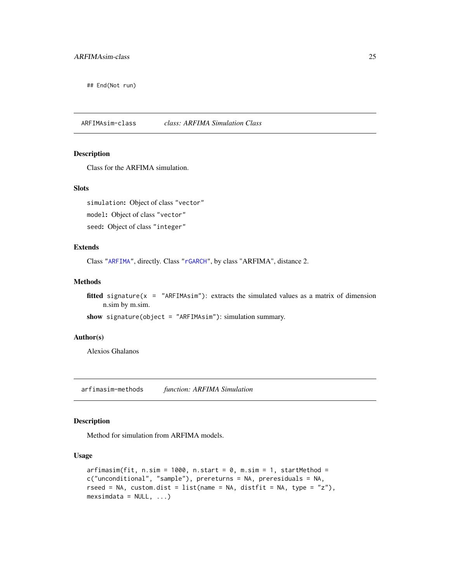<span id="page-24-0"></span>## End(Not run)

<span id="page-24-2"></span>ARFIMAsim-class *class: ARFIMA Simulation Class*

# Description

Class for the ARFIMA simulation.

#### **Slots**

simulation: Object of class "vector" model: Object of class "vector" seed: Object of class "integer"

# Extends

Class ["ARFIMA"](#page-5-1), directly. Class ["rGARCH"](#page-53-2), by class "ARFIMA", distance 2.

#### Methods

fitted signature( $x =$  "ARFIMAsim"): extracts the simulated values as a matrix of dimension n.sim by m.sim.

show signature(object = "ARFIMAsim"): simulation summary.

#### Author(s)

Alexios Ghalanos

arfimasim-methods *function: ARFIMA Simulation*

# <span id="page-24-1"></span>Description

Method for simulation from ARFIMA models.

#### Usage

```
arfinasim(fit, n.sim = 1000, n.start = 0, m.sim = 1, startMethod =c("unconditional", "sample"), prereturns = NA, preresiduals = NA,
rseed = NA, custom.dist = list(name = NA, distfit = NA, type = "z"),mexsimdata = NULL, ...)
```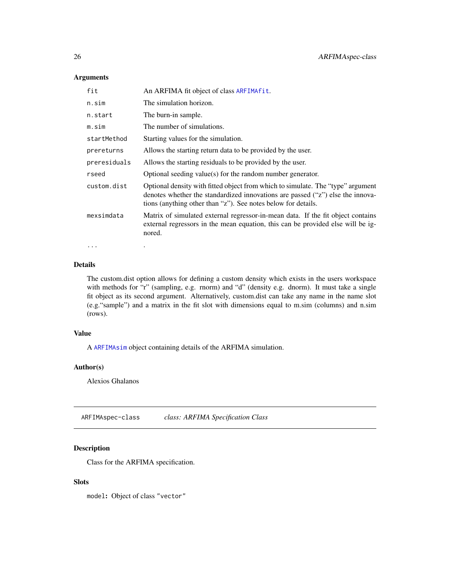# Arguments

| fit          | An ARFIMA fit object of class ARFIMA fit.                                                                                                                                                                                          |
|--------------|------------------------------------------------------------------------------------------------------------------------------------------------------------------------------------------------------------------------------------|
| n.sim        | The simulation horizon.                                                                                                                                                                                                            |
| n.start      | The burn-in sample.                                                                                                                                                                                                                |
| m.sim        | The number of simulations.                                                                                                                                                                                                         |
| startMethod  | Starting values for the simulation.                                                                                                                                                                                                |
| prereturns   | Allows the starting return data to be provided by the user.                                                                                                                                                                        |
| preresiduals | Allows the starting residuals to be provided by the user.                                                                                                                                                                          |
| rseed        | Optional seeding value(s) for the random number generator.                                                                                                                                                                         |
| custom.dist  | Optional density with fitted object from which to simulate. The "type" argument<br>denotes whether the standardized innovations are passed ("z") else the innova-<br>tions (anything other than "z"). See notes below for details. |
| mexsimdata   | Matrix of simulated external regressor-in-mean data. If the fit object contains<br>external regressors in the mean equation, this can be provided else will be ig-<br>nored.                                                       |
| $\ddotsc$    |                                                                                                                                                                                                                                    |

# Details

The custom.dist option allows for defining a custom density which exists in the users workspace with methods for "r" (sampling, e.g. rnorm) and "d" (density e.g. dnorm). It must take a single fit object as its second argument. Alternatively, custom.dist can take any name in the name slot (e.g."sample") and a matrix in the fit slot with dimensions equal to m.sim (columns) and n.sim (rows).

#### Value

A [ARFIMAsim](#page-24-2) object containing details of the ARFIMA simulation.

# Author(s)

Alexios Ghalanos

<span id="page-25-1"></span>ARFIMAspec-class *class: ARFIMA Specification Class*

# Description

Class for the ARFIMA specification.

# Slots

model: Object of class "vector"

<span id="page-25-0"></span>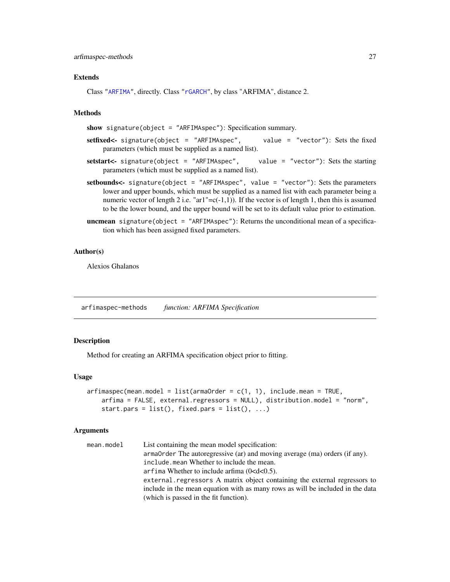#### <span id="page-26-0"></span>Extends

Class ["ARFIMA"](#page-5-1), directly. Class ["rGARCH"](#page-53-2), by class "ARFIMA", distance 2.

# Methods

show signature(object = "ARFIMAspec"): Specification summary.

- setfixed<- signature(object = "ARFIMAspec", value = "vector"): Sets the fixed parameters (which must be supplied as a named list).
- setstart<- signature(object = "ARFIMAspec", value = "vector"): Sets the starting parameters (which must be supplied as a named list).
- setbounds<- signature(object = "ARFIMAspec", value = "vector"): Sets the parameters lower and upper bounds, which must be supplied as a named list with each parameter being a numeric vector of length 2 i.e. "ar1"= $c(-1,1)$ ). If the vector is of length 1, then this is assumed to be the lower bound, and the upper bound will be set to its default value prior to estimation.
- **uncmean** signature(object = "ARFIMAspec"): Returns the unconditional mean of a specification which has been assigned fixed parameters.

## Author(s)

Alexios Ghalanos

arfimaspec-methods *function: ARFIMA Specification*

# <span id="page-26-1"></span>**Description**

Method for creating an ARFIMA specification object prior to fitting.

#### Usage

```
arfinaspec(mean.model = list(amOrder = c(1, 1), include.mean = TRUE,arfima = FALSE, external.regressors = NULL), distribution.model = "norm",
   start.pars = list(), fixed.pars = list(), ...)
```
#### Arguments

| mean.model | List containing the mean model specification:                                  |
|------------|--------------------------------------------------------------------------------|
|            | arma0rder The autoregressive (ar) and moving average (ma) orders (if any).     |
|            | include mean Whether to include the mean.                                      |
|            | arfima Whether to include arfima $(0 < d < 0.5)$ .                             |
|            | external regressors A matrix object containing the external regressors to      |
|            | include in the mean equation with as many rows as will be included in the data |
|            | (which is passed in the fit function).                                         |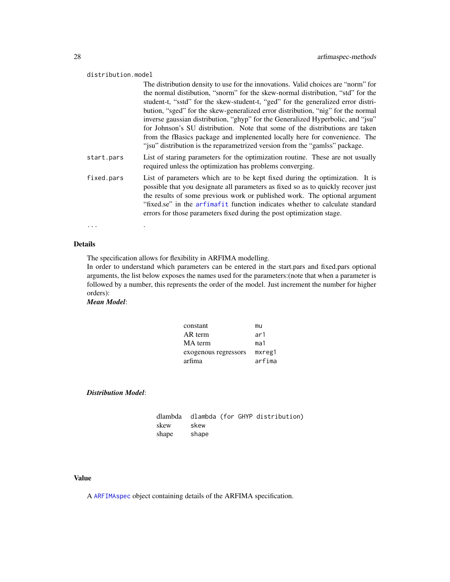#### distribution.model

|            | The distribution density to use for the innovations. Valid choices are "norm" for                                                                                                                                                                                                                                                                                                                        |
|------------|----------------------------------------------------------------------------------------------------------------------------------------------------------------------------------------------------------------------------------------------------------------------------------------------------------------------------------------------------------------------------------------------------------|
|            | the normal distibution, "snorm" for the skew-normal distribution, "std" for the                                                                                                                                                                                                                                                                                                                          |
|            | student-t, "sstd" for the skew-student-t, "ged" for the generalized error distri-                                                                                                                                                                                                                                                                                                                        |
|            | bution, "sged" for the skew-generalized error distribution, "nig" for the normal                                                                                                                                                                                                                                                                                                                         |
|            | inverse gaussian distribution, "ghyp" for the Generalized Hyperbolic, and "jsu"                                                                                                                                                                                                                                                                                                                          |
|            | for Johnson's SU distribution. Note that some of the distributions are taken                                                                                                                                                                                                                                                                                                                             |
|            | from the fBasics package and implemented locally here for convenience. The<br>"jsu" distribution is the reparametrized version from the "gamlss" package.                                                                                                                                                                                                                                                |
| start.pars | List of staring parameters for the optimization routine. These are not usually<br>required unless the optimization has problems converging.                                                                                                                                                                                                                                                              |
| fixed.pars | List of parameters which are to be kept fixed during the optimization. It is<br>possible that you designate all parameters as fixed so as to quickly recover just<br>the results of some previous work or published work. The optional argument<br>"fixed.se" in the arfimafit function indicates whether to calculate standard<br>errors for those parameters fixed during the post optimization stage. |

... .

# Details

The specification allows for flexibility in ARFIMA modelling.

In order to understand which parameters can be entered in the start.pars and fixed.pars optional arguments, the list below exposes the names used for the parameters:(note that when a parameter is followed by a number, this represents the order of the model. Just increment the number for higher orders):

# *Mean Model*:

| constant             | mu     |
|----------------------|--------|
| AR term              | ar1    |
| MA term              | ma1    |
| exogenous regressors | mxreg1 |
| arfima               | arfima |

*Distribution Model*:

|       |       |  | dlambda   dlambda (for GHYP distribution) |
|-------|-------|--|-------------------------------------------|
| skew  | skew  |  |                                           |
| shape | shape |  |                                           |

# Value

A [ARFIMAspec](#page-25-1) object containing details of the ARFIMA specification.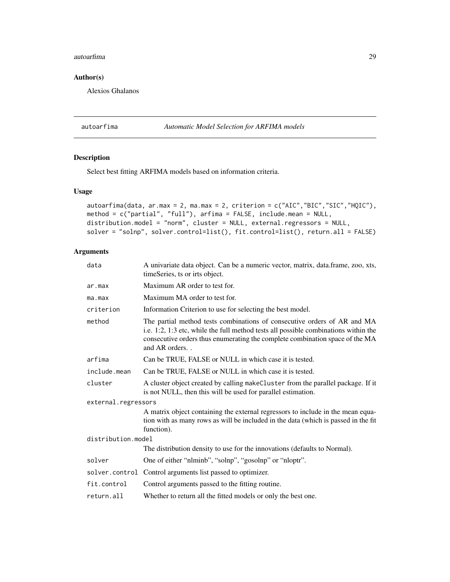#### <span id="page-28-0"></span>autoarfima 29

# Author(s)

Alexios Ghalanos

autoarfima *Automatic Model Selection for ARFIMA models*

# Description

Select best fitting ARFIMA models based on information criteria.

# Usage

```
autoarfima(data, ar.max = 2, ma.max = 2, criterion = c("AIC","BIC","SIC","HQIC"),
method = c("partial", "full"), arfima = FALSE, include.mean = NULL,
distribution.model = "norm", cluster = NULL, external.regressors = NULL,
solver = "solnp", solver.control=list(), fit.control=list(), return.all = FALSE)
```
# Arguments

| data                | A univariate data object. Can be a numeric vector, matrix, data.frame, zoo, xts,<br>timeSeries, ts or irts object.                                                                                                                                               |
|---------------------|------------------------------------------------------------------------------------------------------------------------------------------------------------------------------------------------------------------------------------------------------------------|
| ar.max              | Maximum AR order to test for.                                                                                                                                                                                                                                    |
| ma.max              | Maximum MA order to test for.                                                                                                                                                                                                                                    |
| criterion           | Information Criterion to use for selecting the best model.                                                                                                                                                                                                       |
| method              | The partial method tests combinations of consecutive orders of AR and MA<br>i.e. 1:2, 1:3 etc, while the full method tests all possible combinations within the<br>consecutive orders thus enumerating the complete combination space of the MA<br>and AR orders |
| arfima              | Can be TRUE, FALSE or NULL in which case it is tested.                                                                                                                                                                                                           |
| include.mean        | Can be TRUE, FALSE or NULL in which case it is tested.                                                                                                                                                                                                           |
| cluster             | A cluster object created by calling makeCluster from the parallel package. If it<br>is not NULL, then this will be used for parallel estimation.                                                                                                                 |
| external.regressors |                                                                                                                                                                                                                                                                  |
|                     | A matrix object containing the external regressors to include in the mean equa-<br>tion with as many rows as will be included in the data (which is passed in the fit<br>function).                                                                              |
| distribution.model  |                                                                                                                                                                                                                                                                  |
|                     | The distribution density to use for the innovations (defaults to Normal).                                                                                                                                                                                        |
| solver              | One of either "nlminb", "solnp", "gosolnp" or "nloptr".                                                                                                                                                                                                          |
|                     | solver.control Control arguments list passed to optimizer.                                                                                                                                                                                                       |
| fit.control         | Control arguments passed to the fitting routine.                                                                                                                                                                                                                 |
| return.all          | Whether to return all the fitted models or only the best one.                                                                                                                                                                                                    |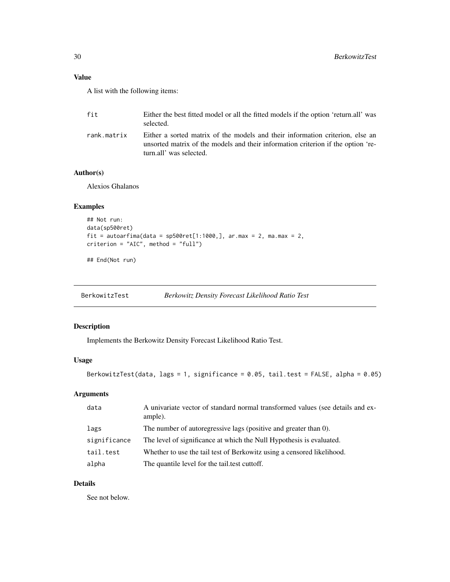# <span id="page-29-0"></span>Value

A list with the following items:

| fit         | Either the best fitted model or all the fitted models if the option 'return.all' was<br>selected.                                                                                            |
|-------------|----------------------------------------------------------------------------------------------------------------------------------------------------------------------------------------------|
| rank.matrix | Either a sorted matrix of the models and their information criterion, else an<br>unsorted matrix of the models and their information criterion if the option 're-<br>turn.all' was selected. |

# Author(s)

Alexios Ghalanos

# Examples

```
## Not run:
data(sp500ret)
fit = autoarfima(data = sp500ret[1:1000,], ar.max = 2, ma.max = 2,
criterion = "AIC", method = "full")
```
## End(Not run)

BerkowitzTest *Berkowitz Density Forecast Likelihood Ratio Test*

# Description

Implements the Berkowitz Density Forecast Likelihood Ratio Test.

# Usage

```
BerkowitzTest(data, lags = 1, significance = 0.05, tail.test = FALSE, alpha = 0.05)
```
# Arguments

| data         | A univariate vector of standard normal transformed values (see details and ex-<br>ample). |
|--------------|-------------------------------------------------------------------------------------------|
| lags         | The number of autoregressive lags (positive and greater than 0).                          |
| significance | The level of significance at which the Null Hypothesis is evaluated.                      |
| tail.test    | Whether to use the tail test of Berkowitz using a censored likelihood.                    |
| alpha        | The quantile level for the tail test cuttoff.                                             |

# Details

See not below.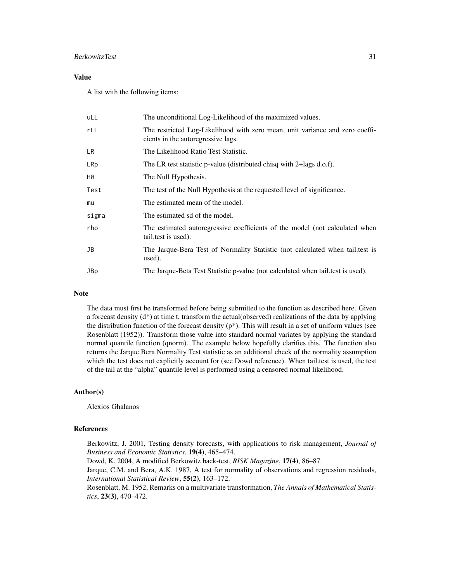# BerkowitzTest 31

# Value

A list with the following items:

| uLL        | The unconditional Log-Likelihood of the maximized values.                                                          |
|------------|--------------------------------------------------------------------------------------------------------------------|
| rLL        | The restricted Log-Likelihood with zero mean, unit variance and zero coeffi-<br>cients in the autoregressive lags. |
| LR         | The Likelihood Ratio Test Statistic.                                                                               |
| LRp        | The LR test statistic p-value (distributed chisq with 2+lags d.o.f).                                               |
| Н0         | The Null Hypothesis.                                                                                               |
| Test       | The test of the Null Hypothesis at the requested level of significance.                                            |
| mu         | The estimated mean of the model.                                                                                   |
| sigma      | The estimated sd of the model.                                                                                     |
| rho        | The estimated autoregressive coefficients of the model (not calculated when<br>tail.test is used).                 |
| JB         | The Jarque-Bera Test of Normality Statistic (not calculated when tail test is<br>used).                            |
| <b>JBp</b> | The Jarque-Beta Test Statistic p-value (not calculated when tail test is used).                                    |
|            |                                                                                                                    |

# Note

The data must first be transformed before being submitted to the function as described here. Given a forecast density (d\*) at time t, transform the actual(observed) realizations of the data by applying the distribution function of the forecast density  $(p^*)$ . This will result in a set of uniform values (see Rosenblatt (1952)). Transform those value into standard normal variates by applying the standard normal quantile function (qnorm). The example below hopefully clarifies this. The function also returns the Jarque Bera Normality Test statistic as an additional check of the normality assumption which the test does not explicitly account for (see Dowd reference). When tail.test is used, the test of the tail at the "alpha" quantile level is performed using a censored normal likelihood.

#### Author(s)

Alexios Ghalanos

#### References

Berkowitz, J. 2001, Testing density forecasts, with applications to risk management, *Journal of Business and Economic Statistics*, 19(4), 465–474.

Dowd, K. 2004, A modified Berkowitz back-test, *RISK Magazine*, 17(4), 86–87.

Jarque, C.M. and Bera, A.K. 1987, A test for normality of observations and regression residuals, *International Statistical Review*, 55(2), 163–172.

Rosenblatt, M. 1952, Remarks on a multivariate transformation, *The Annals of Mathematical Statistics*, 23(3), 470–472.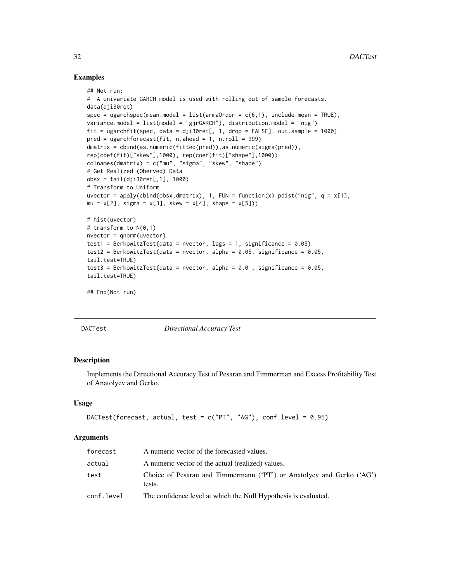## Examples

```
## Not run:
# A univariate GARCH model is used with rolling out of sample forecasts.
data(dji30ret)
spec = ugarchspec(mean.model = list(amadorder = c(6,1), include.mean = TRUE),variance.model = list(model = "gjrGARCH"), distribution.model = "nig")
fit = ugarchfit(spec, data = dji30ret[, 1, drop = FALSE], out.sample = 1000)
pred = ugarchforecast(fit, n. ahead = 1, n.roll = 999)dmatrix = cbind(as.numeric(fitted(pred)), as.numeric(sigma(pred)),
rep(coef(fit)["skew"],1000), rep(coef(fit)["shape"],1000))
colnames(dmatrix) = c("mu", "sigma", "skew", "shape")
# Get Realized (Oberved) Data
obsx = tail(dji30ret[,1], 1000)
# Transform to Uniform
uvector = apply(cbind(obsx,dmatrix), 1, FUN = function(x) pdist("nig", q = x[1],
mu = x[2], signa = x[3], skew = x[4], shape = x[5]))# hist(uvector)
# transform to N(0,1)
nvector = qnorm(uvector)
test1 = BerkowitzTest(data = nvector, lags = 1, significance = 0.05)
test2 = BerkowitzTest(data = nvector, alpha = 0.05, significance = 0.05,
tail.test=TRUE)
test3 = BerkowitzTest(data = nvector, alpha = 0.01, significance = 0.05,
tail.test=TRUE)
## End(Not run)
```
DACTest *Directional Accuracy Test*

### **Description**

Implements the Directional Accuracy Test of Pesaran and Timmerman and Excess Profitability Test of Anatolyev and Gerko.

# Usage

```
DACTest(forecast, actual, test = c("PT", "AG"), conf. level = 0.95)
```
#### Arguments

| forecast   | A numeric vector of the forecasted values.                                     |
|------------|--------------------------------------------------------------------------------|
| actual     | A numeric vector of the actual (realized) values.                              |
| test       | Choice of Pesaran and Timmermann (PT') or Anatolyev and Gerko ('AG')<br>tests. |
| conf.level | The confidence level at which the Null Hypothesis is evaluated.                |

<span id="page-31-0"></span>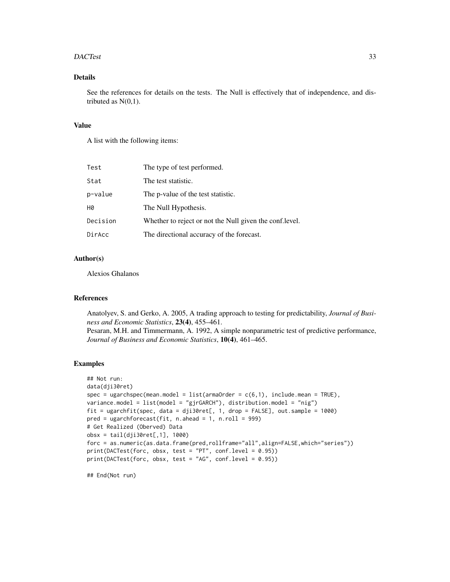#### DACTest 33

# Details

See the references for details on the tests. The Null is effectively that of independence, and distributed as  $N(0,1)$ .

# Value

A list with the following items:

| Test     | The type of test performed.                              |
|----------|----------------------------------------------------------|
| Stat     | The test statistic.                                      |
| p-value  | The p-value of the test statistic.                       |
| H0       | The Null Hypothesis.                                     |
| Decision | Whether to reject or not the Null given the conf. level. |
| DirAcc   | The directional accuracy of the forecast.                |

*Journal of Business and Economic Statistics*, 10(4), 461–465.

# Author(s)

Alexios Ghalanos

#### References

Anatolyev, S. and Gerko, A. 2005, A trading approach to testing for predictability, *Journal of Business and Economic Statistics*, 23(4), 455–461. Pesaran, M.H. and Timmermann, A. 1992, A simple nonparametric test of predictive performance,

#### Examples

```
## Not run:
data(dji30ret)
spec = ugarchspec(mean.model = list(am20rder = c(6,1), include.mean = TRUE),variance.model = list(model = "gjrGARCH"), distribution.model = "nig")
fit = ugarchfit(spec, data = dji30ret[, 1, drop = FALSE], out.sample = 1000)
pred = ugarchforecast(fit, n. ahead = 1, n.roll = 999)# Get Realized (Oberved) Data
obsx = tail(dji30ret[,1], 1000)
forc = as.numeric(as.data.frame(pred,rollframe="all",align=FALSE,which="series"))
print(DACTest(forc, obsx, test = "PT", conf.level = 0.95))
print(DACTest(forc, obsx, test = "AG", conf.level = 0.95))
```
## End(Not run)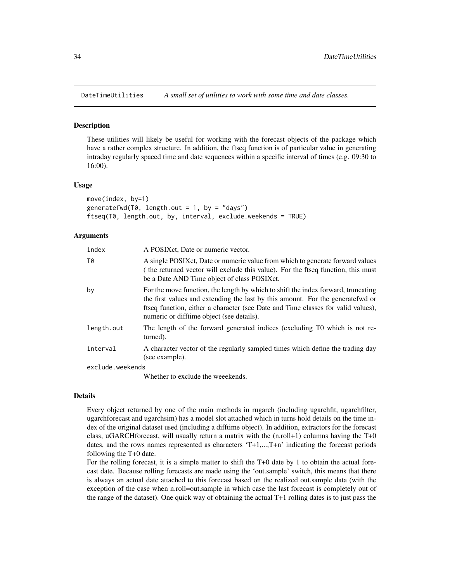<span id="page-33-0"></span>

#### Description

These utilities will likely be useful for working with the forecast objects of the package which have a rather complex structure. In addition, the ftseq function is of particular value in generating intraday regularly spaced time and date sequences within a specific interval of times (e.g. 09:30 to 16:00).

#### Usage

move(index, by=1) generatefwd(T0, length.out = 1, by = "days") ftseq(T0, length.out, by, interval, exclude.weekends = TRUE)

#### Arguments

| index            | A POSIX ct, Date or numeric vector.                                                                                                                                                                                                                                                                  |  |
|------------------|------------------------------------------------------------------------------------------------------------------------------------------------------------------------------------------------------------------------------------------------------------------------------------------------------|--|
| T0               | A single POSIX ct, Date or numeric value from which to generate forward values<br>(the returned vector will exclude this value). For the ftseq function, this must<br>be a Date AND Time object of class POSIX ct.                                                                                   |  |
| by               | For the move function, the length by which to shift the index forward, truncating<br>the first values and extending the last by this amount. For the generatefwd or<br>ftseq function, either a character (see Date and Time classes for valid values),<br>numeric or difftime object (see details). |  |
| length.out       | The length of the forward generated indices (excluding T0 which is not re-<br>turned).                                                                                                                                                                                                               |  |
| interval         | A character vector of the regularly sampled times which define the trading day<br>(see example).                                                                                                                                                                                                     |  |
| exclude.weekends |                                                                                                                                                                                                                                                                                                      |  |

Whether to exclude the weeekends.

#### Details

Every object returned by one of the main methods in rugarch (including ugarchfit, ugarchfilter, ugarchforecast and ugarchsim) has a model slot attached which in turns hold details on the time index of the original dataset used (including a difftime object). In addition, extractors for the forecast class, uGARCHforecast, will usually return a matrix with the  $(n.roll+1)$  columns having the T+0 dates, and the rows names represented as characters 'T+1,...,T+n' indicating the forecast periods following the T+0 date.

For the rolling forecast, it is a simple matter to shift the T+0 date by 1 to obtain the actual forecast date. Because rolling forecasts are made using the 'out.sample' switch, this means that there is always an actual date attached to this forecast based on the realized out.sample data (with the exception of the case when n.roll=out.sample in which case the last forecast is completely out of the range of the dataset). One quick way of obtaining the actual T+1 rolling dates is to just pass the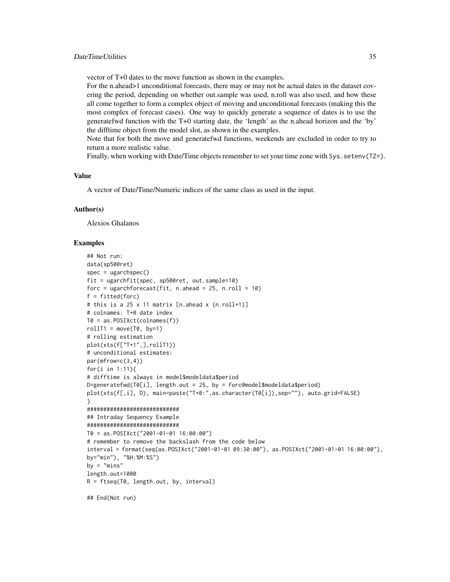vector of T+0 dates to the move function as shown in the examples.

For the n.ahead>1 unconditional forecasts, there may or may not be actual dates in the dataset covering the period, depending on whether out.sample was used, n.roll was also used, and how these all come together to form a complex object of moving and unconditional forecasts (making this the most complex of forecast cases). One way to quickly generate a sequence of dates is to use the generatefwd function with the T+0 starting date, the 'length' as the n.ahead horizon and the 'by' the difftime object from the model slot, as shown in the examples.

Note that for both the move and generatefwd functions, weekends are excluded in order to try to return a more realistic value.

Finally, when working with Date/Time objects remember to set your time zone with Sys.setenv(TZ=).

#### Value

A vector of Date/Time/Numeric indices of the same class as used in the input.

# Author(s)

Alexios Ghalanos

#### Examples

```
## Not run:
data(sp500ret)
spec = ugarchspec()fit = ugarchfit(spec, sp500ret, out.sample=10)
forc = ugarchforecast(fit, n.ahead = 25, n.roll = 10)
f = fitted(forc)# this is a 25 x 11 matrix [n.ahead x (n.roll+1)]
# colnames: T+0 date index
T0 = as.POSIXct(colnames(f))
rollT1 = move(T0, by=1)# rolling estimation
plot(xts(f["T+1",],rollT1))
# unconditional estimates:
par(mfrow=c(3,4))
for(i in 1:11){
# difftime is always in model$modeldata$period
D=generatefwd(T0[i], length.out = 25, by = forc@model$modeldata$period)
plot(xts(f[,i], D), main=paste("T+0:",as.character(T0[i]),sep=""), auto.grid=FALSE)
}
############################
## Intraday Sequency Example
############################
T0 = as.POSIXct("2001-01-01 16:00:00")
# remember to remove the backslash from the code below
interval = format(seq(as.POSIXct("2001-01-01 09:30:00"), as.POSIXct("2001-01-01 16:00:00"),
by="min"), "%H:%M:%S")
by = "mins"
length.out=1000
R = ftseq(T0, length.out, by, interval)
```
## End(Not run)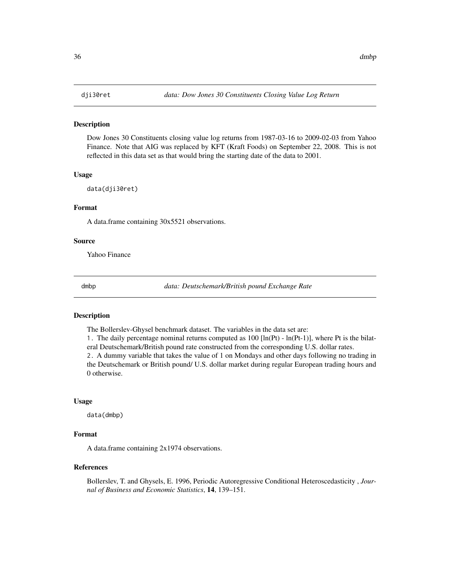#### <span id="page-35-0"></span>Description

Dow Jones 30 Constituents closing value log returns from 1987-03-16 to 2009-02-03 from Yahoo Finance. Note that AIG was replaced by KFT (Kraft Foods) on September 22, 2008. This is not reflected in this data set as that would bring the starting date of the data to 2001.

#### Usage

data(dji30ret)

# Format

A data.frame containing 30x5521 observations.

#### Source

Yahoo Finance

dmbp *data: Deutschemark/British pound Exchange Rate*

#### Description

The Bollerslev-Ghysel benchmark dataset. The variables in the data set are:

1. The daily percentage nominal returns computed as  $100$  [ln(Pt) - ln(Pt-1)], where Pt is the bilateral Deutschemark/British pound rate constructed from the corresponding U.S. dollar rates.

2. A dummy variable that takes the value of 1 on Mondays and other days following no trading in the Deutschemark or British pound/ U.S. dollar market during regular European trading hours and 0 otherwise.

#### Usage

data(dmbp)

#### Format

A data.frame containing 2x1974 observations.

#### References

Bollerslev, T. and Ghysels, E. 1996, Periodic Autoregressive Conditional Heteroscedasticity , *Journal of Business and Economic Statistics*, 14, 139–151.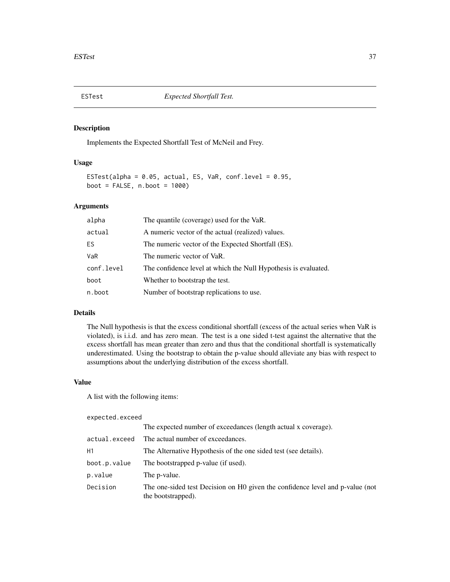### Description

Implements the Expected Shortfall Test of McNeil and Frey.

### Usage

```
ESTest(alpha = 0.05, actual, ES, VaR, conf.level = 0.95,
boot = FALSE, n.boot = 1000)
```
# Arguments

| alpha      | The quantile (coverage) used for the VaR.                       |
|------------|-----------------------------------------------------------------|
| actual     | A numeric vector of the actual (realized) values.               |
| ES.        | The numeric vector of the Expected Shortfall (ES).              |
| VaR        | The numeric vector of VaR.                                      |
| conf.level | The confidence level at which the Null Hypothesis is evaluated. |
| boot       | Whether to bootstrap the test.                                  |
| n.boot     | Number of bootstrap replications to use.                        |

## Details

The Null hypothesis is that the excess conditional shortfall (excess of the actual series when VaR is violated), is i.i.d. and has zero mean. The test is a one sided t-test against the alternative that the excess shortfall has mean greater than zero and thus that the conditional shortfall is systematically underestimated. Using the bootstrap to obtain the p-value should alleviate any bias with respect to assumptions about the underlying distribution of the excess shortfall.

#### Value

A list with the following items:

### expected.exceed

|               | The expected number of exceedances (length actual x coverage).                                      |
|---------------|-----------------------------------------------------------------------------------------------------|
| actual.exceed | The actual number of exceedances.                                                                   |
| Н1            | The Alternative Hypothesis of the one sided test (see details).                                     |
| boot.p.value  | The bootstrapped p-value (if used).                                                                 |
| p.value       | The p-value.                                                                                        |
| Decision      | The one-sided test Decision on H0 given the confidence level and p-value (not<br>the bootstrapped). |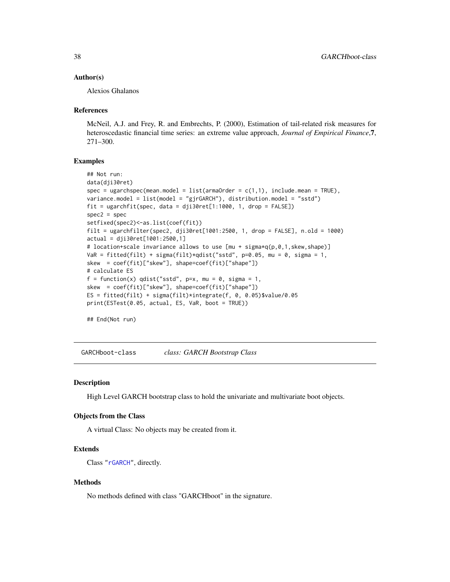### Author(s)

Alexios Ghalanos

#### References

McNeil, A.J. and Frey, R. and Embrechts, P. (2000), Estimation of tail-related risk measures for heteroscedastic financial time series: an extreme value approach, *Journal of Empirical Finance*,7, 271–300.

# Examples

```
## Not run:
data(dji30ret)
spec = ugarchspec(mean.model = list(am20rder = c(1,1), include.mean = TRUE),variance.model = list(model = "gjrGARCH"), distribution.model = "sstd")
fit = ugarchfit(spec, data = dji30ret[1:1000, 1, drop = FALSE])
spec2 = specsetfixed(spec2)<-as.list(coef(fit))
filt = ugarchfilter(spec2, dji30ret[1001:2500, 1, drop = FALSE], n.old = 1000)
actual = dji30ret[1001:2500,1]
# location+scale invariance allows to use [mu + sigma*q(p,0,1,skew,shape)]
VaR = fitted(filt) + sigma(filt)*qdist("sstd", p=0.05, mu = 0, sigma = 1,
skew = coef(fit)["skew"], shape=coef(fit)["shape"])
# calculate ES
f = function(x) qdist("sstd", p=x, mu = 0, sigma = 1,
skew = coef(fit)["skew"], shape=coef(fit)["shape"])
ES = fitted(filt) + sigma(filt)*integrate(f, 0, 0.05)$value/0.05
print(ESTest(0.05, actual, ES, VaR, boot = TRUE))
```
## End(Not run)

<span id="page-37-0"></span>GARCHboot-class *class: GARCH Bootstrap Class*

#### **Description**

High Level GARCH bootstrap class to hold the univariate and multivariate boot objects.

#### Objects from the Class

A virtual Class: No objects may be created from it.

## Extends

Class ["rGARCH"](#page-53-0), directly.

### Methods

No methods defined with class "GARCHboot" in the signature.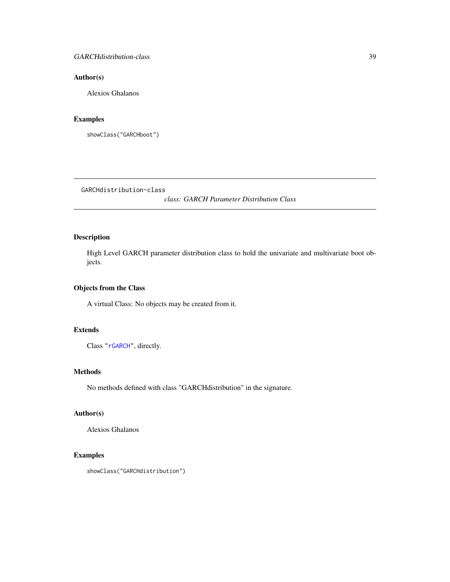# Author(s)

Alexios Ghalanos

# Examples

showClass("GARCHboot")

<span id="page-38-0"></span>GARCHdistribution-class

*class: GARCH Parameter Distribution Class*

# Description

High Level GARCH parameter distribution class to hold the univariate and multivariate boot objects.

# Objects from the Class

A virtual Class: No objects may be created from it.

## Extends

Class ["rGARCH"](#page-53-0), directly.

# Methods

No methods defined with class "GARCHdistribution" in the signature.

### Author(s)

Alexios Ghalanos

# Examples

```
showClass("GARCHdistribution")
```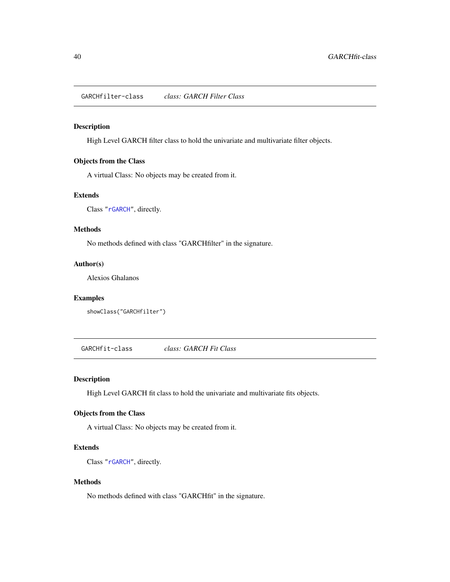<span id="page-39-0"></span>GARCHfilter-class *class: GARCH Filter Class*

# Description

High Level GARCH filter class to hold the univariate and multivariate filter objects.

### Objects from the Class

A virtual Class: No objects may be created from it.

#### Extends

Class ["rGARCH"](#page-53-0), directly.

## Methods

No methods defined with class "GARCHfilter" in the signature.

# Author(s)

Alexios Ghalanos

#### Examples

```
showClass("GARCHfilter")
```
<span id="page-39-1"></span>GARCHfit-class *class: GARCH Fit Class*

# Description

High Level GARCH fit class to hold the univariate and multivariate fits objects.

### Objects from the Class

A virtual Class: No objects may be created from it.

# Extends

Class ["rGARCH"](#page-53-0), directly.

# Methods

No methods defined with class "GARCHfit" in the signature.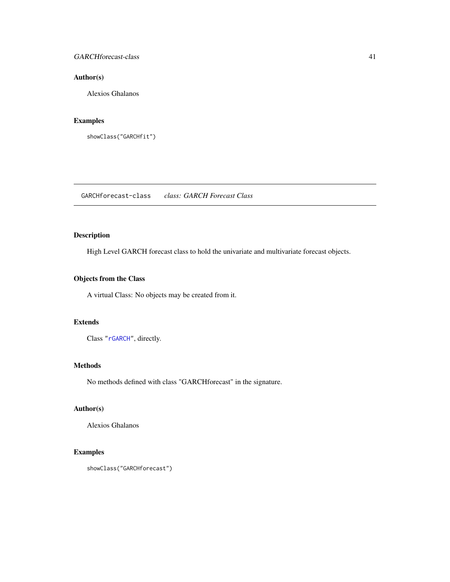# GARCHforecast-class 41

# Author(s)

Alexios Ghalanos

# Examples

showClass("GARCHfit")

GARCHforecast-class *class: GARCH Forecast Class*

# Description

High Level GARCH forecast class to hold the univariate and multivariate forecast objects.

# Objects from the Class

A virtual Class: No objects may be created from it.

# Extends

Class ["rGARCH"](#page-53-0), directly.

#### Methods

No methods defined with class "GARCHforecast" in the signature.

# Author(s)

Alexios Ghalanos

# Examples

```
showClass("GARCHforecast")
```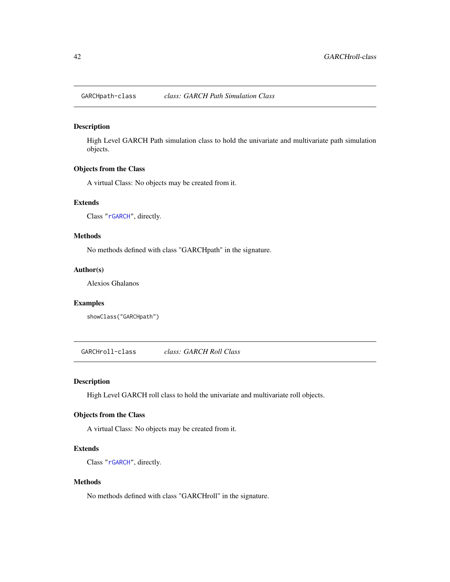GARCHpath-class *class: GARCH Path Simulation Class*

# Description

High Level GARCH Path simulation class to hold the univariate and multivariate path simulation objects.

# Objects from the Class

A virtual Class: No objects may be created from it.

# Extends

Class ["rGARCH"](#page-53-0), directly.

#### Methods

No methods defined with class "GARCHpath" in the signature.

#### Author(s)

Alexios Ghalanos

# Examples

showClass("GARCHpath")

GARCHroll-class *class: GARCH Roll Class*

### Description

High Level GARCH roll class to hold the univariate and multivariate roll objects.

### Objects from the Class

A virtual Class: No objects may be created from it.

## Extends

Class ["rGARCH"](#page-53-0), directly.

# Methods

No methods defined with class "GARCHroll" in the signature.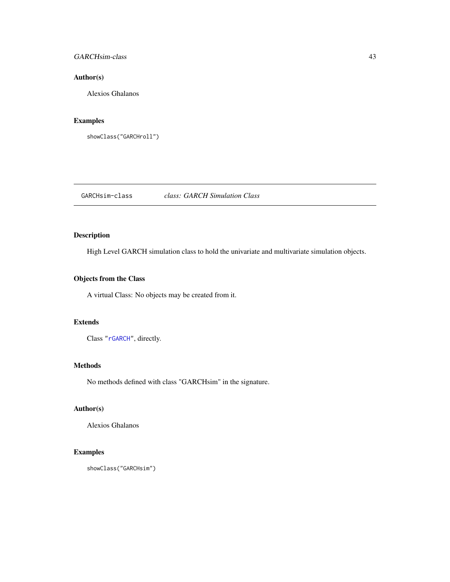# GARCHsim-class 43

# Author(s)

Alexios Ghalanos

# Examples

showClass("GARCHroll")

GARCHsim-class *class: GARCH Simulation Class*

# Description

High Level GARCH simulation class to hold the univariate and multivariate simulation objects.

# Objects from the Class

A virtual Class: No objects may be created from it.

# Extends

Class ["rGARCH"](#page-53-0), directly.

#### Methods

No methods defined with class "GARCHsim" in the signature.

# Author(s)

Alexios Ghalanos

# Examples

showClass("GARCHsim")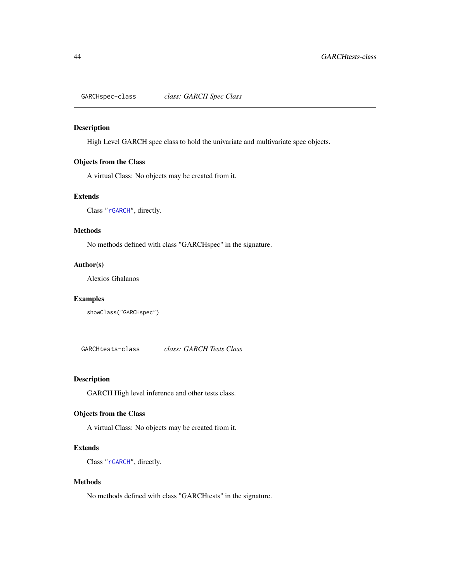GARCHspec-class *class: GARCH Spec Class*

### Description

High Level GARCH spec class to hold the univariate and multivariate spec objects.

# Objects from the Class

A virtual Class: No objects may be created from it.

#### Extends

Class ["rGARCH"](#page-53-0), directly.

### Methods

No methods defined with class "GARCHspec" in the signature.

# Author(s)

Alexios Ghalanos

# Examples

showClass("GARCHspec")

GARCHtests-class *class: GARCH Tests Class*

# Description

GARCH High level inference and other tests class.

## Objects from the Class

A virtual Class: No objects may be created from it.

## Extends

Class ["rGARCH"](#page-53-0), directly.

# Methods

No methods defined with class "GARCHtests" in the signature.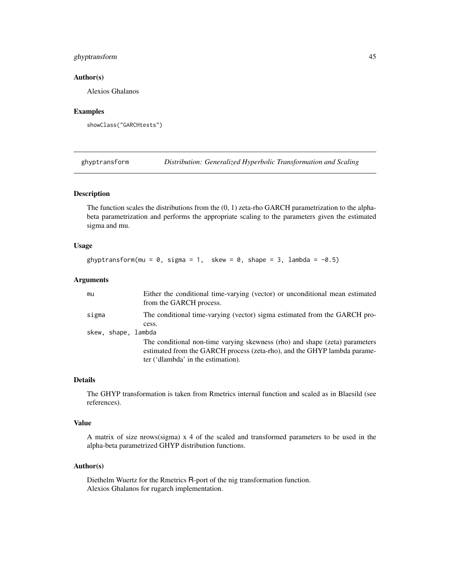# ghyptransform 45

### Author(s)

Alexios Ghalanos

## Examples

showClass("GARCHtests")

ghyptransform *Distribution: Generalized Hyperbolic Transformation and Scaling*

# Description

The function scales the distributions from the  $(0, 1)$  zeta-rho GARCH parametrization to the alphabeta parametrization and performs the appropriate scaling to the parameters given the estimated sigma and mu.

### Usage

ghyptransform(mu =  $0$ , sigma = 1, skew =  $0$ , shape = 3, lambda = -0.5)

# Arguments

| mu                  | Either the conditional time-varying (vector) or unconditional mean estimated<br>from the GARCH process.                                                                                       |
|---------------------|-----------------------------------------------------------------------------------------------------------------------------------------------------------------------------------------------|
| sigma               | The conditional time-varying (vector) sigma estimated from the GARCH pro-<br>cess.                                                                                                            |
| skew, shape, lambda |                                                                                                                                                                                               |
|                     | The conditional non-time varying skewness (rho) and shape (zeta) parameters<br>estimated from the GARCH process (zeta-rho), and the GHYP lambda parame-<br>ter ('dlambda' in the estimation). |

#### Details

The GHYP transformation is taken from Rmetrics internal function and scaled as in Blaesild (see references).

#### Value

A matrix of size nrows(sigma) x 4 of the scaled and transformed parameters to be used in the alpha-beta parametrized GHYP distribution functions.

## Author(s)

Diethelm Wuertz for the Rmetrics R-port of the nig transformation function. Alexios Ghalanos for rugarch implementation.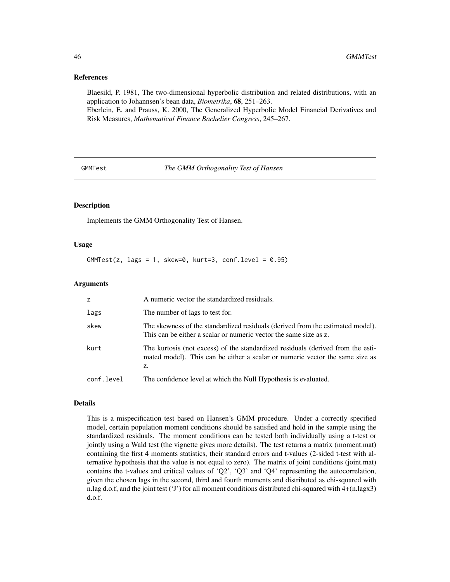#### References

Blaesild, P. 1981, The two-dimensional hyperbolic distribution and related distributions, with an application to Johannsen's bean data, *Biometrika*, 68, 251–263.

Eberlein, E. and Prauss, K. 2000, The Generalized Hyperbolic Model Financial Derivatives and Risk Measures, *Mathematical Finance Bachelier Congress*, 245–267.

GMMTest *The GMM Orthogonality Test of Hansen*

# Description

Implements the GMM Orthogonality Test of Hansen.

### Usage

 $GMMTest(z, lags = 1, skew=0, kurt=3, conf.level = 0.95)$ 

### Arguments

| Z.         | A numeric vector the standardized residuals.                                                                                                                          |
|------------|-----------------------------------------------------------------------------------------------------------------------------------------------------------------------|
| lags       | The number of lags to test for.                                                                                                                                       |
| skew       | The skewness of the standardized residuals (derived from the estimated model).<br>This can be either a scalar or numeric vector the same size as z.                   |
| kurt       | The kurtosis (not excess) of the standardized residuals (derived from the esti-<br>mated model). This can be either a scalar or numeric vector the same size as<br>z. |
| conf.level | The confidence level at which the Null Hypothesis is evaluated.                                                                                                       |

#### Details

This is a mispecification test based on Hansen's GMM procedure. Under a correctly specified model, certain population moment conditions should be satisfied and hold in the sample using the standardized residuals. The moment conditions can be tested both individually using a t-test or jointly using a Wald test (the vignette gives more details). The test returns a matrix (moment.mat) containing the first 4 moments statistics, their standard errors and t-values (2-sided t-test with alternative hypothesis that the value is not equal to zero). The matrix of joint conditions (joint.mat) contains the t-values and critical values of  $\langle Q^2 \rangle$ ,  $\langle Q^3 \rangle$  and  $\langle Q^4 \rangle$  representing the autocorrelation, given the chosen lags in the second, third and fourth moments and distributed as chi-squared with n.lag d.o.f, and the joint test ('J') for all moment conditions distributed chi-squared with 4+(n.lagx3) d.o.f.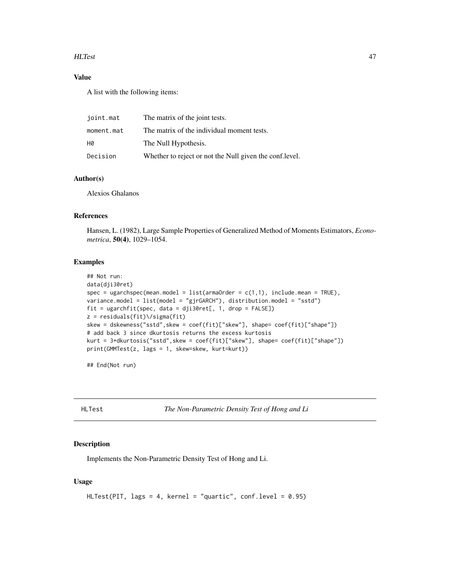### HLTest 47

# Value

A list with the following items:

| joint.mat  | The matrix of the joint tests.                           |
|------------|----------------------------------------------------------|
| moment.mat | The matrix of the individual moment tests.               |
| H0         | The Null Hypothesis.                                     |
| Decision   | Whether to reject or not the Null given the conf. level. |

# Author(s)

Alexios Ghalanos

# References

Hansen, L. (1982), Large Sample Properties of Generalized Method of Moments Estimators, *Econometrica*, 50(4), 1029–1054.

### Examples

```
## Not run:
data(dji30ret)
spec = ugarchspec(mean.model = list(armaOrder = c(1,1), include.mean = TRUE),
variance.model = list(model = "gjrGARCH"), distribution.model = "sstd")
fit = ugarchfit(spec, data = dji30ret[, 1, drop = FALSE])
z = residuals(fit)\/sigma(fit)
skew = dskewness("sstd",skew = coef(fit)["skew"], shape= coef(fit)["shape"])
# add back 3 since dkurtosis returns the excess kurtosis
kurt = 3+dkurtosis("sstd",skew = coef(fit)["skew"], shape= coef(fit)["shape"])
print(GMMTest(z, lags = 1, skew=skew, kurt=kurt))
```
## End(Not run)

HLTest *The Non-Parametric Density Test of Hong and Li*

### Description

Implements the Non-Parametric Density Test of Hong and Li.

# Usage

```
HLTest(PIT, lags = 4, kernel = "quartic", conf.level = 0.95)
```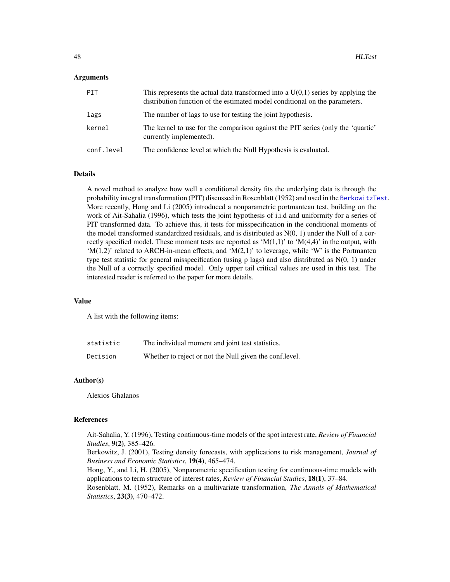#### Arguments

| PIT        | This represents the actual data transformed into a $U(0,1)$ series by applying the<br>distribution function of the estimated model conditional on the parameters. |
|------------|-------------------------------------------------------------------------------------------------------------------------------------------------------------------|
| lags       | The number of lags to use for testing the joint hypothesis.                                                                                                       |
| kernel     | The kernel to use for the comparison against the PIT series (only the 'quartic'<br>currently implemented).                                                        |
| conf.level | The confidence level at which the Null Hypothesis is evaluated.                                                                                                   |

#### Details

A novel method to analyze how well a conditional density fits the underlying data is through the probability integral transformation (PIT) discussed in Rosenblatt (1952) and used in the [BerkowitzTest](#page-29-0). More recently, Hong and Li (2005) introduced a nonparametric portmanteau test, building on the work of Ait-Sahalia (1996), which tests the joint hypothesis of i.i.d and uniformity for a series of PIT transformed data. To achieve this, it tests for misspecification in the conditional moments of the model transformed standardized residuals, and is distributed as  $N(0, 1)$  under the Null of a correctly specified model. These moment tests are reported as ' $M(1,1)$ ' to ' $M(4,4)$ ' in the output, with 'M(1,2)' related to ARCH-in-mean effects, and 'M(2,1)' to leverage, while 'W' is the Portmanteu type test statistic for general misspecification (using p lags) and also distributed as  $N(0, 1)$  under the Null of a correctly specified model. Only upper tail critical values are used in this test. The interested reader is referred to the paper for more details.

## Value

A list with the following items:

| statistic | The individual moment and joint test statistics.         |
|-----------|----------------------------------------------------------|
| Decision  | Whether to reject or not the Null given the conf. level. |

### Author(s)

Alexios Ghalanos

## References

Ait-Sahalia, Y. (1996), Testing continuous-time models of the spot interest rate, *Review of Financial Studies*, 9(2), 385–426.

Berkowitz, J. (2001), Testing density forecasts, with applications to risk management, *Journal of Business and Economic Statistics*, 19(4), 465–474.

Hong, Y., and Li, H. (2005), Nonparametric specification testing for continuous-time models with applications to term structure of interest rates, *Review of Financial Studies*, 18(1), 37–84.

Rosenblatt, M. (1952), Remarks on a multivariate transformation, *The Annals of Mathematical Statistics*, 23(3), 470–472.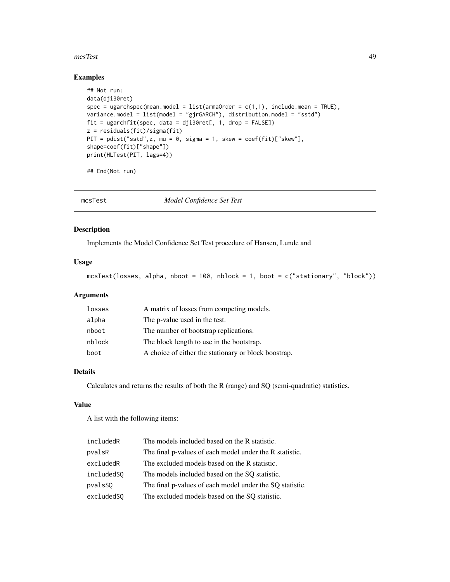#### mcsTest 49

# Examples

```
## Not run:
data(dji30ret)
spec = ugarchspec(mean.model = list(am20rder = c(1,1), include.mean = TRUE),variance.model = list(model = "gjrGARCH"), distribution.model = "sstd")
fit = ugarchfit(spec, data = dji30ret[, 1, drop = FALSE])
z = residuals(fit)/sigma(fit)
PIT = pdist("sstd",z, mu = 0, sigma = 1, skew = coef(fit)["skew"],
shape=coef(fit)["shape"])
print(HLTest(PIT, lags=4))
```
## End(Not run)

mcsTest *Model Confidence Set Test*

### Description

Implements the Model Confidence Set Test procedure of Hansen, Lunde and

# Usage

mcsTest(losses, alpha, nboot = 100, nblock = 1, boot = c("stationary", "block"))

# Arguments

| losses | A matrix of losses from competing models.            |
|--------|------------------------------------------------------|
| alpha  | The p-value used in the test.                        |
| nboot  | The number of bootstrap replications.                |
| nblock | The block length to use in the bootstrap.            |
| boot   | A choice of either the stationary or block boostrap. |

# Details

Calculates and returns the results of both the R (range) and SQ (semi-quadratic) statistics.

# Value

A list with the following items:

| includedR  | The models included based on the R statistic.            |
|------------|----------------------------------------------------------|
| pvalsR     | The final p-values of each model under the R statistic.  |
| excludedR  | The excluded models based on the R statistic.            |
| includedSQ | The models included based on the SO statistic.           |
| pvalsSQ    | The final p-values of each model under the SQ statistic. |
| excludedSO | The excluded models based on the SO statistic.           |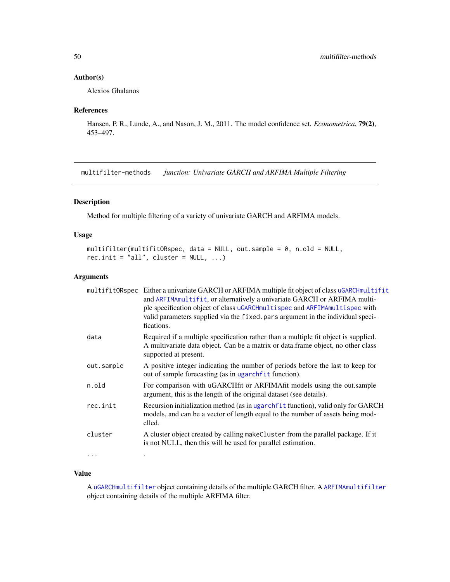# Author(s)

Alexios Ghalanos

# References

Hansen, P. R., Lunde, A., and Nason, J. M., 2011. The model confidence set. *Econometrica*, 79(2), 453–497.

multifilter-methods *function: Univariate GARCH and ARFIMA Multiple Filtering*

# Description

Method for multiple filtering of a variety of univariate GARCH and ARFIMA models.

# Usage

```
multifilter(multifitORspec, data = NULL, out.sample = 0, n.old = NULL,
rec.init = "all", cluster = NULL, ...)
```
### Arguments

|            | multifitORspec Either a univariate GARCH or ARFIMA multiple fit object of class uGARCHmultifit<br>and ARFIMAmultifit, or alternatively a univariate GARCH or ARFIMA multi-<br>ple specification object of class uGARCHmultispec and ARFIMAmultispec with<br>valid parameters supplied via the fixed. pars argument in the individual speci-<br>fications. |
|------------|-----------------------------------------------------------------------------------------------------------------------------------------------------------------------------------------------------------------------------------------------------------------------------------------------------------------------------------------------------------|
| data       | Required if a multiple specification rather than a multiple fit object is supplied.<br>A multivariate data object. Can be a matrix or data.frame object, no other class<br>supported at present.                                                                                                                                                          |
| out.sample | A positive integer indicating the number of periods before the last to keep for<br>out of sample forecasting (as in ugarchfit function).                                                                                                                                                                                                                  |
| n.old      | For comparison with uGARCH fit or ARFIMA fit models using the out sample<br>argument, this is the length of the original dataset (see details).                                                                                                                                                                                                           |
| rec.init   | Recursion initialization method (as in ugarch fit function), valid only for GARCH<br>models, and can be a vector of length equal to the number of assets being mod-<br>elled.                                                                                                                                                                             |
| cluster    | A cluster object created by calling makeCluster from the parallel package. If it<br>is not NULL, then this will be used for parallel estimation.                                                                                                                                                                                                          |
| $\cdots$   |                                                                                                                                                                                                                                                                                                                                                           |

# Value

A [uGARCHmultifilter](#page-77-1) object containing details of the multiple GARCH filter. A [ARFIMAmultifilter](#page-16-0) object containing details of the multiple ARFIMA filter.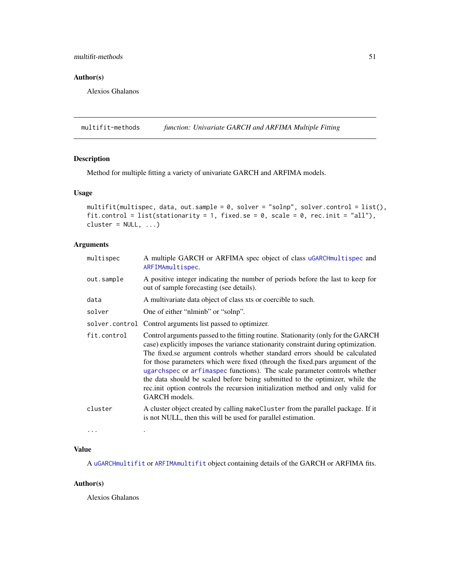# multifit-methods 51

# Author(s)

Alexios Ghalanos

multifit-methods *function: Univariate GARCH and ARFIMA Multiple Fitting*

# Description

Method for multiple fitting a variety of univariate GARCH and ARFIMA models.

# Usage

```
multifit(multispec, data, out.sample = 0, solver = "solnp", solver.control = list(),
fit.control = list(stationarity = 1, fixed.se = 0, scale = 0, rec.init = "all"),
cluster = NULL, ...
```
# Arguments

| multispec   | A multiple GARCH or ARFIMA spec object of class uGARCHmultispec and<br>ARFIMAmultispec.                                                                                                                                                                                                                                                                                                                                                                                                                                                                                                                  |
|-------------|----------------------------------------------------------------------------------------------------------------------------------------------------------------------------------------------------------------------------------------------------------------------------------------------------------------------------------------------------------------------------------------------------------------------------------------------------------------------------------------------------------------------------------------------------------------------------------------------------------|
| out.sample  | A positive integer indicating the number of periods before the last to keep for<br>out of sample forecasting (see details).                                                                                                                                                                                                                                                                                                                                                                                                                                                                              |
| data        | A multivariate data object of class xts or coercible to such.                                                                                                                                                                                                                                                                                                                                                                                                                                                                                                                                            |
| solver      | One of either "nlminb" or "solnp".                                                                                                                                                                                                                                                                                                                                                                                                                                                                                                                                                                       |
|             | solver.control Control arguments list passed to optimizer.                                                                                                                                                                                                                                                                                                                                                                                                                                                                                                                                               |
| fit.control | Control arguments passed to the fitting routine. Stationarity (only for the GARCH<br>case) explicitly imposes the variance stationarity constraint during optimization.<br>The fixed se argument controls whether standard errors should be calculated<br>for those parameters which were fixed (through the fixed pars argument of the<br>ugarchspec or arfimaspec functions). The scale parameter controls whether<br>the data should be scaled before being submitted to the optimizer, while the<br>rec.init option controls the recursion initialization method and only valid for<br>GARCH models. |
| cluster     | A cluster object created by calling make Cluster from the parallel package. If it<br>is not NULL, then this will be used for parallel estimation.                                                                                                                                                                                                                                                                                                                                                                                                                                                        |
| $\cdots$    |                                                                                                                                                                                                                                                                                                                                                                                                                                                                                                                                                                                                          |

## Value

A [uGARCHmultifit](#page-77-0) or [ARFIMAmultifit](#page-17-0) object containing details of the GARCH or ARFIMA fits.

# Author(s)

Alexios Ghalanos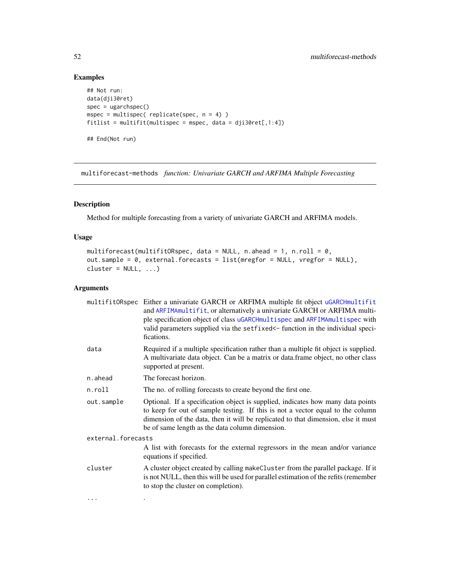# Examples

```
## Not run:
data(dji30ret)
spec = ugarchspec()mspec = multispec( replicate(spec, n = 4) )
fitlist = multifit(multispec = mspec, data = dji30ret[,1:4])
## End(Not run)
```
multiforecast-methods *function: Univariate GARCH and ARFIMA Multiple Forecasting*

# Description

Method for multiple forecasting from a variety of univariate GARCH and ARFIMA models.

# Usage

```
multiforecast(multifitORspec, data = NULL, n.ahead = 1, n.roll = 0,
out.sample = 0, external.forecasts = list(mregfor = NULL, vregfor = NULL),
cluster = NULL, ...
```
# Arguments

|                    | multifitORspec Either a univariate GARCH or ARFIMA multiple fit object uGARCHmultifit<br>and ARFIMAmultifit, or alternatively a univariate GARCH or ARFIMA multi-<br>ple specification object of class uGARCHmultispec and ARFIMAmultispec with<br>valid parameters supplied via the setfixed <- function in the individual speci-<br>fications. |
|--------------------|--------------------------------------------------------------------------------------------------------------------------------------------------------------------------------------------------------------------------------------------------------------------------------------------------------------------------------------------------|
| data               | Required if a multiple specification rather than a multiple fit object is supplied.<br>A multivariate data object. Can be a matrix or data.frame object, no other class<br>supported at present.                                                                                                                                                 |
| n.ahead            | The forecast horizon.                                                                                                                                                                                                                                                                                                                            |
| n.roll             | The no. of rolling forecasts to create beyond the first one.                                                                                                                                                                                                                                                                                     |
| out.sample         | Optional. If a specification object is supplied, indicates how many data points<br>to keep for out of sample testing. If this is not a vector equal to the column<br>dimension of the data, then it will be replicated to that dimension, else it must<br>be of same length as the data column dimension.                                        |
| external.forecasts |                                                                                                                                                                                                                                                                                                                                                  |
|                    | A list with forecasts for the external regressors in the mean and/or variance<br>equations if specified.                                                                                                                                                                                                                                         |
| cluster            | A cluster object created by calling makeCluster from the parallel package. If it<br>is not NULL, then this will be used for parallel estimation of the refits (remember<br>to stop the cluster on completion).                                                                                                                                   |
| $\cdots$           |                                                                                                                                                                                                                                                                                                                                                  |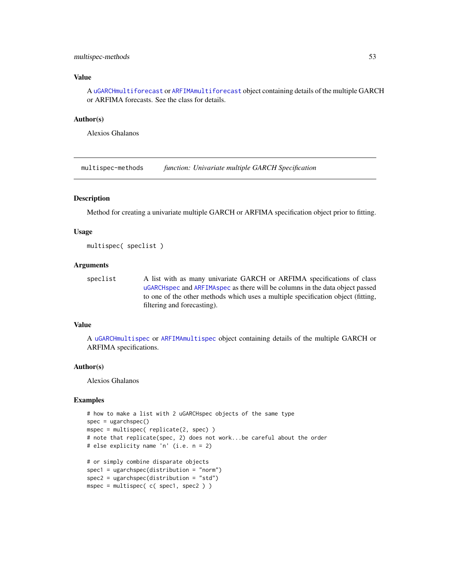## multispec-methods 53

# Value

A [uGARCHmultiforecast](#page-78-0) or [ARFIMAmultiforecast](#page-18-1) object containing details of the multiple GARCH or ARFIMA forecasts. See the class for details.

#### Author(s)

Alexios Ghalanos

multispec-methods *function: Univariate multiple GARCH Specification*

### Description

Method for creating a univariate multiple GARCH or ARFIMA specification object prior to fitting.

### Usage

multispec( speclist )

## Arguments

speclist A list with as many univariate GARCH or ARFIMA specifications of class [uGARCHspec](#page-89-0) and [ARFIMAspec](#page-25-0) as there will be columns in the data object passed to one of the other methods which uses a multiple specification object (fitting, filtering and forecasting).

# Value

A [uGARCHmultispec](#page-79-0) or [ARFIMAmultispec](#page-18-0) object containing details of the multiple GARCH or ARFIMA specifications.

# Author(s)

Alexios Ghalanos

# Examples

```
# how to make a list with 2 uGARCHspec objects of the same type
spec = ugarchspec()mspec = multispec( replicate(2, spec) )
# note that replicate(spec, 2) does not work...be careful about the order
# else explicity name 'n' (i.e. n = 2)
# or simply combine disparate objects
spec1 = ugarchspec(distribution = "norm")
spec2 = ugarchspec(distribution = "std")
mspec = multispec( c( spec1, spec2 ) )
```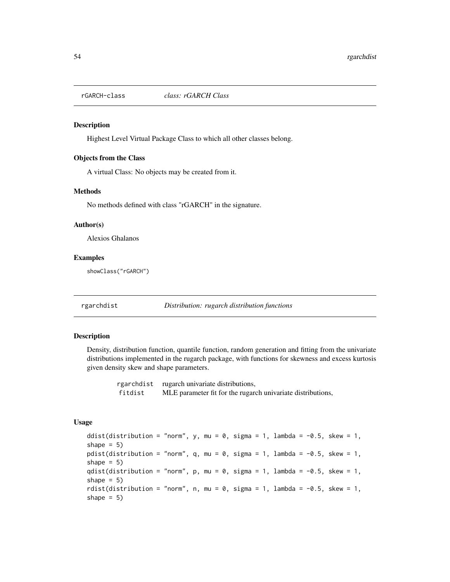<span id="page-53-0"></span>

#### Description

Highest Level Virtual Package Class to which all other classes belong.

#### Objects from the Class

A virtual Class: No objects may be created from it.

#### Methods

No methods defined with class "rGARCH" in the signature.

#### Author(s)

Alexios Ghalanos

### Examples

showClass("rGARCH")

rgarchdist *Distribution: rugarch distribution functions*

#### Description

Density, distribution function, quantile function, random generation and fitting from the univariate distributions implemented in the rugarch package, with functions for skewness and excess kurtosis given density skew and shape parameters.

> rgarchdist rugarch univariate distributions, fitdist MLE parameter fit for the rugarch univariate distributions,

### Usage

ddist(distribution = "norm", y, mu = 0, sigma = 1, lambda =  $-0.5$ , skew = 1, shape  $= 5$ ) pdist(distribution = "norm", q, mu =  $\theta$ , sigma = 1, lambda = -0.5, skew = 1, shape  $= 5$ ) qdist(distribution = "norm",  $p$ , mu = 0, sigma = 1, lambda = -0.5, skew = 1, shape  $= 5$ ) rdist(distribution = "norm", n, mu = 0, sigma = 1, lambda =  $-0.5$ , skew = 1, shape  $= 5$ )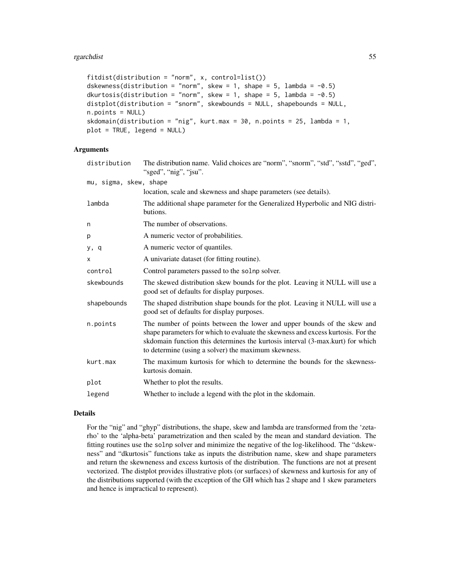```
fitdist(distribution = "norm", x, control=list())
dskewness(distribution = "norm", skew = 1, shape = 5, lambda = -0.5)
dkurtosis(distribution = "norm", skew = 1, shape = 5, lambda = -0.5)
distplot(distribution = "snorm", skewbounds = NULL, shapebounds = NULL,
n.points = NULL)
skdomain(distribution = "nig", kurt.max = 30, n.points = 25, lambda = 1,
plot = TRUE, legend = NULL)
```
### Arguments

| distribution           | The distribution name. Valid choices are "norm", "snorm", "std", "sstd", "ged",<br>"sged", "nig", "jsu".                                                                                                                                                                                             |
|------------------------|------------------------------------------------------------------------------------------------------------------------------------------------------------------------------------------------------------------------------------------------------------------------------------------------------|
| mu, sigma, skew, shape |                                                                                                                                                                                                                                                                                                      |
|                        | location, scale and skewness and shape parameters (see details).                                                                                                                                                                                                                                     |
| lambda                 | The additional shape parameter for the Generalized Hyperbolic and NIG distri-<br>butions.                                                                                                                                                                                                            |
| n                      | The number of observations.                                                                                                                                                                                                                                                                          |
| p                      | A numeric vector of probabilities.                                                                                                                                                                                                                                                                   |
| y, q                   | A numeric vector of quantiles.                                                                                                                                                                                                                                                                       |
| X                      | A univariate dataset (for fitting routine).                                                                                                                                                                                                                                                          |
| control                | Control parameters passed to the solnp solver.                                                                                                                                                                                                                                                       |
| skewbounds             | The skewed distribution skew bounds for the plot. Leaving it NULL will use a<br>good set of defaults for display purposes.                                                                                                                                                                           |
| shapebounds            | The shaped distribution shape bounds for the plot. Leaving it NULL will use a<br>good set of defaults for display purposes.                                                                                                                                                                          |
| n.points               | The number of points between the lower and upper bounds of the skew and<br>shape parameters for which to evaluate the skewness and excess kurtosis. For the<br>skdomain function this determines the kurtosis interval (3-max.kurt) for which<br>to determine (using a solver) the maximum skewness. |
| kurt.max               | The maximum kurtosis for which to determine the bounds for the skewness-<br>kurtosis domain.                                                                                                                                                                                                         |
| plot                   | Whether to plot the results.                                                                                                                                                                                                                                                                         |
| legend                 | Whether to include a legend with the plot in the skdomain.                                                                                                                                                                                                                                           |

# Details

For the "nig" and "ghyp" distributions, the shape, skew and lambda are transformed from the 'zetarho' to the 'alpha-beta' parametrization and then scaled by the mean and standard deviation. The fitting routines use the solnp solver and minimize the negative of the log-likelihood. The "dskewness" and "dkurtosis" functions take as inputs the distribution name, skew and shape parameters and return the skewneness and excess kurtosis of the distribution. The functions are not at present vectorized. The distplot provides illustrative plots (or surfaces) of skewness and kurtosis for any of the distributions supported (with the exception of the GH which has 2 shape and 1 skew parameters and hence is impractical to represent).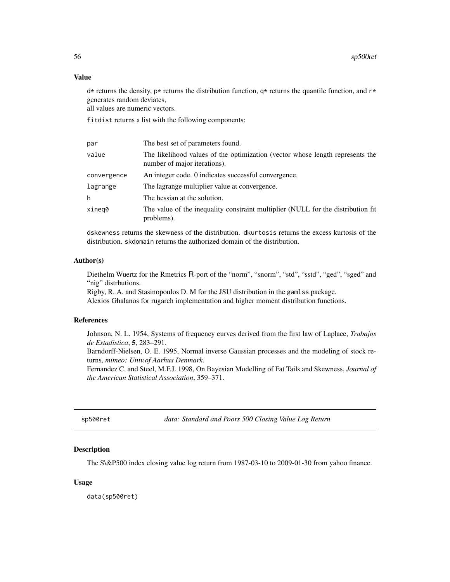# Value

 $d*$  returns the density, p\* returns the distribution function,  $q*$  returns the quantile function, and  $r*$ generates random deviates,

all values are numeric vectors.

fitdist returns a list with the following components:

| par         | The best set of parameters found.                                                                             |
|-------------|---------------------------------------------------------------------------------------------------------------|
| value       | The likelihood values of the optimization (vector whose length represents the<br>number of major iterations). |
| convergence | An integer code. 0 indicates successful convergence.                                                          |
| lagrange    | The lagrange multiplier value at convergence.                                                                 |
| h           | The hessian at the solution.                                                                                  |
| xineq0      | The value of the inequality constraint multiplier (NULL for the distribution fit)<br>problems).               |

dskewness returns the skewness of the distribution. dkurtosis returns the excess kurtosis of the distribution. skdomain returns the authorized domain of the distribution.

#### Author(s)

Diethelm Wuertz for the Rmetrics R-port of the "norm", "snorm", "std", "sstd", "ged", "sged" and "nig" distrbutions.

Rigby, R. A. and Stasinopoulos D. M for the JSU distribution in the gamlss package.

Alexios Ghalanos for rugarch implementation and higher moment distribution functions.

#### References

Johnson, N. L. 1954, Systems of frequency curves derived from the first law of Laplace, *Trabajos de Estadistica*, 5, 283–291.

Barndorff-Nielsen, O. E. 1995, Normal inverse Gaussian processes and the modeling of stock returns, *mimeo: Univ.of Aarhus Denmark*.

Fernandez C. and Steel, M.F.J. 1998, On Bayesian Modelling of Fat Tails and Skewness, *Journal of the American Statistical Association*, 359–371.

sp500ret *data: Standard and Poors 500 Closing Value Log Return*

## **Description**

The S\&P500 index closing value log return from 1987-03-10 to 2009-01-30 from yahoo finance.

#### Usage

data(sp500ret)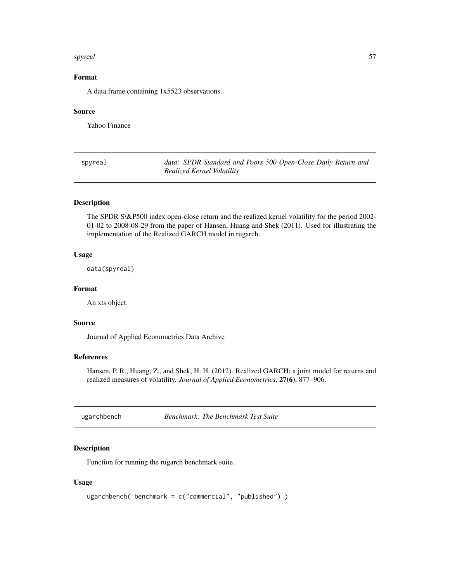#### spyreal 57

# Format

A data.frame containing 1x5523 observations.

#### Source

Yahoo Finance

| spyreal |  |
|---------|--|
|---------|--|

data: SPDR Standard and Poors 500 Open-Close Daily Return and *Realized Kernel Volatility*

# Description

The SPDR S\&P500 index open-close return and the realized kernel volatility for the period 2002- 01-02 to 2008-08-29 from the paper of Hansen, Huang and Shek (2011). Used for illustrating the implementation of the Realized GARCH model in rugarch.

# Usage

data(spyreal)

#### Format

An xts object.

# Source

Journal of Applied Econometrics Data Archive

# References

Hansen, P. R., Huang, Z., and Shek, H. H. (2012). Realized GARCH: a joint model for returns and realized measures of volatility. *Journal of Applied Econometrics*, 27(6), 877–906.

ugarchbench *Benchmark: The Benchmark Test Suite*

## Description

Function for running the rugarch benchmark suite.

#### Usage

```
ugarchbench( benchmark = c("commercial", "published") )
```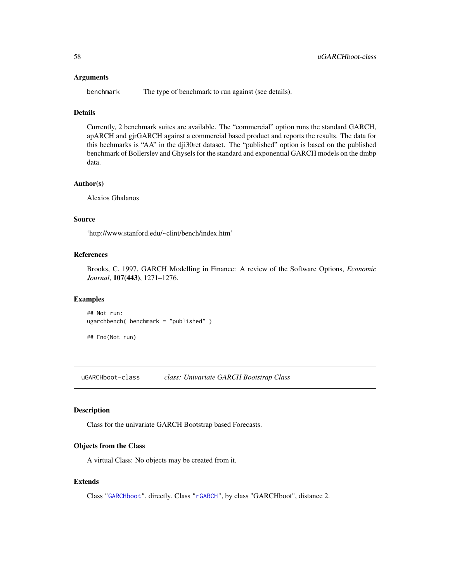#### Arguments

benchmark The type of benchmark to run against (see details).

# Details

Currently, 2 benchmark suites are available. The "commercial" option runs the standard GARCH, apARCH and gjrGARCH against a commercial based product and reports the results. The data for this bechmarks is "AA" in the dji30ret dataset. The "published" option is based on the published benchmark of Bollerslev and Ghysels for the standard and exponential GARCH models on the dmbp data.

### Author(s)

Alexios Ghalanos

#### Source

'http://www.stanford.edu/~clint/bench/index.htm'

# References

Brooks, C. 1997, GARCH Modelling in Finance: A review of the Software Options, *Economic Journal*, 107(443), 1271–1276.

# Examples

```
## Not run:
ugarchbench( benchmark = "published" )
```

```
## End(Not run)
```
<span id="page-57-0"></span>uGARCHboot-class *class: Univariate GARCH Bootstrap Class*

#### Description

Class for the univariate GARCH Bootstrap based Forecasts.

#### Objects from the Class

A virtual Class: No objects may be created from it.

# Extends

Class ["GARCHboot"](#page-37-0), directly. Class ["rGARCH"](#page-53-0), by class "GARCHboot", distance 2.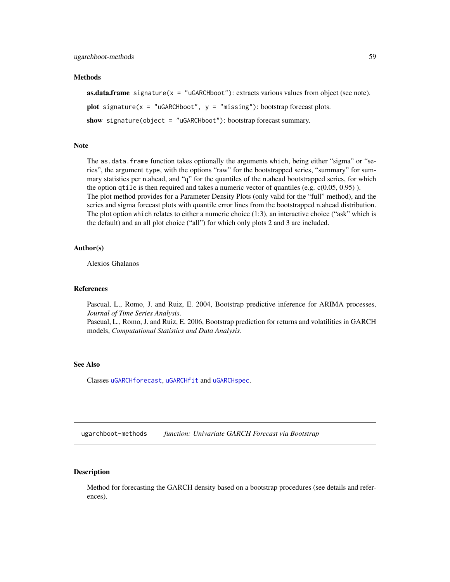#### Methods

**as.data.frame** signature( $x =$  "uGARCHboot"): extracts various values from object (see note). plot signature( $x =$  "uGARCHboot",  $y =$  "missing"): bootstrap forecast plots.

show signature(object = "uGARCHboot"): bootstrap forecast summary.

# Note

The as.data.frame function takes optionally the arguments which, being either "sigma" or "series", the argument type, with the options "raw" for the bootstrapped series, "summary" for summary statistics per n.ahead, and "q" for the quantiles of the n.ahead bootstrapped series, for which the option qtile is then required and takes a numeric vector of quantiles (e.g.  $c(0.05, 0.95)$ ). The plot method provides for a Parameter Density Plots (only valid for the "full" method), and the series and sigma forecast plots with quantile error lines from the bootstrapped n.ahead distribution. The plot option which relates to either a numeric choice (1:3), an interactive choice ("ask" which is the default) and an all plot choice ("all") for which only plots 2 and 3 are included.

#### Author(s)

Alexios Ghalanos

#### References

Pascual, L., Romo, J. and Ruiz, E. 2004, Bootstrap predictive inference for ARIMA processes, *Journal of Time Series Analysis*.

Pascual, L., Romo, J. and Ruiz, E. 2006, Bootstrap prediction for returns and volatilities in GARCH models, *Computational Statistics and Data Analysis*.

#### See Also

Classes [uGARCHforecast](#page-73-0), [uGARCHfit](#page-67-0) and [uGARCHspec](#page-89-0).

ugarchboot-methods *function: Univariate GARCH Forecast via Bootstrap*

### <span id="page-58-0"></span>**Description**

Method for forecasting the GARCH density based on a bootstrap procedures (see details and references).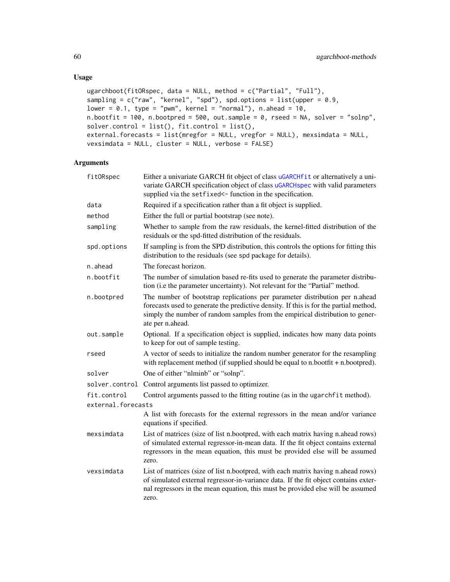```
ugarchboot(fitORspec, data = NULL, method = c("Partial", "Full"),
sampling = c("raw", "kernel", "spd"), spd.options = list(upper = 0.9,lower = 0.1, type = "pwm", kernel = "normal"), n. ahead = 10,n.bootfit = 100, n.bootpred = 500, out.sample = 0, rseed = NA, solver = "solnp",
solver.control = list(), fitcontrol = list(),
external.forecasts = list(mregfor = NULL, vregfor = NULL), mexsimdata = NULL,
vexsimdata = NULL, cluster = NULL, verbose = FALSE)
```
### Arguments

| fitORspec          | Either a univariate GARCH fit object of class uGARCHfit or alternatively a uni-<br>variate GARCH specification object of class uGARCHspec with valid parameters<br>supplied via the setfixed <- function in the specification.                                            |
|--------------------|---------------------------------------------------------------------------------------------------------------------------------------------------------------------------------------------------------------------------------------------------------------------------|
| data               | Required if a specification rather than a fit object is supplied.                                                                                                                                                                                                         |
| method             | Either the full or partial bootstrap (see note).                                                                                                                                                                                                                          |
| sampling           | Whether to sample from the raw residuals, the kernel-fitted distribution of the<br>residuals or the spd-fitted distribution of the residuals.                                                                                                                             |
| spd.options        | If sampling is from the SPD distribution, this controls the options for fitting this<br>distribution to the residuals (see spd package for details).                                                                                                                      |
| n.ahead            | The forecast horizon.                                                                                                                                                                                                                                                     |
| n.bootfit          | The number of simulation based re-fits used to generate the parameter distribu-<br>tion (i.e the parameter uncertainty). Not relevant for the "Partial" method.                                                                                                           |
| n.bootpred         | The number of bootstrap replications per parameter distribution per n.ahead<br>forecasts used to generate the predictive density. If this is for the partial method,<br>simply the number of random samples from the empirical distribution to gener-<br>ate per n.ahead. |
| out.sample         | Optional. If a specification object is supplied, indicates how many data points<br>to keep for out of sample testing.                                                                                                                                                     |
| rseed              | A vector of seeds to initialize the random number generator for the resampling<br>with replacement method (if supplied should be equal to n.bootfit + n.bootpred).                                                                                                        |
| solver             | One of either "nlminb" or "solnp".                                                                                                                                                                                                                                        |
| solver.control     | Control arguments list passed to optimizer.                                                                                                                                                                                                                               |
| fit.control        | Control arguments passed to the fitting routine (as in the ugarchfit method).                                                                                                                                                                                             |
| external.forecasts |                                                                                                                                                                                                                                                                           |
|                    | A list with forecasts for the external regressors in the mean and/or variance<br>equations if specified.                                                                                                                                                                  |
| mexsimdata         | List of matrices (size of list n.bootpred, with each matrix having n.ahead rows)<br>of simulated external regressor-in-mean data. If the fit object contains external<br>regressors in the mean equation, this must be provided else will be assumed<br>zero.             |
| vexsimdata         | List of matrices (size of list n.bootpred, with each matrix having n.ahead rows)<br>of simulated external regressor-in-variance data. If the fit object contains exter-<br>nal regressors in the mean equation, this must be provided else will be assumed<br>zero.       |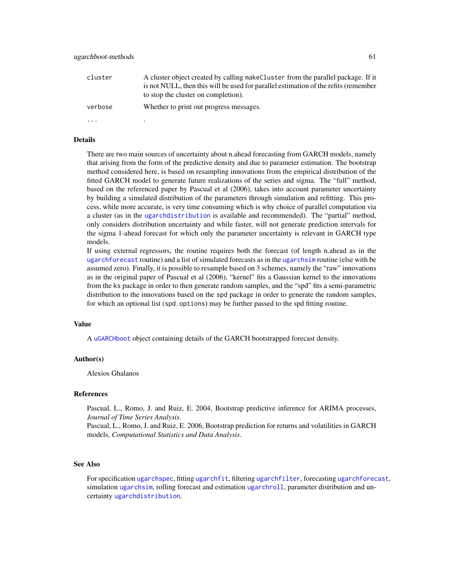| cluster  | A cluster object created by calling make Cluster from the parallel package. If it<br>is not NULL, then this will be used for parallel estimation of the refits (remember<br>to stop the cluster on completion). |
|----------|-----------------------------------------------------------------------------------------------------------------------------------------------------------------------------------------------------------------|
| verbose  | Whether to print out progress messages.                                                                                                                                                                         |
| $\cdots$ |                                                                                                                                                                                                                 |

#### Details

There are two main sources of uncertainty about n.ahead forecasting from GARCH models, namely that arising from the form of the predictive density and due to parameter estimation. The bootstrap method considered here, is based on resampling innovations from the empirical distribution of the fitted GARCH model to generate future realizations of the series and sigma. The "full" method, based on the referenced paper by Pascual et al (2006), takes into account parameter uncertainty by building a simulated distribution of the parameters through simulation and refitting. This process, while more accurate, is very time consuming which is why choice of parallel computation via a cluster (as in the [ugarchdistribution](#page-62-0) is available and recommended). The "partial" method, only considers distribution uncertainty and while faster, will not generate prediction intervals for the sigma 1-ahead forecast for which only the parameter uncertainty is relevant in GARCH type models.

If using external regressors, the routine requires both the forecast (of length n.ahead as in the [ugarchforecast](#page-75-0) routine) and a list of simulated forecasts as in the [ugarchsim](#page-87-0) routine (else with be assumed zero). Finally, it is possible to resample based on 3 schemes, namely the "raw" innovations as in the original paper of Pascual et al (2006), "kernel" fits a Gaussian kernel to the innovations from the ks package in order to then generate random samples, and the "spd" fits a semi-parametric distribution to the innovations based on the spd package in order to generate the random samples, for which an optional list (spd.options) may be further passed to the spd fitting routine.

#### Value

A [uGARCHboot](#page-57-0) object containing details of the GARCH bootstrapped forecast density.

#### Author(s)

Alexios Ghalanos

#### References

Pascual, L., Romo, J. and Ruiz, E. 2004, Bootstrap predictive inference for ARIMA processes, *Journal of Time Series Analysis*.

Pascual, L., Romo, J. and Ruiz, E. 2006, Bootstrap prediction for returns and volatilities in GARCH models, *Computational Statistics and Data Analysis*.

# See Also

For specification [ugarchspec](#page-90-0), fitting [ugarchfit](#page-70-0), filtering [ugarchfilter](#page-66-0), forecasting [ugarchforecast](#page-75-0), simulation [ugarchsim](#page-87-0), rolling forecast and estimation [ugarchroll](#page-84-0), parameter distribution and uncertainty [ugarchdistribution](#page-62-0).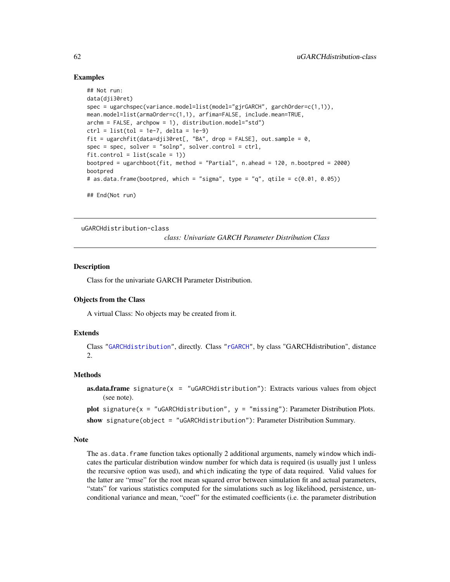### Examples

```
## Not run:
data(dji30ret)
spec = ugarchspec(variance.model=list(model="gjrGARCH", garchOrder=c(1,1)),
mean.model=list(armaOrder=c(1,1), arfima=FALSE, include.mean=TRUE,
archm = FALSE, archpow = 1), distribution.model="std")
ctrl = list(tol = 1e-7, delta = 1e-9)fit = ugarchfit(data=dji30ret[, "BA", drop = FALSE], out.sample = 0,
spec = spec, solver = "solnp", solver.control = ctrl,fitcontrol = list(scale = 1)bootpred = ugarchboot(fit, method = "Partial", n.ahead = 120, n.bootpred = 2000)
bootpred
# as.data.frame(bootpred, which = "sigma", type = "q", qtile = c(0.01, 0.05))
## End(Not run)
```
<span id="page-61-0"></span>uGARCHdistribution-class

*class: Univariate GARCH Parameter Distribution Class*

#### **Description**

Class for the univariate GARCH Parameter Distribution.

#### Objects from the Class

A virtual Class: No objects may be created from it.

# Extends

Class ["GARCHdistribution"](#page-38-0), directly. Class ["rGARCH"](#page-53-0), by class "GARCHdistribution", distance 2.

## Methods

```
as.data.frame signature(x = "uGARCHdistribution"): Extracts various values from object
    (see note).
plot signature(x = "uGARCHdistribution", y = "missing"): Parameter Distribution Plots.
```

```
show signature(object = "uGARCHdistribution"): Parameter Distribution Summary.
```
#### Note

The as.data.frame function takes optionally 2 additional arguments, namely window which indicates the particular distribution window number for which data is required (is usually just 1 unless the recursive option was used), and which indicating the type of data required. Valid values for the latter are "rmse" for the root mean squared error between simulation fit and actual parameters, "stats" for various statistics computed for the simulations such as log likelihood, persistence, unconditional variance and mean, "coef" for the estimated coefficients (i.e. the parameter distribution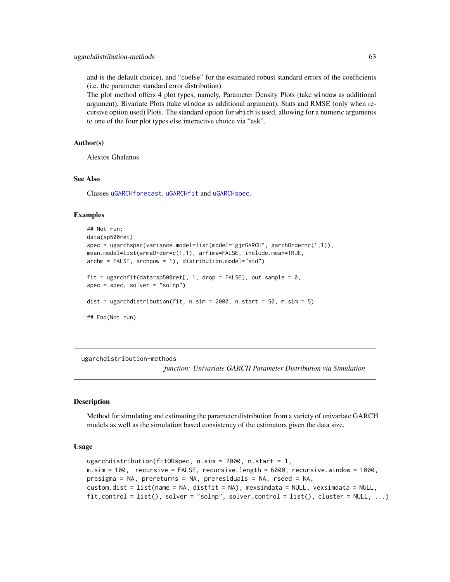and is the default choice), and "coefse" for the estimated robust standard errors of the coefficients (i.e. the parameter standard error distribution).

The plot method offers 4 plot types, namely, Parameter Density Plots (take window as additional argument), Bivariate Plots (take window as additional argument), Stats and RMSE (only when recursive option used) Plots. The standard option for which is used, allowing for a numeric arguments to one of the four plot types else interactive choice via "ask".

# Author(s)

Alexios Ghalanos

#### See Also

Classes [uGARCHforecast](#page-73-0), [uGARCHfit](#page-67-0) and [uGARCHspec](#page-89-0).

### Examples

```
## Not run:
data(sp500ret)
spec = ugarchspec(variance.model=list(model="gjrGARCH", garchOrder=c(1,1)),
mean.model=list(armaOrder=c(1,1), arfima=FALSE, include.mean=TRUE,
archm = FALSE, archpow = 1), distribution.model="std")
fit = ugarchfit(data=sp500ret[, 1, drop = FALSE], out.sample = 0,
spec = spec, solver = "solnp")
dist = ugarchdistribution(fit, n \sin = 2000, n \cdot \text{start} = 50, m \cdot \text{sim} = 5)
## End(Not run)
```
ugarchdistribution-methods

*function: Univariate GARCH Parameter Distribution via Simulation*

#### <span id="page-62-0"></span>**Description**

Method for simulating and estimating the parameter distribution from a variety of univariate GARCH models as well as the simulation based consistency of the estimators given the data size.

#### Usage

```
ugarchdistribution(fitORspec, n.sim = 2000, n.start = 1,
m.sim = 100, recursive = FALSE, recursive.length = 6000, recursive.window = 1000,
presigma = NA, prereturns = NA, preresiduals = NA, rseed = NA,
custom.dist = list(name = NA, distfit = NA), mexsimdata = NULL, vexsimdata = NULL,
fit-control = list(), solver = "solnp", solver.config = list(), cluster = NULL, ...)
```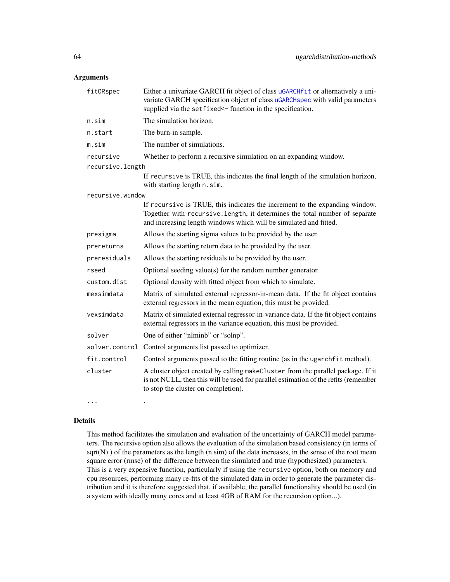# Arguments

| fitORspec        | Either a univariate GARCH fit object of class uGARCHf it or alternatively a uni-<br>variate GARCH specification object of class uGARCHspec with valid parameters<br>supplied via the setfixed <- function in the specification. |
|------------------|---------------------------------------------------------------------------------------------------------------------------------------------------------------------------------------------------------------------------------|
| n.sim            | The simulation horizon.                                                                                                                                                                                                         |
| n.start          | The burn-in sample.                                                                                                                                                                                                             |
| m.sim            | The number of simulations.                                                                                                                                                                                                      |
| recursive        | Whether to perform a recursive simulation on an expanding window.                                                                                                                                                               |
| recursive.length |                                                                                                                                                                                                                                 |
|                  | If recursive is TRUE, this indicates the final length of the simulation horizon,<br>with starting length n.sim.                                                                                                                 |
| recursive.window |                                                                                                                                                                                                                                 |
|                  | If recursive is TRUE, this indicates the increment to the expanding window.<br>Together with recursive.length, it determines the total number of separate<br>and increasing length windows which will be simulated and fitted.  |
| presigma         | Allows the starting sigma values to be provided by the user.                                                                                                                                                                    |
| prereturns       | Allows the starting return data to be provided by the user.                                                                                                                                                                     |
| preresiduals     | Allows the starting residuals to be provided by the user.                                                                                                                                                                       |
| rseed            | Optional seeding value(s) for the random number generator.                                                                                                                                                                      |
| custom.dist      | Optional density with fitted object from which to simulate.                                                                                                                                                                     |
| mexsimdata       | Matrix of simulated external regressor-in-mean data. If the fit object contains<br>external regressors in the mean equation, this must be provided.                                                                             |
| vexsimdata       | Matrix of simulated external regressor-in-variance data. If the fit object contains<br>external regressors in the variance equation, this must be provided.                                                                     |
| solver           | One of either "nlminb" or "solnp".                                                                                                                                                                                              |
| solver.control   | Control arguments list passed to optimizer.                                                                                                                                                                                     |
| fit.control      | Control arguments passed to the fitting routine (as in the ugarchfit method).                                                                                                                                                   |
| cluster          | A cluster object created by calling makeCluster from the parallel package. If it<br>is not NULL, then this will be used for parallel estimation of the refits (remember<br>to stop the cluster on completion).                  |
| $\cdots$         |                                                                                                                                                                                                                                 |

# Details

This method facilitates the simulation and evaluation of the uncertainty of GARCH model parameters. The recursive option also allows the evaluation of the simulation based consistency (in terms of  $sqrt(N)$ ) of the parameters as the length  $(n,sim)$  of the data increases, in the sense of the root mean square error (rmse) of the difference between the simulated and true (hypothesized) parameters. This is a very expensive function, particularly if using the recursive option, both on memory and cpu resources, performing many re-fits of the simulated data in order to generate the parameter distribution and it is therefore suggested that, if available, the parallel functionality should be used (in a system with ideally many cores and at least 4GB of RAM for the recursion option...).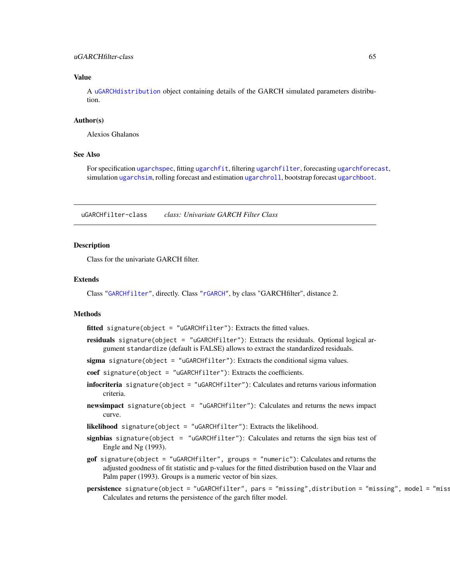#### uGARCHfilter-class 65

### Value

A [uGARCHdistribution](#page-61-0) object containing details of the GARCH simulated parameters distribution.

### Author(s)

Alexios Ghalanos

## See Also

For specification [ugarchspec](#page-90-0), fitting [ugarchfit](#page-70-0), filtering [ugarchfilter](#page-66-0), forecasting [ugarchforecast](#page-75-0), simulation [ugarchsim](#page-87-0), rolling forecast and estimation [ugarchroll](#page-84-0), bootstrap forecast [ugarchboot](#page-58-0).

<span id="page-64-0"></span>uGARCHfilter-class *class: Univariate GARCH Filter Class*

### Description

Class for the univariate GARCH filter.

# Extends

Class ["GARCHfilter"](#page-39-0), directly. Class ["rGARCH"](#page-53-0), by class "GARCHfilter", distance 2.

#### Methods

fitted signature(object = "uGARCHfilter"): Extracts the fitted values.

residuals signature(object = "uGARCHfilter"): Extracts the residuals. Optional logical argument standardize (default is FALSE) allows to extract the standardized residuals.

sigma signature(object = "uGARCHfilter"): Extracts the conditional sigma values.

coef signature(object = "uGARCHfilter"): Extracts the coefficients.

- infocriteria signature(object = "uGARCHfilter"): Calculates and returns various information criteria.
- newsimpact signature(object = "uGARCHfilter"): Calculates and returns the news impact curve.

likelihood signature(object = "uGARCHfilter"): Extracts the likelihood.

- signbias signature(object = "uGARCHfilter"): Calculates and returns the sign bias test of Engle and Ng (1993).
- gof signature(object = "uGARCHfilter", groups = "numeric"): Calculates and returns the adjusted goodness of fit statistic and p-values for the fitted distribution based on the Vlaar and Palm paper (1993). Groups is a numeric vector of bin sizes.
- persistence signature(object = "uGARCHfilter", pars = "missing",distribution = "missing", model = "miss Calculates and returns the persistence of the garch filter model.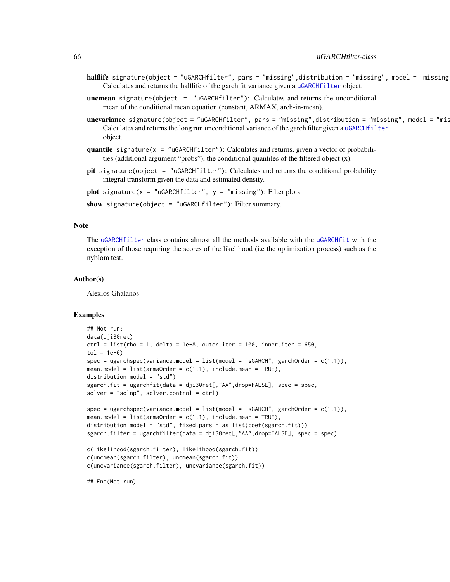- halflife signature(object = "uGARCHfilter", pars = "missing",distribution = "missing", model = "missing Calculates and returns the halflife of the garch fit variance given a [uGARCHfilter](#page-64-0) object.
- **uncmean** signature(object =  $"uGARCHfilter"$ ): Calculates and returns the unconditional mean of the conditional mean equation (constant, ARMAX, arch-in-mean).
- uncvariance signature(object = "uGARCHfilter", pars = "missing",distribution = "missing", model = "mis Calculates and returns the long run unconditional variance of the garch filter given a [uGARCHfilter](#page-64-0) object.
- quantile signature( $x = "uGARCHfilter")$ : Calculates and returns, given a vector of probabilities (additional argument "probs"), the conditional quantiles of the filtered object  $(x)$ .
- pit signature(object = "uGARCHfilter"): Calculates and returns the conditional probability integral transform given the data and estimated density.

plot signature( $x =$  "uGARCHfilter",  $y =$  "missing"): Filter plots

show signature(object = "uGARCHfilter"): Filter summary.

# Note

The [uGARCHfilter](#page-64-0) class contains almost all the methods available with the [uGARCHfit](#page-67-0) with the exception of those requiring the scores of the likelihood (i.e the optimization process) such as the nyblom test.

#### Author(s)

Alexios Ghalanos

### Examples

```
## Not run:
data(dji30ret)
ctrl = list(rho = 1, delta = 1e-8, outer.iter = 100, inner.iter = 650,tol = 1e-6spec = ugarchspec(varriance.model = list(model = "SGARCH", garchOrder = c(1,1)),mean.model = list(armaOrder = c(1,1), include mean = TRUE),distribution.model = "std")
sgarch.fit = ugarchfit(data = dji30ret[,"AA",drop=FALSE], spec = spec,
solver = "solnp", solver.control = ctrl)
spec = ugarchspec(varriance.model = list(model = "sGARCH", garchOrder = c(1,1)),mean.model = list(armaOrder = c(1,1), include mean = TRUE),distribution.model = "std", fixed.pars = as.list(coef(sgarch.fit)))
sgarch.filter = ugarchfilter(data = dji30ret[,"AA",drop=FALSE], spec = spec)
c(likelihood(sgarch.filter), likelihood(sgarch.fit))
c(uncmean(sgarch.filter), uncmean(sgarch.fit))
c(uncvariance(sgarch.filter), uncvariance(sgarch.fit))
## End(Not run)
```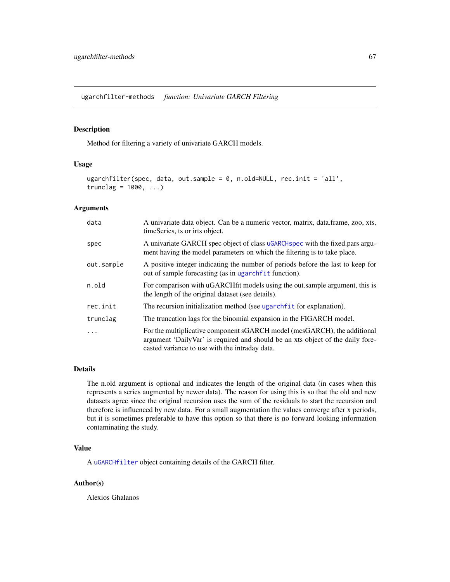ugarchfilter-methods *function: Univariate GARCH Filtering*

# <span id="page-66-0"></span>Description

Method for filtering a variety of univariate GARCH models.

### Usage

```
ugarchfilter(spec, data, out.sample = 0, n.old=NULL, rec.init = 'all',
trunclag = 1000, \ldots)
```
# Arguments

| data       | A univariate data object. Can be a numeric vector, matrix, data.frame, zoo, xts,<br>timeSeries, ts or irts object.                                                                                           |
|------------|--------------------------------------------------------------------------------------------------------------------------------------------------------------------------------------------------------------|
| spec       | A univariate GARCH spec object of class uGARCH spec with the fixed pars argu-<br>ment having the model parameters on which the filtering is to take place.                                                   |
| out.sample | A positive integer indicating the number of periods before the last to keep for<br>out of sample forecasting (as in ugarch f it function).                                                                   |
| n.old      | For comparison with uGARCH fit models using the out sample argument, this is<br>the length of the original dataset (see details).                                                                            |
| rec.init   | The recursion initialization method (see ugarchfit for explanation).                                                                                                                                         |
| trunclag   | The truncation lags for the binomial expansion in the FIGARCH model.                                                                                                                                         |
| .          | For the multiplicative component sGARCH model (mcsGARCH), the additional<br>argument 'DailyVar' is required and should be an xts object of the daily fore-<br>casted variance to use with the intraday data. |

### Details

The n.old argument is optional and indicates the length of the original data (in cases when this represents a series augmented by newer data). The reason for using this is so that the old and new datasets agree since the original recursion uses the sum of the residuals to start the recursion and therefore is influenced by new data. For a small augmentation the values converge after x periods, but it is sometimes preferable to have this option so that there is no forward looking information contaminating the study.

## Value

A [uGARCHfilter](#page-64-0) object containing details of the GARCH filter.

#### Author(s)

Alexios Ghalanos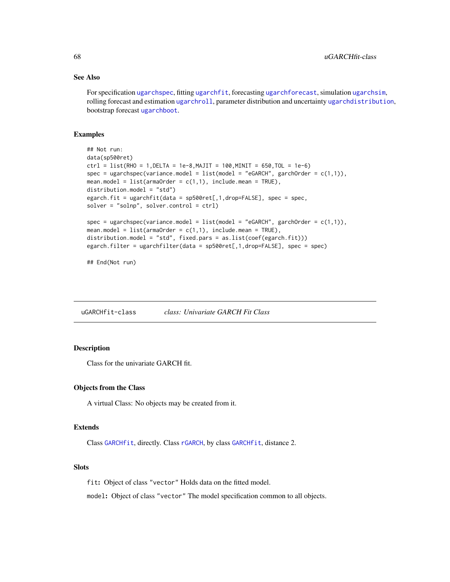#### See Also

For specification [ugarchspec](#page-90-0), fitting [ugarchfit](#page-70-0), forecasting [ugarchforecast](#page-75-0), simulation [ugarchsim](#page-87-0), rolling forecast and estimation [ugarchroll](#page-84-0), parameter distribution and uncertainty [ugarchdistribution](#page-62-0), bootstrap forecast [ugarchboot](#page-58-0).

#### Examples

```
## Not run:
data(sp500ret)
ctrl = list(RHO = 1,DELTA = 1e-8,MAJIT = 100,MINIT = 650,TOL = 1e-6)
spec = ugarchspec(variance.model = list(model = "eGARCH", garchOrder = c(1,1)),mean.model = list(armaOrder = c(1,1), include .mean = TRUE),distribution.model = "std")
egarch.fit = ugarchfit(data = sp500ret[,1,drop=FALSE], spec = spec,
solver = "solnp", solver.control = ctrl)
spec = ugarchspec(variance.model = list(model = "eGARCH", garchOrder = c(1,1)),
mean.model = list(armaOrder = c(1,1), include.mean = TRUE),distribution.model = "std", fixed.pars = as.list(coef(egarch.fit)))
egarch.filter = ugarchfilter(data = sp500ret[,1,drop=FALSE], spec = spec)
```
## End(Not run)

<span id="page-67-0"></span>uGARCHfit-class *class: Univariate GARCH Fit Class*

# **Description**

Class for the univariate GARCH fit.

#### Objects from the Class

A virtual Class: No objects may be created from it.

#### Extends

Class [GARCHfit](#page-39-1), directly. Class [rGARCH](#page-53-0), by class [GARCHfit](#page-39-1), distance 2.

### **Slots**

fit: Object of class "vector" Holds data on the fitted model.

model: Object of class "vector" The model specification common to all objects.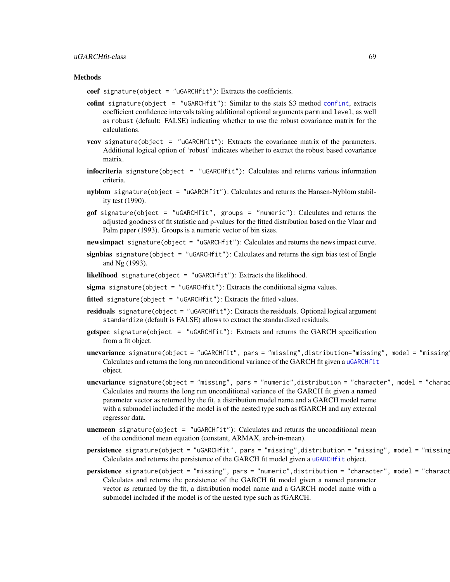#### uGARCHfit-class 69

#### **Methods**

coef signature(object = "uGARCHfit"): Extracts the coefficients.

- cofint signature(object = "uGARCHfit"): Similar to the stats S3 method [confint](#page-0-0), extracts coefficient confidence intervals taking additional optional arguments parm and level, as well as robust (default: FALSE) indicating whether to use the robust covariance matrix for the calculations.
- vcov signature(object = "uGARCHfit"): Extracts the covariance matrix of the parameters. Additional logical option of 'robust' indicates whether to extract the robust based covariance matrix.
- infocriteria signature(object = "uGARCHfit"): Calculates and returns various information criteria.
- nyblom signature(object = "uGARCHfit"): Calculates and returns the Hansen-Nyblom stability test (1990).
- gof signature(object = "uGARCHfit", groups = "numeric"): Calculates and returns the adjusted goodness of fit statistic and p-values for the fitted distribution based on the Vlaar and Palm paper (1993). Groups is a numeric vector of bin sizes.
- newsimpact signature(object = "uGARCHfit"): Calculates and returns the news impact curve.
- signbias signature(object =  $"uGARCHfit"$ ): Calculates and returns the sign bias test of Engle and Ng (1993).

likelihood signature(object = "uGARCHfit"): Extracts the likelihood.

- sigma signature(object = "uGARCH $fit$ "): Extracts the conditional sigma values.
- fitted signature(object = "uGARCH $fit$ "): Extracts the fitted values.
- residuals signature(object = "uGARCHfit"): Extracts the residuals. Optional logical argument standardize (default is FALSE) allows to extract the standardized residuals.
- getspec signature(object = "uGARCHfit"): Extracts and returns the GARCH specification from a fit object.
- uncvariance signature(object = "uGARCHfit", pars = "missing",distribution="missing", model = "missing Calculates and returns the long run unconditional variance of the GARCH fit given a [uGARCHfit](#page-67-0) object.
- uncvariance signature(object = "missing", pars = "numeric",distribution = "character", model = "charac Calculates and returns the long run unconditional variance of the GARCH fit given a named parameter vector as returned by the fit, a distribution model name and a GARCH model name with a submodel included if the model is of the nested type such as fGARCH and any external regressor data.
- **uncmean** signature(object =  $"uGARCHfit")$ : Calculates and returns the unconditional mean of the conditional mean equation (constant, ARMAX, arch-in-mean).
- persistence signature(object = "uGARCHfit", pars = "missing",distribution = "missing", model = "missing Calculates and returns the persistence of the GARCH fit model given a [uGARCHfit](#page-67-0) object.
- persistence signature(object = "missing", pars = "numeric",distribution = "character", model = "charact Calculates and returns the persistence of the GARCH fit model given a named parameter vector as returned by the fit, a distribution model name and a GARCH model name with a submodel included if the model is of the nested type such as fGARCH.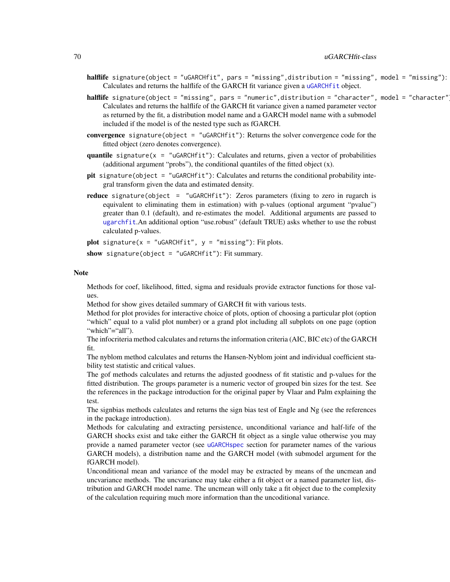- halflife signature(object = "uGARCHfit", pars = "missing",distribution = "missing", model = "missing"): Calculates and returns the halflife of the GARCH fit variance given a [uGARCHfit](#page-67-0) object.
- halflife signature(object = "missing", pars = "numeric",distribution = "character", model = "character" Calculates and returns the halflife of the GARCH fit variance given a named parameter vector as returned by the fit, a distribution model name and a GARCH model name with a submodel included if the model is of the nested type such as fGARCH.
- convergence signature(object = "uGARCHfit"): Returns the solver convergence code for the fitted object (zero denotes convergence).
- quantile signature( $x =$  "uGARCHfit"): Calculates and returns, given a vector of probabilities (additional argument "probs"), the conditional quantiles of the fitted object (x).
- pit signature(object = "uGARCHfit"): Calculates and returns the conditional probability integral transform given the data and estimated density.
- **reduce** signature(object = "uGARCHfit"): Zeros parameters (fixing to zero in rugarch is equivalent to eliminating them in estimation) with p-values (optional argument "pvalue") greater than 0.1 (default), and re-estimates the model. Additional arguments are passed to [ugarchfit](#page-70-0).An additional option "use.robust" (default TRUE) asks whether to use the robust calculated p-values.

plot signature( $x =$  "uGARCHfit",  $y =$  "missing"): Fit plots.

show signature(object = "uGARCHfit"): Fit summary.

#### Note

Methods for coef, likelihood, fitted, sigma and residuals provide extractor functions for those values.

Method for show gives detailed summary of GARCH fit with various tests.

Method for plot provides for interactive choice of plots, option of choosing a particular plot (option "which" equal to a valid plot number) or a grand plot including all subplots on one page (option "which"="all").

The infocriteria method calculates and returns the information criteria (AIC, BIC etc) of the GARCH fit.

The nyblom method calculates and returns the Hansen-Nyblom joint and individual coefficient stability test statistic and critical values.

The gof methods calculates and returns the adjusted goodness of fit statistic and p-values for the fitted distribution. The groups parameter is a numeric vector of grouped bin sizes for the test. See the references in the package introduction for the original paper by Vlaar and Palm explaining the test.

The signbias methods calculates and returns the sign bias test of Engle and Ng (see the references in the package introduction).

Methods for calculating and extracting persistence, unconditional variance and half-life of the GARCH shocks exist and take either the GARCH fit object as a single value otherwise you may provide a named parameter vector (see [uGARCHspec](#page-89-0) section for parameter names of the various GARCH models), a distribution name and the GARCH model (with submodel argument for the fGARCH model).

Unconditional mean and variance of the model may be extracted by means of the uncmean and uncvariance methods. The uncvariance may take either a fit object or a named parameter list, distribution and GARCH model name. The uncmean will only take a fit object due to the complexity of the calculation requiring much more information than the uncoditional variance.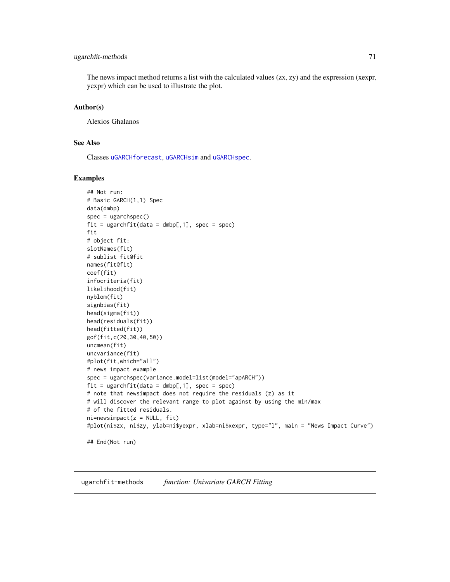# ugarchfit-methods 71

The news impact method returns a list with the calculated values  $(zx, zy)$  and the expression (xexpr, yexpr) which can be used to illustrate the plot.

#### Author(s)

Alexios Ghalanos

# See Also

Classes [uGARCHforecast](#page-73-0), [uGARCHsim](#page-86-0) and [uGARCHspec](#page-89-0).

#### Examples

```
## Not run:
# Basic GARCH(1,1) Spec
data(dmbp)
spec = ugarchspec()
fit = ugarchfit(data = dmbp[,1], spec = spec)fit
# object fit:
slotNames(fit)
# sublist fit@fit
names(fit@fit)
coef(fit)
infocriteria(fit)
likelihood(fit)
nyblom(fit)
signbias(fit)
head(sigma(fit))
head(residuals(fit))
head(fitted(fit))
gof(fit,c(20,30,40,50))
uncmean(fit)
uncvariance(fit)
#plot(fit,which="all")
# news impact example
spec = ugarchspec(variance.model=list(model="apARCH"))
fit = ugarchfit(data = dmbp[, 1], spec = spec)# note that newsimpact does not require the residuals (z) as it
# will discover the relevant range to plot against by using the min/max
# of the fitted residuals.
ni = newsimpact(z = NULL, fit)
#plot(ni$zx, ni$zy, ylab=ni$yexpr, xlab=ni$xexpr, type="l", main = "News Impact Curve")
## End(Not run)
```
<span id="page-70-0"></span>ugarchfit-methods *function: Univariate GARCH Fitting*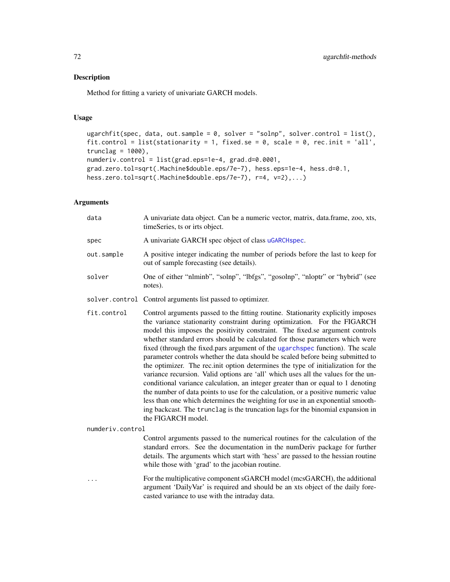#### Description

Method for fitting a variety of univariate GARCH models.

#### Usage

```
ugarchfit(spec, data, out.sample = 0, solver = "solnp", solver.control = list(),
fit.control = list(stationarity = 1, fixed.se = 0, scale = 0, rec.init = 'all',
trunclag = 1000,
numderiv.control = list(grad.eps=1e-4, grad.d=0.0001,
grad.zero.tol=sqrt(.Machine$double.eps/7e-7), hess.eps=1e-4, hess.d=0.1,
hess.zero.tol=sqrt(.Machine$double.eps/7e-7), r=4, v=2),...)
```
#### **Arguments**

| data       | A univariate data object. Can be a numeric vector, matrix, data.frame, zoo, xts,<br>timeSeries, ts or irts object.          |
|------------|-----------------------------------------------------------------------------------------------------------------------------|
| spec       | A univariate GARCH spec object of class uGARCH spec.                                                                        |
| out.sample | A positive integer indicating the number of periods before the last to keep for<br>out of sample forecasting (see details). |
| solver     | One of either "nlminb", "solnp", "lbfgs", "gosolnp", "nloptr" or "hybrid" (see<br>notes).                                   |
|            |                                                                                                                             |

solver.control Control arguments list passed to optimizer.

fit.control Control arguments passed to the fitting routine. Stationarity explicitly imposes the variance stationarity constraint during optimization. For the FIGARCH model this imposes the positivity constraint. The fixed.se argument controls whether standard errors should be calculated for those parameters which were fixed (through the fixed.pars argument of the [ugarchspec](#page-90-0) function). The scale parameter controls whether the data should be scaled before being submitted to the optimizer. The rec.init option determines the type of initialization for the variance recursion. Valid options are 'all' which uses all the values for the unconditional variance calculation, an integer greater than or equal to 1 denoting the number of data points to use for the calculation, or a positive numeric value less than one which determines the weighting for use in an exponential smoothing backcast. The trunclag is the truncation lags for the binomial expansion in the FIGARCH model.

numderiv.control

Control arguments passed to the numerical routines for the calculation of the standard errors. See the documentation in the numDeriv package for further details. The arguments which start with 'hess' are passed to the hessian routine while those with 'grad' to the jacobian routine.

... For the multiplicative component sGARCH model (mcsGARCH), the additional argument 'DailyVar' is required and should be an xts object of the daily forecasted variance to use with the intraday data.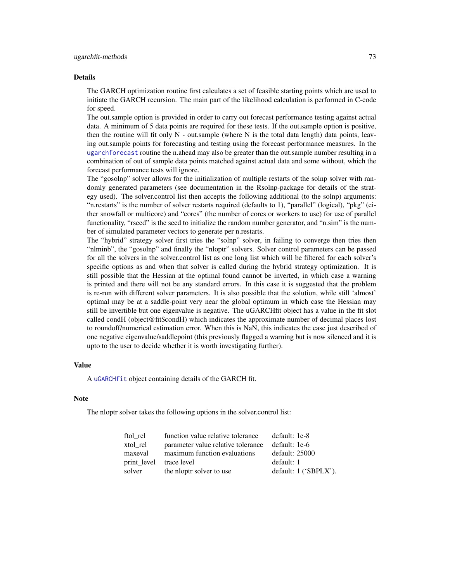#### <span id="page-72-0"></span>Details

The GARCH optimization routine first calculates a set of feasible starting points which are used to initiate the GARCH recursion. The main part of the likelihood calculation is performed in C-code for speed.

The out.sample option is provided in order to carry out forecast performance testing against actual data. A minimum of 5 data points are required for these tests. If the out.sample option is positive, then the routine will fit only  $N$  - out. sample (where  $N$  is the total data length) data points, leaving out.sample points for forecasting and testing using the forecast performance measures. In the [ugarchforecast](#page-75-0) routine the n.ahead may also be greater than the out.sample number resulting in a combination of out of sample data points matched against actual data and some without, which the forecast performance tests will ignore.

The "gosolnp" solver allows for the initialization of multiple restarts of the solnp solver with randomly generated parameters (see documentation in the Rsolnp-package for details of the strategy used). The solver.control list then accepts the following additional (to the solnp) arguments: "n.restarts" is the number of solver restarts required (defaults to 1), "parallel" (logical), "pkg" (either snowfall or multicore) and "cores" (the number of cores or workers to use) for use of parallel functionality, "rseed" is the seed to initialize the random number generator, and "n.sim" is the number of simulated parameter vectors to generate per n.restarts.

The "hybrid" strategy solver first tries the "solnp" solver, in failing to converge then tries then "nlminb", the "gosolnp" and finally the "nloptr" solvers. Solver control parameters can be passed for all the solvers in the solver.control list as one long list which will be filtered for each solver's specific options as and when that solver is called during the hybrid strategy optimization. It is still possible that the Hessian at the optimal found cannot be inverted, in which case a warning is printed and there will not be any standard errors. In this case it is suggested that the problem is re-run with different solver parameters. It is also possible that the solution, while still 'almost' optimal may be at a saddle-point very near the global optimum in which case the Hessian may still be invertible but one eigenvalue is negative. The uGARCHfit object has a value in the fit slot called condH (object@fit\$condH) which indicates the approximate number of decimal places lost to roundoff/numerical estimation error. When this is NaN, this indicates the case just described of one negative eigenvalue/saddlepoint (this previously flagged a warning but is now silenced and it is upto to the user to decide whether it is worth investigating further).

#### Value

A [uGARCHfit](#page-67-0) object containing details of the GARCH fit.

#### **Note**

The nloptr solver takes the following options in the solver.control list:

| ftol rel    | function value relative tolerance  | default: 1e-8           |
|-------------|------------------------------------|-------------------------|
| xtol rel    | parameter value relative tolerance | default: 1e-6           |
| maxeval     | maximum function evaluations       | default: 25000          |
| print level | trace level                        | default: 1              |
| solver      | the nloptr solver to use           | default: $1$ ('SBPLX'). |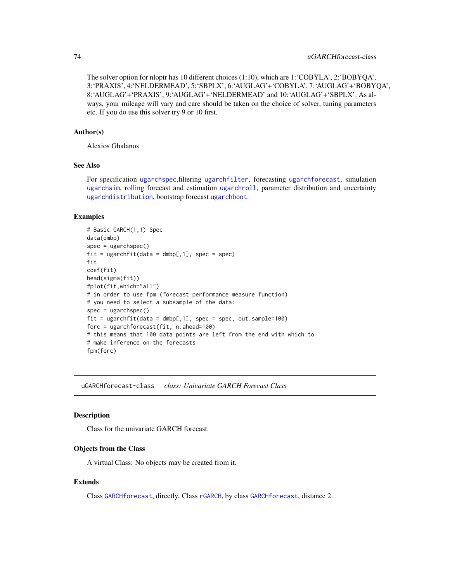The solver option for nloptr has 10 different choices (1:10), which are 1:'COBYLA', 2:'BOBYQA', 3:'PRAXIS', 4:'NELDERMEAD', 5:'SBPLX', 6:'AUGLAG'+'COBYLA', 7:'AUGLAG'+'BOBYQA', 8:'AUGLAG'+'PRAXIS', 9:'AUGLAG'+'NELDERMEAD' and 10:'AUGLAG'+'SBPLX'. As always, your mileage will vary and care should be taken on the choice of solver, tuning parameters etc. If you do use this solver try 9 or 10 first.

#### Author(s)

Alexios Ghalanos

# See Also

For specification [ugarchspec](#page-90-0),filtering [ugarchfilter](#page-66-0), forecasting [ugarchforecast](#page-75-0), simulation [ugarchsim](#page-87-0), rolling forecast and estimation [ugarchroll](#page-84-0), parameter distribution and uncertainty [ugarchdistribution](#page-62-0), bootstrap forecast [ugarchboot](#page-58-0).

#### Examples

```
# Basic GARCH(1,1) Spec
data(dmbp)
spec = ugarchspec()
fit = ugarchfit(data = dmbp[, 1], spec = spec)fit
coef(fit)
head(sigma(fit))
#plot(fit,which="all")
# in order to use fpm (forecast performance measure function)
# you need to select a subsample of the data:
spec = ugarchspec()
fit = ugarchfit(data = dmbp[, 1], spec = spec, out.sample=100)forc = ugarchforecast(fit, n.ahead=100)
# this means that 100 data points are left from the end with which to
# make inference on the forecasts
fpm(forc)
```
<span id="page-73-0"></span>uGARCHforecast-class *class: Univariate GARCH Forecast Class*

# Description

Class for the univariate GARCH forecast.

# Objects from the Class

A virtual Class: No objects may be created from it.

# Extends

Class [GARCHforecast](#page-40-0), directly. Class [rGARCH](#page-53-0), by class [GARCHforecast](#page-40-0), distance 2.

<span id="page-73-1"></span>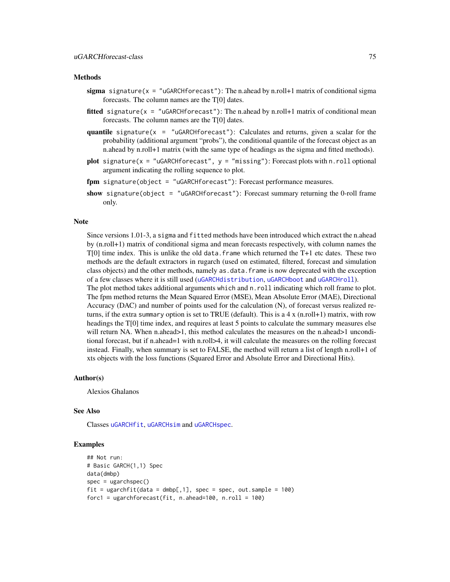#### <span id="page-74-0"></span>Methods

- sigma signature( $x =$ "uGARCHforecast"): The n.ahead by n.roll+1 matrix of conditional sigma forecasts. The column names are the T[0] dates.
- **fitted** signature( $x =$  "uGARCHforecast"): The n.ahead by n.roll+1 matrix of conditional mean forecasts. The column names are the T[0] dates.
- quantile signature( $x =$  "uGARCHforecast"): Calculates and returns, given a scalar for the probability (additional argument "probs"), the conditional quantile of the forecast object as an n.ahead by n.roll+1 matrix (with the same type of headings as the sigma and fitted methods).
- plot signature( $x =$  "uGARCHforecast",  $y =$  "missing"): Forecast plots with n.roll optional argument indicating the rolling sequence to plot.
- fpm signature(object = "uGARCHforecast"): Forecast performance measures.
- show signature(object = "uGARCHforecast"): Forecast summary returning the 0-roll frame only.

#### Note

Since versions 1.01-3, a sigma and fitted methods have been introduced which extract the n.ahead by (n.roll+1) matrix of conditional sigma and mean forecasts respectively, with column names the  $T[0]$  time index. This is unlike the old data. frame which returned the T+1 etc dates. These two methods are the default extractors in rugarch (used on estimated, filtered, forecast and simulation class objects) and the other methods, namely as.data.frame is now deprecated with the exception of a few classes where it is still used ([uGARCHdistribution](#page-61-0), [uGARCHboot](#page-57-0) and [uGARCHroll](#page-82-0)).

The plot method takes additional arguments which and n.roll indicating which roll frame to plot. The fpm method returns the Mean Squared Error (MSE), Mean Absolute Error (MAE), Directional Accuracy (DAC) and number of points used for the calculation (N), of forecast versus realized returns, if the extra summary option is set to TRUE (default). This is a 4 x (n.roll+1) matrix, with row headings the T[0] time index, and requires at least 5 points to calculate the summary measures else will return NA. When n.ahead>1, this method calculates the measures on the n.ahead>1 unconditional forecast, but if n.ahead=1 with n.roll>4, it will calculate the measures on the rolling forecast instead. Finally, when summary is set to FALSE, the method will return a list of length n.roll+1 of xts objects with the loss functions (Squared Error and Absolute Error and Directional Hits).

#### Author(s)

Alexios Ghalanos

#### See Also

Classes [uGARCHfit](#page-67-0), [uGARCHsim](#page-86-0) and [uGARCHspec](#page-89-0).

#### Examples

```
## Not run:
# Basic GARCH(1,1) Spec
data(dmbp)
spec = ugarchspec()fit = ugarchfit(data = dmbp[, 1], spec = spec, out.sample = 100)forc1 = ugarchforecast(fit, n.ahead=100, n.roll = 100)
```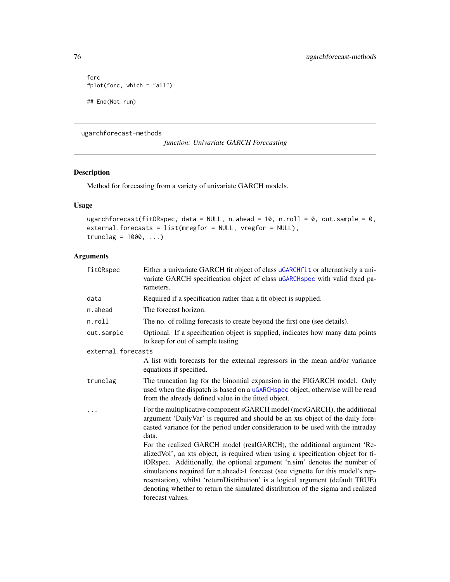```
forc
#plot(forc, which = "all")
## End(Not run)
```
ugarchforecast-methods

*function: Univariate GARCH Forecasting*

# <span id="page-75-0"></span>Description

Method for forecasting from a variety of univariate GARCH models.

# Usage

```
ugarchforecast(fitORspec, data = NULL, n.ahead = 10, n.roll = 0, out.sample = 0,
external.forecasts = list(mregfor = NULL, vregfor = NULL),
trunclag = 1000, ...
```
# Arguments

| fitORspec          | Either a univariate GARCH fit object of class uGARCHfit or alternatively a uni-<br>variate GARCH specification object of class uGARCHspec with valid fixed pa-<br>rameters.                                                                                                                                                                                                                                                                                                                                          |
|--------------------|----------------------------------------------------------------------------------------------------------------------------------------------------------------------------------------------------------------------------------------------------------------------------------------------------------------------------------------------------------------------------------------------------------------------------------------------------------------------------------------------------------------------|
| data               | Required if a specification rather than a fit object is supplied.                                                                                                                                                                                                                                                                                                                                                                                                                                                    |
| n.ahead            | The forecast horizon.                                                                                                                                                                                                                                                                                                                                                                                                                                                                                                |
| n.roll             | The no. of rolling forecasts to create beyond the first one (see details).                                                                                                                                                                                                                                                                                                                                                                                                                                           |
| out.sample         | Optional. If a specification object is supplied, indicates how many data points<br>to keep for out of sample testing.                                                                                                                                                                                                                                                                                                                                                                                                |
| external.forecasts |                                                                                                                                                                                                                                                                                                                                                                                                                                                                                                                      |
|                    | A list with forecasts for the external regressors in the mean and/or variance<br>equations if specified.                                                                                                                                                                                                                                                                                                                                                                                                             |
| trunclag           | The truncation lag for the binomial expansion in the FIGARCH model. Only<br>used when the dispatch is based on a uGARCHspec object, otherwise will be read<br>from the already defined value in the fitted object.                                                                                                                                                                                                                                                                                                   |
|                    | For the multiplicative component sGARCH model (mcsGARCH), the additional<br>argument 'DailyVar' is required and should be an xts object of the daily fore-<br>casted variance for the period under consideration to be used with the intraday<br>data.                                                                                                                                                                                                                                                               |
|                    | For the realized GARCH model (realGARCH), the additional argument 'Re-<br>alizedVol', an xts object, is required when using a specification object for fi-<br>tORspec. Additionally, the optional argument 'n.sim' denotes the number of<br>simulations required for n.ahead>1 forecast (see vignette for this model's rep-<br>resentation), whilst 'returnDistribution' is a logical argument (default TRUE)<br>denoting whether to return the simulated distribution of the sigma and realized<br>forecast values. |

<span id="page-75-1"></span>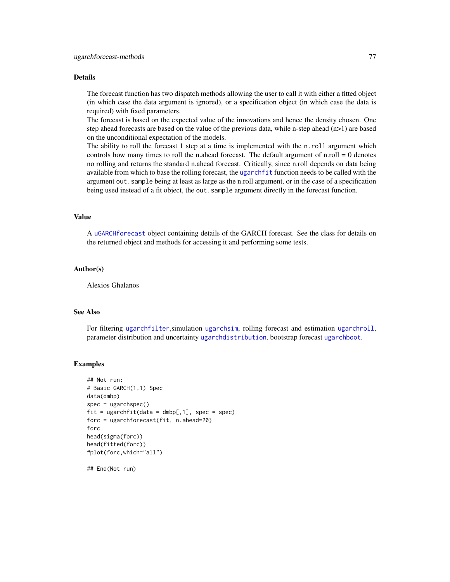#### <span id="page-76-0"></span>Details

The forecast function has two dispatch methods allowing the user to call it with either a fitted object (in which case the data argument is ignored), or a specification object (in which case the data is required) with fixed parameters.

The forecast is based on the expected value of the innovations and hence the density chosen. One step ahead forecasts are based on the value of the previous data, while n-step ahead (n>1) are based on the unconditional expectation of the models.

The ability to roll the forecast 1 step at a time is implemented with the n.roll argument which controls how many times to roll the n.ahead forecast. The default argument of n.roll  $= 0$  denotes no rolling and returns the standard n.ahead forecast. Critically, since n.roll depends on data being available from which to base the rolling forecast, the [ugarchfit](#page-70-0) function needs to be called with the argument out.sample being at least as large as the n.roll argument, or in the case of a specification being used instead of a fit object, the out. sample argument directly in the forecast function.

#### Value

A [uGARCHforecast](#page-73-0) object containing details of the GARCH forecast. See the class for details on the returned object and methods for accessing it and performing some tests.

#### Author(s)

Alexios Ghalanos

# See Also

For filtering [ugarchfilter](#page-66-0),simulation [ugarchsim](#page-87-0), rolling forecast and estimation [ugarchroll](#page-84-0), parameter distribution and uncertainty [ugarchdistribution](#page-62-0), bootstrap forecast [ugarchboot](#page-58-0).

#### Examples

```
## Not run:
# Basic GARCH(1,1) Spec
data(dmbp)
spec = ugarchspec()fit = ugarchfit(data = dmbp[, 1], spec = spec)forc = ugarchforecast(fit, n.ahead=20)
forc
head(sigma(forc))
head(fitted(forc))
#plot(forc,which="all")
```
## End(Not run)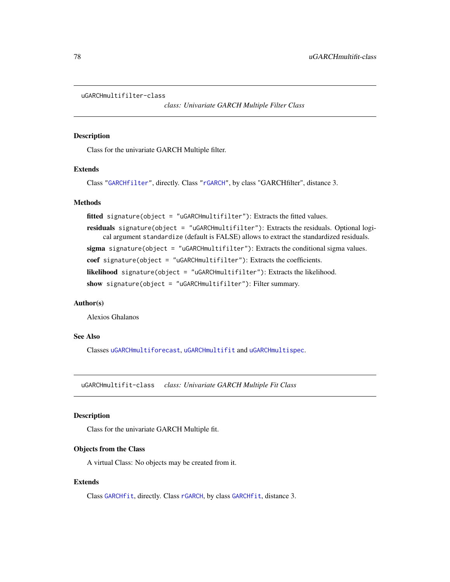```
uGARCHmultifilter-class
```
*class: Univariate GARCH Multiple Filter Class*

# Description

Class for the univariate GARCH Multiple filter.

# Extends

Class ["GARCHfilter"](#page-39-0), directly. Class ["rGARCH"](#page-53-0), by class "GARCHfilter", distance 3.

# **Methods**

```
fitted signature(object = "uGARCHmultifilter"): Extracts the fitted values.
```
residuals signature(object = "uGARCHmultifilter"): Extracts the residuals. Optional logical argument standardize (default is FALSE) allows to extract the standardized residuals.

sigma signature(object = "uGARCHmultifilter"): Extracts the conditional sigma values.

coef signature(object = "uGARCHmultifilter"): Extracts the coefficients.

likelihood signature(object = "uGARCHmultifilter"): Extracts the likelihood.

show signature(object = "uGARCHmultifilter"): Filter summary.

# Author(s)

Alexios Ghalanos

# See Also

Classes [uGARCHmultiforecast](#page-78-0), [uGARCHmultifit](#page-77-0) and [uGARCHmultispec](#page-79-0).

<span id="page-77-0"></span>uGARCHmultifit-class *class: Univariate GARCH Multiple Fit Class*

# Description

Class for the univariate GARCH Multiple fit.

#### Objects from the Class

A virtual Class: No objects may be created from it.

# Extends

Class [GARCHfit](#page-39-1), directly. Class [rGARCH](#page-53-0), by class [GARCHfit](#page-39-1), distance 3.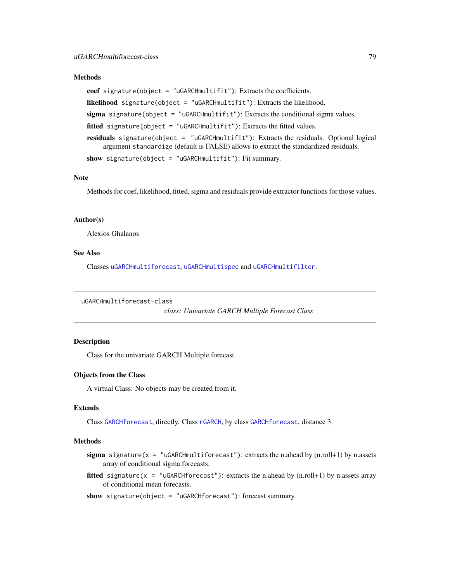#### <span id="page-78-1"></span>**Methods**

```
coef signature(object = "uGARCHmultifit"): Extracts the coefficients.
likelihood signature(object = "uGARCHmultifit"): Extracts the likelihood.
sigma signature(object = "uGARCHmultifit"): Extracts the conditional sigma values.
fitted signature(object = "uGARCHmultifit"): Extracts the fitted values.
residuals signature(object = "uGARCHmultifit"): Extracts the residuals. Optional logical
     argument standardize (default is FALSE) allows to extract the standardized residuals.
show signature(object = "uGARCHmultifit"): Fit summary.
```
# Note

Methods for coef, likelihood, fitted, sigma and residuals provide extractor functions for those values.

#### Author(s)

Alexios Ghalanos

# See Also

Classes [uGARCHmultiforecast](#page-78-0), [uGARCHmultispec](#page-79-0) and [uGARCHmultifilter](#page-77-1).

```
uGARCHmultiforecast-class
```
*class: Univariate GARCH Multiple Forecast Class*

# Description

Class for the univariate GARCH Multiple forecast.

#### Objects from the Class

A virtual Class: No objects may be created from it.

# Extends

Class [GARCHforecast](#page-40-0), directly. Class [rGARCH](#page-53-0), by class [GARCHforecast](#page-40-0), distance 3.

# Methods

- sigma signature( $x =$  "uGARCHmultiforecast"): extracts the n.ahead by  $(n.roll+1)$  by n.assets array of conditional sigma forecasts.
- **fitted** signature( $x =$  "uGARCHforecast"): extracts the n.ahead by (n.roll+1) by n.assets array of conditional mean forecasts.
- show signature(object = "uGARCHforecast"): forecast summary.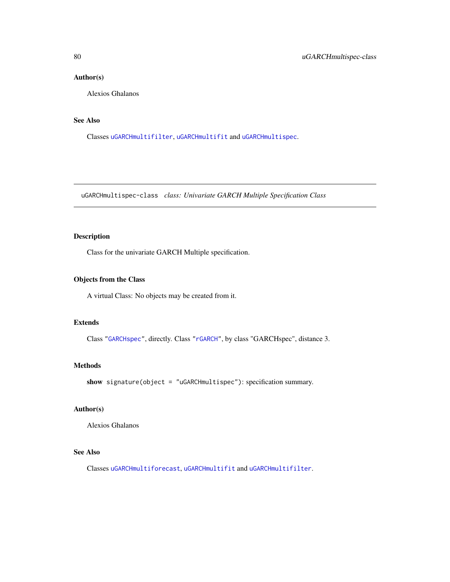# <span id="page-79-1"></span>Author(s)

Alexios Ghalanos

# See Also

Classes [uGARCHmultifilter](#page-77-1), [uGARCHmultifit](#page-77-0) and [uGARCHmultispec](#page-79-0).

<span id="page-79-0"></span>uGARCHmultispec-class *class: Univariate GARCH Multiple Specification Class*

# Description

Class for the univariate GARCH Multiple specification.

# Objects from the Class

A virtual Class: No objects may be created from it.

# Extends

Class ["GARCHspec"](#page-43-0), directly. Class ["rGARCH"](#page-53-0), by class "GARCHspec", distance 3.

# Methods

show signature(object = "uGARCHmultispec"): specification summary.

# Author(s)

Alexios Ghalanos

# See Also

Classes [uGARCHmultiforecast](#page-78-0), [uGARCHmultifit](#page-77-0) and [uGARCHmultifilter](#page-77-1).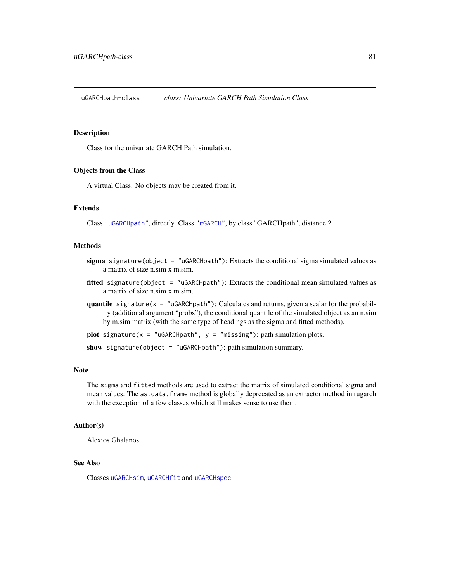<span id="page-80-1"></span><span id="page-80-0"></span>uGARCHpath-class *class: Univariate GARCH Path Simulation Class*

# Description

Class for the univariate GARCH Path simulation.

#### Objects from the Class

A virtual Class: No objects may be created from it.

# Extends

Class ["uGARCHpath"](#page-80-0), directly. Class ["rGARCH"](#page-53-0), by class "GARCHpath", distance 2.

#### Methods

- sigma signature(object = "uGARCHpath"): Extracts the conditional sigma simulated values as a matrix of size n.sim x m.sim.
- fitted signature(object = "uGARCHpath"): Extracts the conditional mean simulated values as a matrix of size n.sim x m.sim.
- quantile signature( $x =$  "uGARCHpath"): Calculates and returns, given a scalar for the probability (additional argument "probs"), the conditional quantile of the simulated object as an n.sim by m.sim matrix (with the same type of headings as the sigma and fitted methods).
- plot signature( $x =$  "uGARCHpath",  $y =$  "missing"): path simulation plots.

show signature(object = "uGARCHpath"): path simulation summary.

#### Note

The sigma and fitted methods are used to extract the matrix of simulated conditional sigma and mean values. The as.data.frame method is globally deprecated as an extractor method in rugarch with the exception of a few classes which still makes sense to use them.

#### Author(s)

Alexios Ghalanos

#### See Also

Classes [uGARCHsim](#page-86-0), [uGARCHfit](#page-67-0) and [uGARCHspec](#page-89-0).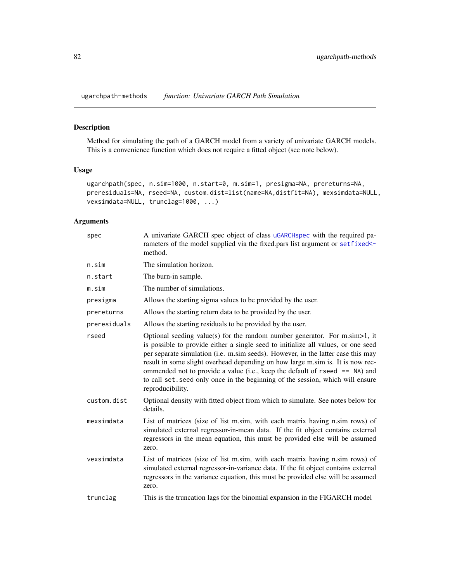<span id="page-81-0"></span>ugarchpath-methods *function: Univariate GARCH Path Simulation*

# Description

Method for simulating the path of a GARCH model from a variety of univariate GARCH models. This is a convenience function which does not require a fitted object (see note below).

# Usage

```
ugarchpath(spec, n.sim=1000, n.start=0, m.sim=1, presigma=NA, prereturns=NA,
preresiduals=NA, rseed=NA, custom.dist=list(name=NA,distfit=NA), mexsimdata=NULL,
vexsimdata=NULL, trunclag=1000, ...)
```
# Arguments

| spec         | A univariate GARCH spec object of class uGARCHspec with the required pa-<br>rameters of the model supplied via the fixed.pars list argument or setfixed <-<br>method.                                                                                                                                                                                                                                                                                                                                                             |
|--------------|-----------------------------------------------------------------------------------------------------------------------------------------------------------------------------------------------------------------------------------------------------------------------------------------------------------------------------------------------------------------------------------------------------------------------------------------------------------------------------------------------------------------------------------|
| n.sim        | The simulation horizon.                                                                                                                                                                                                                                                                                                                                                                                                                                                                                                           |
| n.start      | The burn-in sample.                                                                                                                                                                                                                                                                                                                                                                                                                                                                                                               |
| m.sim        | The number of simulations.                                                                                                                                                                                                                                                                                                                                                                                                                                                                                                        |
| presigma     | Allows the starting sigma values to be provided by the user.                                                                                                                                                                                                                                                                                                                                                                                                                                                                      |
| prereturns   | Allows the starting return data to be provided by the user.                                                                                                                                                                                                                                                                                                                                                                                                                                                                       |
| preresiduals | Allows the starting residuals to be provided by the user.                                                                                                                                                                                                                                                                                                                                                                                                                                                                         |
| rseed        | Optional seeding value(s) for the random number generator. For m.sim > 1, it<br>is possible to provide either a single seed to initialize all values, or one seed<br>per separate simulation (i.e. m.sim seeds). However, in the latter case this may<br>result in some slight overhead depending on how large m.sim is. It is now rec-<br>ommended not to provide a value (i.e., keep the default of $r$ seed $ ==$ NA) and<br>to call set seed only once in the beginning of the session, which will ensure<br>reproducibility. |
| custom.dist  | Optional density with fitted object from which to simulate. See notes below for<br>details.                                                                                                                                                                                                                                                                                                                                                                                                                                       |
| mexsimdata   | List of matrices (size of list m.sim, with each matrix having n.sim rows) of<br>simulated external regressor-in-mean data. If the fit object contains external<br>regressors in the mean equation, this must be provided else will be assumed<br>zero.                                                                                                                                                                                                                                                                            |
| vexsimdata   | List of matrices (size of list m.sim, with each matrix having n.sim rows) of<br>simulated external regressor-in-variance data. If the fit object contains external<br>regressors in the variance equation, this must be provided else will be assumed<br>zero.                                                                                                                                                                                                                                                                    |
| trunclag     | This is the truncation lags for the binomial expansion in the FIGARCH model                                                                                                                                                                                                                                                                                                                                                                                                                                                       |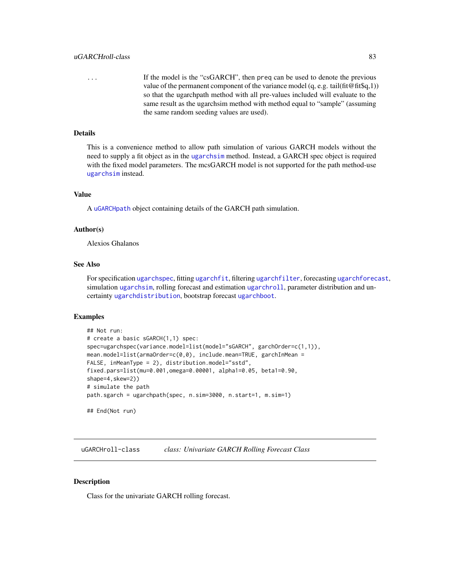<span id="page-82-2"></span>... If the model is the "csGARCH", then preq can be used to denote the previous value of the permanent component of the variance model  $(q, e.g. tail(fit@fit\$ q,1)) so that the ugarchpath method with all pre-values included will evaluate to the same result as the ugarchsim method with method equal to "sample" (assuming the same random seeding values are used).

# Details

This is a convenience method to allow path simulation of various GARCH models without the need to supply a fit object as in the [ugarchsim](#page-87-0) method. Instead, a GARCH spec object is required with the fixed model parameters. The mcsGARCH model is not supported for the path method-use [ugarchsim](#page-87-0) instead.

# Value

A [uGARCHpath](#page-80-0) object containing details of the GARCH path simulation.

#### Author(s)

Alexios Ghalanos

# See Also

For specification [ugarchspec](#page-90-0), fitting [ugarchfit](#page-70-0), filtering [ugarchfilter](#page-66-0), forecasting [ugarchforecast](#page-75-0), simulation [ugarchsim](#page-87-0), rolling forecast and estimation [ugarchroll](#page-84-0), parameter distribution and uncertainty [ugarchdistribution](#page-62-0), bootstrap forecast [ugarchboot](#page-58-0).

#### Examples

```
## Not run:
# create a basic sGARCH(1,1) spec:
spec=ugarchspec(variance.model=list(model="sGARCH", garchOrder=c(1,1)),
mean.model=list(armaOrder=c(0,0), include.mean=TRUE, garchInMean =
FALSE, inMeanType = 2), distribution.model="sstd",
fixed.pars=list(mu=0.001,omega=0.00001, alpha1=0.05, beta1=0.90,
shape=4, skew=2))
# simulate the path
path.sgarch = ugarchpath(spec, n.sim=3000, n.start=1, m.sim=1)
## End(Not run)
```
<span id="page-82-0"></span>uGARCHroll-class *class: Univariate GARCH Rolling Forecast Class*

#### <span id="page-82-1"></span>Description

Class for the univariate GARCH rolling forecast.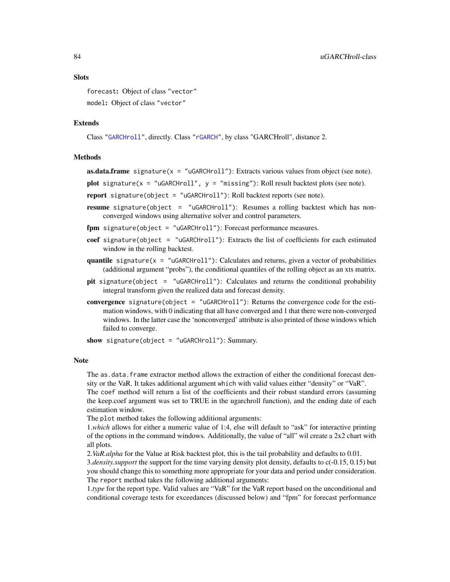<span id="page-83-0"></span>forecast: Object of class "vector" model: Object of class "vector"

# Extends

Class ["GARCHroll"](#page-41-0), directly. Class ["rGARCH"](#page-53-0), by class "GARCHroll", distance 2.

# Methods

**as.data.frame** signature( $x = "uGARCHroll")$ : Extracts various values from object (see note).

plot signature( $x =$  "uGARCHroll",  $y =$  "missing"): Roll result backtest plots (see note).

report signature(object = "uGARCHroll"): Roll backtest reports (see note).

resume signature(object = "uGARCHroll"): Resumes a rolling backtest which has nonconverged windows using alternative solver and control parameters.

fpm signature(object = "uGARCHroll"): Forecast performance measures.

- coef signature(object = "uGARCHroll"): Extracts the list of coefficients for each estimated window in the rolling backtest.
- quantile signature( $x =$  "uGARCHroll"): Calculates and returns, given a vector of probabilities (additional argument "probs"), the conditional quantiles of the rolling object as an xts matrix.
- pit signature(object = "uGARCHroll"): Calculates and returns the conditional probability integral transform given the realized data and forecast density.
- convergence signature(object = "uGARCHroll"): Returns the convergence code for the estimation windows, with 0 indicating that all have converged and 1 that there were non-converged windows. In the latter case the 'nonconverged' attribute is also printed of those windows which failed to converge.

show signature(object = "uGARCHroll"): Summary.

#### Note

The as.data.frame extractor method allows the extraction of either the conditional forecast density or the VaR. It takes additional argument which with valid values either "density" or "VaR".

The coef method will return a list of the coefficients and their robust standard errors (assuming the keep.coef argument was set to TRUE in the ugarchroll function), and the ending date of each estimation window.

The plot method takes the following additional arguments:

1.*which* allows for either a numeric value of 1:4, else will default to "ask" for interactive printing of the options in the command windows. Additionally, the value of "all" wil create a 2x2 chart with all plots.

2.*VaR.alpha* for the Value at Risk backtest plot, this is the tail probability and defaults to 0.01.

3.*density.support* the support for the time varying density plot density, defaults to c(-0.15, 0.15) but you should change this to something more appropriate for your data and period under consideration. The report method takes the following additional arguments:

1.*type* for the report type. Valid values are "VaR" for the VaR report based on the unconditional and conditional coverage tests for exceedances (discussed below) and "fpm" for forecast performance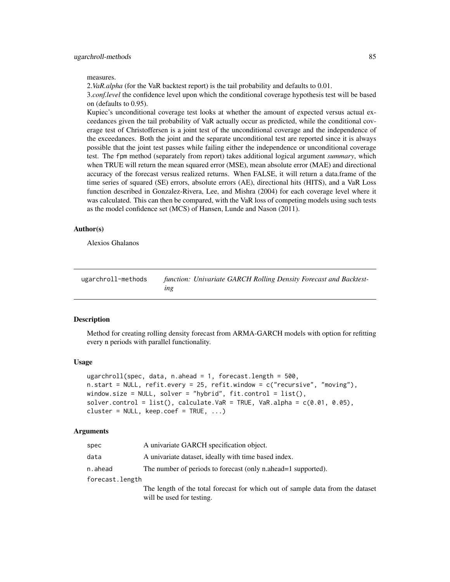#### <span id="page-84-1"></span>ugarchroll-methods 85

#### measures.

2.*VaR.alpha* (for the VaR backtest report) is the tail probability and defaults to 0.01.

3.*conf.level* the confidence level upon which the conditional coverage hypothesis test will be based on (defaults to 0.95).

Kupiec's unconditional coverage test looks at whether the amount of expected versus actual exceedances given the tail probability of VaR actually occur as predicted, while the conditional coverage test of Christoffersen is a joint test of the unconditional coverage and the independence of the exceedances. Both the joint and the separate unconditional test are reported since it is always possible that the joint test passes while failing either the independence or unconditional coverage test. The fpm method (separately from report) takes additional logical argument *summary*, which when TRUE will return the mean squared error (MSE), mean absolute error (MAE) and directional accuracy of the forecast versus realized returns. When FALSE, it will return a data.frame of the time series of squared (SE) errors, absolute errors (AE), directional hits (HITS), and a VaR Loss function described in Gonzalez-Rivera, Lee, and Mishra (2004) for each coverage level where it was calculated. This can then be compared, with the VaR loss of competing models using such tests as the model confidence set (MCS) of Hansen, Lunde and Nason (2011).

# Author(s)

Alexios Ghalanos

ugarchroll-methods *function: Univariate GARCH Rolling Density Forecast and Backtesting*

#### <span id="page-84-0"></span>Description

Method for creating rolling density forecast from ARMA-GARCH models with option for refitting every n periods with parallel functionality.

#### Usage

```
ugarchroll(spec, data, n.ahead = 1, forecast.length = 500,
n.start = NULL, refit.every = 25, refit.window = c("recursive", "moving"),
window.size = NULL, solver = "hybrid", fit.control = list(),
solver.control = list(), calculate.VaR = TRUE, VaR.alpha = c(0.01, 0.05),
cluster = NULL, keep.coef = TRUE, ...)
```
# Arguments

| spec            | A univariate GARCH specification object.                                       |
|-----------------|--------------------------------------------------------------------------------|
| data            | A univariate dataset, ideally with time based index.                           |
| n.ahead         | The number of periods to forecast (only n.ahead=1 supported).                  |
| forecast.length |                                                                                |
|                 | The length of the total forecast for which out of sample data from the dataset |
|                 | will be used for testing.                                                      |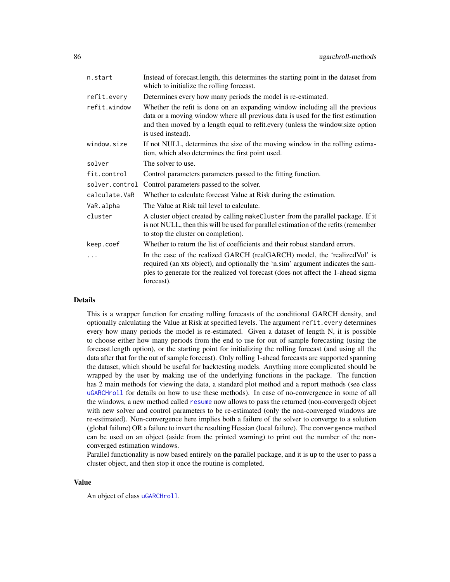<span id="page-85-0"></span>

| n.start        | Instead of forecast.length, this determines the starting point in the dataset from<br>which to initialize the rolling forecast.                                                                                                                                        |
|----------------|------------------------------------------------------------------------------------------------------------------------------------------------------------------------------------------------------------------------------------------------------------------------|
| refit.every    | Determines every how many periods the model is re-estimated.                                                                                                                                                                                                           |
| refit.window   | Whether the refit is done on an expanding window including all the previous<br>data or a moving window where all previous data is used for the first estimation<br>and then moved by a length equal to refit.every (unless the window.size option<br>is used instead). |
| window.size    | If not NULL, determines the size of the moving window in the rolling estima-<br>tion, which also determines the first point used.                                                                                                                                      |
| solver         | The solver to use.                                                                                                                                                                                                                                                     |
| fit.control    | Control parameters parameters passed to the fitting function.                                                                                                                                                                                                          |
| solver.control | Control parameters passed to the solver.                                                                                                                                                                                                                               |
| calculate.VaR  | Whether to calculate forecast Value at Risk during the estimation.                                                                                                                                                                                                     |
| VaR.alpha      | The Value at Risk tail level to calculate.                                                                                                                                                                                                                             |
| cluster        | A cluster object created by calling makeCluster from the parallel package. If it<br>is not NULL, then this will be used for parallel estimation of the refits (remember<br>to stop the cluster on completion).                                                         |
| keep.coef      | Whether to return the list of coefficients and their robust standard errors.                                                                                                                                                                                           |
| $\ddots$       | In the case of the realized GARCH (realGARCH) model, the 'realizedVol' is<br>required (an xts object), and optionally the 'n.sim' argument indicates the sam-<br>ples to generate for the realized vol forecast (does not affect the 1-ahead sigma<br>forecast).       |

# Details

This is a wrapper function for creating rolling forecasts of the conditional GARCH density, and optionally calculating the Value at Risk at specified levels. The argument refit.every determines every how many periods the model is re-estimated. Given a dataset of length N, it is possible to choose either how many periods from the end to use for out of sample forecasting (using the forecast.length option), or the starting point for initializing the rolling forecast (and using all the data after that for the out of sample forecast). Only rolling 1-ahead forecasts are supported spanning the dataset, which should be useful for backtesting models. Anything more complicated should be wrapped by the user by making use of the underlying functions in the package. The function has 2 main methods for viewing the data, a standard plot method and a report methods (see class [uGARCHroll](#page-82-0) for details on how to use these methods). In case of no-convergence in some of all the windows, a new method called [resume](#page-82-1) now allows to pass the returned (non-converged) object with new solver and control parameters to be re-estimated (only the non-converged windows are re-estimated). Non-convergence here implies both a failure of the solver to converge to a solution (global failure) OR a failure to invert the resulting Hessian (local failure). The convergence method can be used on an object (aside from the printed warning) to print out the number of the nonconverged estimation windows.

Parallel functionality is now based entirely on the parallel package, and it is up to the user to pass a cluster object, and then stop it once the routine is completed.

# Value

An object of class [uGARCHroll](#page-82-0).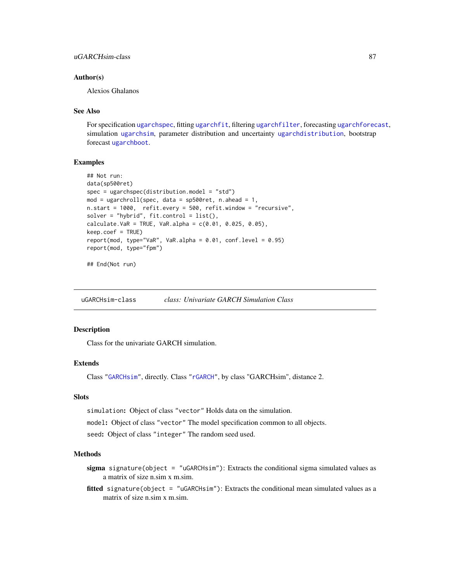# <span id="page-86-1"></span>Author(s)

Alexios Ghalanos

#### See Also

For specification [ugarchspec](#page-90-0), fitting [ugarchfit](#page-70-0), filtering [ugarchfilter](#page-66-0), forecasting [ugarchforecast](#page-75-0), simulation [ugarchsim](#page-87-0), parameter distribution and uncertainty [ugarchdistribution](#page-62-0), bootstrap forecast [ugarchboot](#page-58-0).

#### Examples

```
## Not run:
data(sp500ret)
spec = ugarchspec(distribution.model = "std")
mod = ugarchroll(spec, data = sp500ret, n.ahead = 1,
n.start = 1000, refit.every = 500, refit.window = "recursive",
solver = "hybrid", fit.control = list(),
calcutate.VaR = TRUE, VaR.alpha = c(0.01, 0.025, 0.05),keep.coef = TRUE)
report(mod, type="VaR", VaR.alpha = 0.01, conf.level = 0.95)
report(mod, type="fpm")
```
## End(Not run)

<span id="page-86-0"></span>uGARCHsim-class *class: Univariate GARCH Simulation Class*

#### **Description**

Class for the univariate GARCH simulation.

# Extends

Class ["GARCHsim"](#page-42-0), directly. Class ["rGARCH"](#page-53-0), by class "GARCHsim", distance 2.

# Slots

simulation: Object of class "vector" Holds data on the simulation.

model: Object of class "vector" The model specification common to all objects.

seed: Object of class "integer" The random seed used.

# Methods

sigma signature(object = "uGARCHsim"): Extracts the conditional sigma simulated values as a matrix of size n.sim x m.sim.

fitted signature(object = "uGARCHsim"): Extracts the conditional mean simulated values as a matrix of size n.sim x m.sim.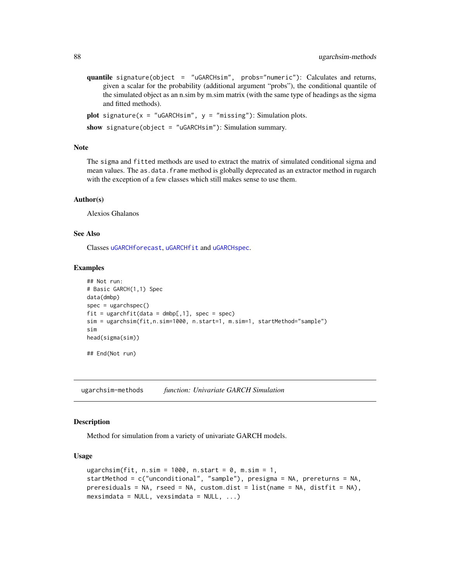<span id="page-87-1"></span>quantile signature(object = "uGARCHsim", probs="numeric"): Calculates and returns, given a scalar for the probability (additional argument "probs"), the conditional quantile of the simulated object as an n.sim by m.sim matrix (with the same type of headings as the sigma and fitted methods).

```
plot signature(x = "uGARCHsim", y = "missing"): Simulation plots.
```
show signature(object = "uGARCHsim"): Simulation summary.

#### Note

The sigma and fitted methods are used to extract the matrix of simulated conditional sigma and mean values. The as.data.frame method is globally deprecated as an extractor method in rugarch with the exception of a few classes which still makes sense to use them.

#### Author(s)

Alexios Ghalanos

#### See Also

Classes [uGARCHforecast](#page-73-0), [uGARCHfit](#page-67-0) and [uGARCHspec](#page-89-0).

#### Examples

```
## Not run:
# Basic GARCH(1,1) Spec
data(dmbp)
spec = ugarchspec()
fit = ugarchfit(data = dmbp[,1], spec = spec)sim = ugarchsim(fit,n.sim=1000, n.start=1, m.sim=1, startMethod="sample")
sim
head(sigma(sim))
## End(Not run)
```
ugarchsim-methods *function: Univariate GARCH Simulation*

#### <span id="page-87-0"></span>Description

Method for simulation from a variety of univariate GARCH models.

# Usage

```
ugarchsim(fit, n \sin = 1000, n \cdot \text{start} = 0, m \cdot \text{sim} = 1,
startMethod = c("unconditional", "sample"), presigma = NA, prereturns = NA,
preresiduals = NA, rseed = NA, custom.dist = list(name = NA, distfit = NA),
mexsimdata = NULL, vexsimdata = NULL, ...)
```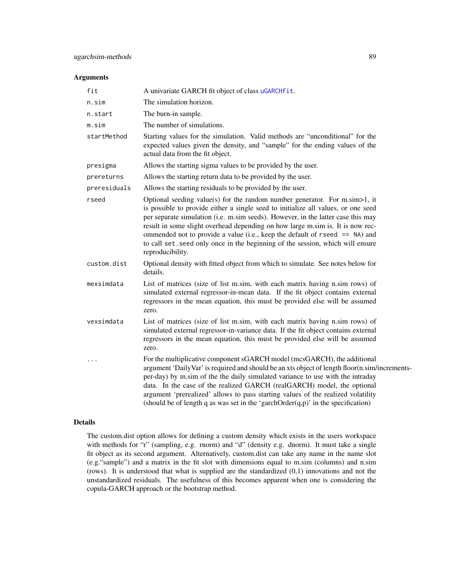#### <span id="page-88-0"></span>Arguments

| fit          | A univariate GARCH fit object of class uGARCHfit.                                                                                                                                                                                                                                                                                                                                                                                                                                                                                        |
|--------------|------------------------------------------------------------------------------------------------------------------------------------------------------------------------------------------------------------------------------------------------------------------------------------------------------------------------------------------------------------------------------------------------------------------------------------------------------------------------------------------------------------------------------------------|
| n.sim        | The simulation horizon.                                                                                                                                                                                                                                                                                                                                                                                                                                                                                                                  |
| n.start      | The burn-in sample.                                                                                                                                                                                                                                                                                                                                                                                                                                                                                                                      |
| m.sim        | The number of simulations.                                                                                                                                                                                                                                                                                                                                                                                                                                                                                                               |
| startMethod  | Starting values for the simulation. Valid methods are "unconditional" for the<br>expected values given the density, and "sample" for the ending values of the<br>actual data from the fit object.                                                                                                                                                                                                                                                                                                                                        |
| presigma     | Allows the starting sigma values to be provided by the user.                                                                                                                                                                                                                                                                                                                                                                                                                                                                             |
| prereturns   | Allows the starting return data to be provided by the user.                                                                                                                                                                                                                                                                                                                                                                                                                                                                              |
| preresiduals | Allows the starting residuals to be provided by the user.                                                                                                                                                                                                                                                                                                                                                                                                                                                                                |
| rseed        | Optional seeding value(s) for the random number generator. For $m \sin \ge 1$ , it<br>is possible to provide either a single seed to initialize all values, or one seed<br>per separate simulation (i.e. m.sim seeds). However, in the latter case this may<br>result in some slight overhead depending on how large m.sim is. It is now rec-<br>ommended not to provide a value (i.e., keep the default of $r$ seed $ ==$ NA) and<br>to call set. seed only once in the beginning of the session, which will ensure<br>reproducibility. |
| custom.dist  | Optional density with fitted object from which to simulate. See notes below for<br>details.                                                                                                                                                                                                                                                                                                                                                                                                                                              |
| mexsimdata   | List of matrices (size of list m.sim, with each matrix having n.sim rows) of<br>simulated external regressor-in-mean data. If the fit object contains external<br>regressors in the mean equation, this must be provided else will be assumed<br>zero.                                                                                                                                                                                                                                                                                   |
| vexsimdata   | List of matrices (size of list m.sim, with each matrix having n.sim rows) of<br>simulated external regressor-in-variance data. If the fit object contains external<br>regressors in the mean equation, this must be provided else will be assumed<br>zero.                                                                                                                                                                                                                                                                               |
| .            | For the multiplicative component sGARCH model (mcsGARCH), the additional<br>argument 'DailyVar' is required and should be an xts object of length floor(n.sim/increments-<br>per-day) by m.sim of the the daily simulated variance to use with the intraday<br>data. In the case of the realized GARCH (realGARCH) model, the optional<br>argument 'prerealized' allows to pass starting values of the realized volatility<br>(should be of length q as was set in the 'garchOrder $(q, p)$ ' in the specification)                      |

# Details

The custom.dist option allows for defining a custom density which exists in the users workspace with methods for "r" (sampling, e.g. rnorm) and "d" (density e.g. dnorm). It must take a single fit object as its second argument. Alternatively, custom.dist can take any name in the name slot (e.g."sample") and a matrix in the fit slot with dimensions equal to m.sim (columns) and n.sim (rows). It is understood that what is supplied are the standardized  $(0,1)$  innovations and not the unstandardized residuals. The usefulness of this becomes apparent when one is considering the copula-GARCH approach or the bootstrap method.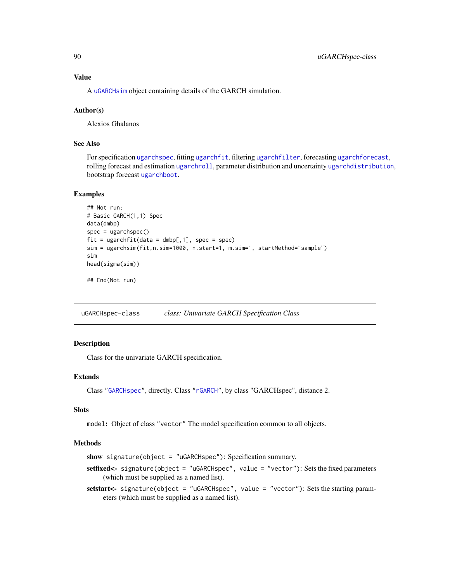<span id="page-89-2"></span>A [uGARCHsim](#page-86-0) object containing details of the GARCH simulation.

# Author(s)

Alexios Ghalanos

# See Also

For specification [ugarchspec](#page-90-0), fitting [ugarchfit](#page-70-0), filtering [ugarchfilter](#page-66-0), forecasting [ugarchforecast](#page-75-0), rolling forecast and estimation [ugarchroll](#page-84-0), parameter distribution and uncertainty [ugarchdistribution](#page-62-0), bootstrap forecast [ugarchboot](#page-58-0).

# Examples

```
## Not run:
# Basic GARCH(1,1) Spec
data(dmbp)
spec = ugarchspec()fit = ugarchfit(data = dmbp[,1], spec = spec)sim = ugarchsim(fit,n.sim=1000, n.start=1, m.sim=1, startMethod="sample")
sim
head(sigma(sim))
```
## End(Not run)

<span id="page-89-0"></span>uGARCHspec-class *class: Univariate GARCH Specification Class*

# <span id="page-89-1"></span>Description

Class for the univariate GARCH specification.

# Extends

Class ["GARCHspec"](#page-43-0), directly. Class ["rGARCH"](#page-53-0), by class "GARCHspec", distance 2.

# **Slots**

model: Object of class "vector" The model specification common to all objects.

#### Methods

show signature(object = "uGARCHspec"): Specification summary.

setfixed<- signature(object = "uGARCHspec", value = "vector"): Sets the fixed parameters (which must be supplied as a named list).

setstart<- signature(object = "uGARCHspec", value = "vector"): Sets the starting parameters (which must be supplied as a named list).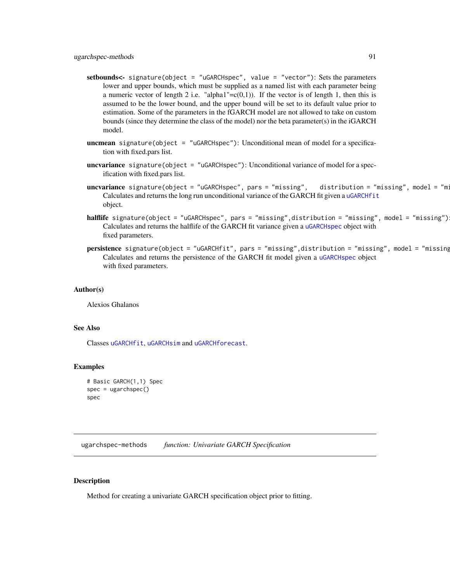- <span id="page-90-1"></span>setbounds<- signature(object = "uGARCHspec", value = "vector"): Sets the parameters lower and upper bounds, which must be supplied as a named list with each parameter being a numeric vector of length 2 i.e. "alpha1"= $c(0,1)$ ). If the vector is of length 1, then this is assumed to be the lower bound, and the upper bound will be set to its default value prior to estimation. Some of the parameters in the fGARCH model are not allowed to take on custom bounds (since they determine the class of the model) nor the beta parameter(s) in the iGARCH model.
- **uncmean** signature(object = "uGARCHspec"): Unconditional mean of model for a specification with fixed.pars list.
- uncvariance signature(object = "uGARCHspec"): Unconditional variance of model for a specification with fixed.pars list.
- $uncvariance$   $signature(object = "uGARCHSpec", pars = "missing",$   $distribution = "missing",$  model = "mi Calculates and returns the long run unconditional variance of the GARCH fit given a [uGARCHfit](#page-67-0) object.
- halflife signature(object = "uGARCHspec", pars = "missing",distribution = "missing", model = "missing") Calculates and returns the halflife of the GARCH fit variance given a [uGARCHspec](#page-89-0) object with fixed parameters.
- persistence signature(object = "uGARCHfit", pars = "missing",distribution = "missing", model = "missing Calculates and returns the persistence of the GARCH fit model given a [uGARCHspec](#page-89-0) object with fixed parameters.

#### Author(s)

Alexios Ghalanos

#### See Also

Classes [uGARCHfit](#page-67-0), [uGARCHsim](#page-86-0) and [uGARCHforecast](#page-73-0).

#### Examples

```
# Basic GARCH(1,1) Spec
spec = ugarchspec()spec
```
ugarchspec-methods *function: Univariate GARCH Specification*

#### <span id="page-90-0"></span>Description

Method for creating a univariate GARCH specification object prior to fitting.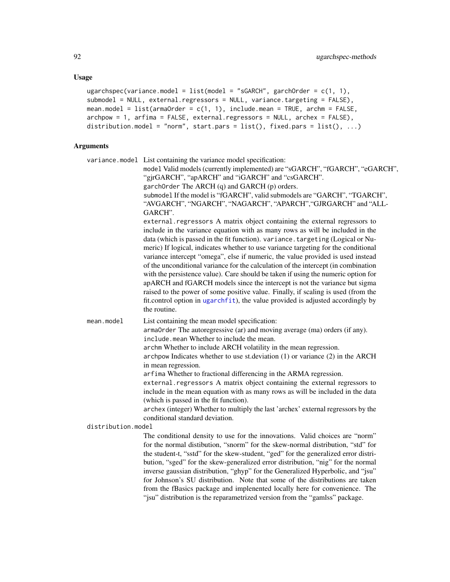```
ugarchspec(variance.model = list(model = "sGARCH", garchOrder = c(1, 1),
submodel = NULL, external.regressors = NULL, variance.targeting = FALSE),
mean.model = list(armaOrder = c(1, 1), include.mean = TRUE, archm = FALSE,
archpow = 1, arfima = FALSE, external.regressors = NULL, archex = FALSE),
distribution.model = "norm", start.pars = list(), fixed.parse = list(), ...)
```
# Arguments

variance.model List containing the variance model specification: model Valid models (currently implemented) are "sGARCH", "fGARCH", "eGARCH", "gjrGARCH", "apARCH" and "iGARCH" and "csGARCH". garchOrder The ARCH (q) and GARCH (p) orders. submodel If the model is "fGARCH", valid submodels are "GARCH", "TGARCH", "AVGARCH", "NGARCH", "NAGARCH", "APARCH","GJRGARCH" and "ALL-GARCH". external.regressors A matrix object containing the external regressors to include in the variance equation with as many rows as will be included in the data (which is passed in the fit function). variance.targeting (Logical or Numeric) If logical, indicates whether to use variance targeting for the conditional variance intercept "omega", else if numeric, the value provided is used instead of the unconditional variance for the calculation of the intercept (in combination with the persistence value). Care should be taken if using the numeric option for apARCH and fGARCH models since the intercept is not the variance but sigma raised to the power of some positive value. Finally, if scaling is used (from the fit.control option in [ugarchfit](#page-70-0)), the value provided is adjusted accordingly by the routine. mean.model List containing the mean model specification: armaOrder The autoregressive (ar) and moving average (ma) orders (if any). include.mean Whether to include the mean. archm Whether to include ARCH volatility in the mean regression. archpow Indicates whether to use st.deviation (1) or variance (2) in the ARCH in mean regression. arfima Whether to fractional differencing in the ARMA regression. external.regressors A matrix object containing the external regressors to include in the mean equation with as many rows as will be included in the data (which is passed in the fit function). archex (integer) Whether to multiply the last 'archex' external regressors by the conditional standard deviation. distribution.model The conditional density to use for the innovations. Valid choices are "norm" for the normal distibution, "snorm" for the skew-normal distribution, "std" for the student-t, "sstd" for the skew-student, "ged" for the generalized error distribution, "sged" for the skew-generalized error distribution, "nig" for the normal inverse gaussian distribution, "ghyp" for the Generalized Hyperbolic, and "jsu"

for Johnson's SU distribution. Note that some of the distributions are taken from the fBasics package and implenented locally here for convenience. The "jsu" distribution is the reparametrized version from the "gamlss" package.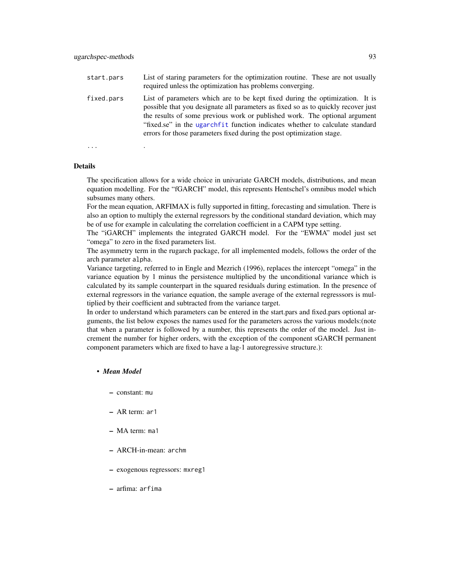<span id="page-92-0"></span>fixed.pars List of parameters which are to be kept fixed during the optimization. It is possible that you designate all parameters as fixed so as to quickly recover just the results of some previous work or published work. The optional argument "fixed.se" in the [ugarchfit](#page-70-0) function indicates whether to calculate standard errors for those parameters fixed during the post optimization stage.

... .

#### Details

The specification allows for a wide choice in univariate GARCH models, distributions, and mean equation modelling. For the "fGARCH" model, this represents Hentschel's omnibus model which subsumes many others.

For the mean equation, ARFIMAX is fully supported in fitting, forecasting and simulation. There is also an option to multiply the external regressors by the conditional standard deviation, which may be of use for example in calculating the correlation coefficient in a CAPM type setting.

The "iGARCH" implements the integrated GARCH model. For the "EWMA" model just set "omega" to zero in the fixed parameters list.

The asymmetry term in the rugarch package, for all implemented models, follows the order of the arch parameter alpha.

Variance targeting, referred to in Engle and Mezrich (1996), replaces the intercept "omega" in the variance equation by 1 minus the persistence multiplied by the unconditional variance which is calculated by its sample counterpart in the squared residuals during estimation. In the presence of external regressors in the variance equation, the sample average of the external regresssors is multiplied by their coefficient and subtracted from the variance target.

In order to understand which parameters can be entered in the start.pars and fixed.pars optional arguments, the list below exposes the names used for the parameters across the various models:(note that when a parameter is followed by a number, this represents the order of the model. Just increment the number for higher orders, with the exception of the component sGARCH permanent component parameters which are fixed to have a lag-1 autoregressive structure.):

# • *Mean Model*

- constant: mu
- AR term: ar1
- MA term: ma1
- ARCH-in-mean: archm
- exogenous regressors: mxreg1
- arfima: arfima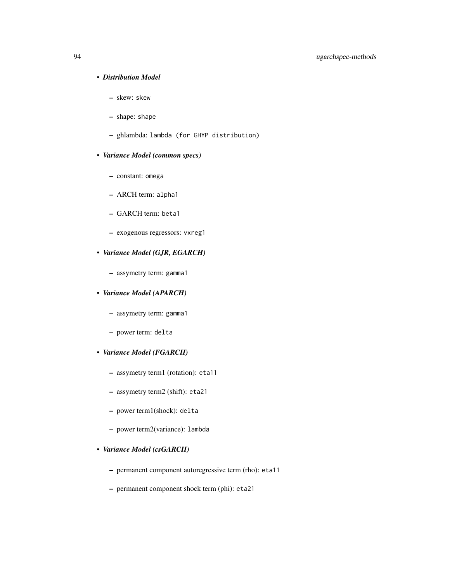# • *Distribution Model*

- skew: skew
- shape: shape
- ghlambda: lambda (for GHYP distribution)
- *Variance Model (common specs)*
	- constant: omega
	- ARCH term: alpha1
	- GARCH term: beta1
	- exogenous regressors: vxreg1
- *Variance Model (GJR, EGARCH)*
	- assymetry term: gamma1

# • *Variance Model (APARCH)*

- assymetry term: gamma1
- power term: delta
- *Variance Model (FGARCH)*
	- assymetry term1 (rotation): eta11
	- assymetry term2 (shift): eta21
	- power term1(shock): delta
	- power term2(variance): lambda

# • *Variance Model (csGARCH)*

- permanent component autoregressive term (rho): eta11
- permanent component shock term (phi): eta21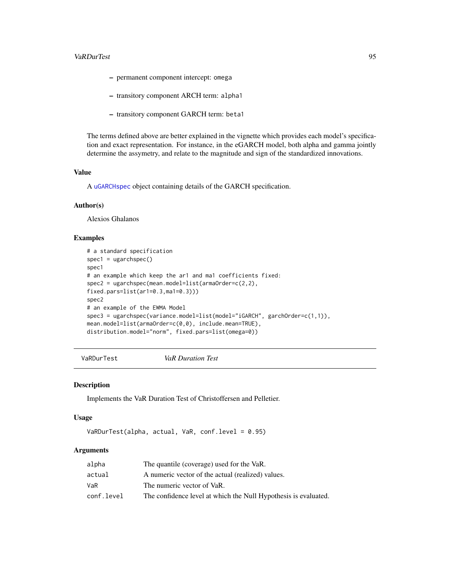#### <span id="page-94-0"></span>VaRDurTest 95

- permanent component intercept: omega
- transitory component ARCH term: alpha1
- transitory component GARCH term: beta1

The terms defined above are better explained in the vignette which provides each model's specification and exact representation. For instance, in the eGARCH model, both alpha and gamma jointly determine the assymetry, and relate to the magnitude and sign of the standardized innovations.

#### Value

A [uGARCHspec](#page-89-0) object containing details of the GARCH specification.

# Author(s)

Alexios Ghalanos

# Examples

```
# a standard specification
spec1 = ugarchspec()
spec1
# an example which keep the ar1 and ma1 coefficients fixed:
spec2 = ugarchspec(mean.model=list(armaOrder=c(2,2),
fixed.pars=list(ar1=0.3,ma1=0.3)))
spec2
# an example of the EWMA Model
spec3 = ugarchspec(variance.model=list(model="iGARCH", garchOrder=c(1,1)),
mean.model=list(armaOrder=c(0,0), include.mean=TRUE),
distribution.model="norm", fixed.pars=list(omega=0))
```
VaRDurTest *VaR Duration Test*

# Description

Implements the VaR Duration Test of Christoffersen and Pelletier.

#### Usage

```
VaRDurTest(alpha, actual, VaR, conf.level = 0.95)
```
# Arguments

| alpha      | The quantile (coverage) used for the VaR.                       |
|------------|-----------------------------------------------------------------|
| actual     | A numeric vector of the actual (realized) values.               |
| VaR        | The numeric vector of VaR.                                      |
| conf.level | The confidence level at which the Null Hypothesis is evaluated. |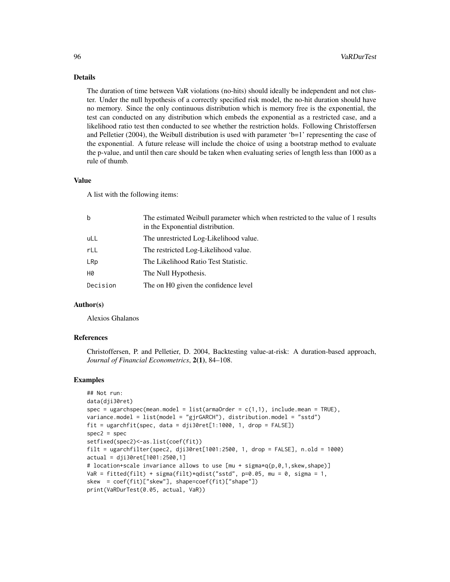#### Details

The duration of time between VaR violations (no-hits) should ideally be independent and not cluster. Under the null hypothesis of a correctly specified risk model, the no-hit duration should have no memory. Since the only continuous distribution which is memory free is the exponential, the test can conducted on any distribution which embeds the exponential as a restricted case, and a likelihood ratio test then conducted to see whether the restriction holds. Following Christoffersen and Pelletier  $(2004)$ , the Weibull distribution is used with parameter 'b=1' representing the case of the exponential. A future release will include the choice of using a bootstrap method to evaluate the p-value, and until then care should be taken when evaluating series of length less than 1000 as a rule of thumb.

#### Value

A list with the following items:

| $\mathbf b$ | The estimated Weibull parameter which when restricted to the value of 1 results<br>in the Exponential distribution. |
|-------------|---------------------------------------------------------------------------------------------------------------------|
| uLL         | The unrestricted Log-Likelihood value.                                                                              |
| rLL         | The restricted Log-Likelihood value.                                                                                |
| LRp         | The Likelihood Ratio Test Statistic.                                                                                |
| H0          | The Null Hypothesis.                                                                                                |
| Decision    | The on HO given the confidence level                                                                                |
|             |                                                                                                                     |

# Author(s)

Alexios Ghalanos

#### References

Christoffersen, P. and Pelletier, D. 2004, Backtesting value-at-risk: A duration-based approach, *Journal of Financial Econometrics*, 2(1), 84–108.

#### Examples

```
## Not run:
data(dji30ret)
spec = ugarchspec(mean.model = list(amadrder = c(1,1), include.mean = TRUE),variance.model = list(model = "gjrGARCH"), distribution.model = "sstd")
fit = ugarchfit(spec, data = dji30ret[1:1000, 1, drop = FALSE])
spec2 = specsetfixed(spec2)<-as.list(coef(fit))
filt = ugarchfilter(spec2, dji30ret[1001:2500, 1, drop = FALSE], n.old = 1000)
actual = dji30ret[1001:2500,1]
# location+scale invariance allows to use [mu + sigma*q(p,0,1,skew,shape)]
VaR = fitted(filt) + sigma(filt)*qdist("sstd", p=0.05, mu = 0, sigma = 1,
skew = coef(fit)["skew"], shape=coef(fit)["shape"])
print(VaRDurTest(0.05, actual, VaR))
```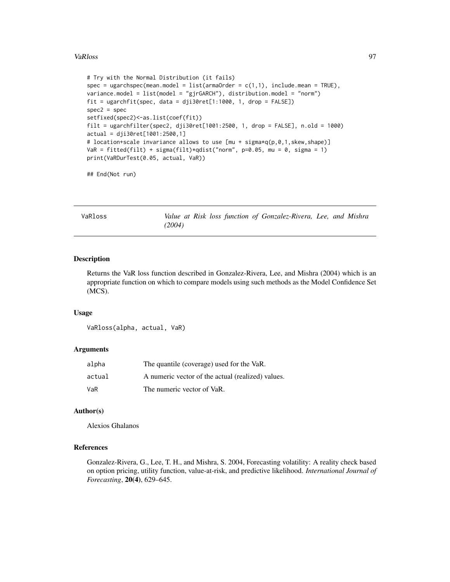# <span id="page-96-0"></span>VaRloss 97

```
# Try with the Normal Distribution (it fails)
spec = ugarchspec(mean.model = list(am20rder = c(1,1), include.mean = TRUE),variance.model = list(model = "gjrGARCH"), distribution.model = "norm")
fit = ugarchfit(spec, data = dji30ret[1:1000, 1, drop = FALSE])spec2 = specsetfixed(spec2)<-as.list(coef(fit))
filt = ugarchfilter(spec2, dji30ret[1001:2500, 1, drop = FALSE], n.old = 1000)
actual = dji30ret[1001:2500,1]
# location+scale invariance allows to use [mu + sigma*q(p,0,1,skew,shape)]
VaR = fitted(filt) + sigma(filt)*qdist("norm", p=0.05, mu = 0, sigma = 1)
print(VaRDurTest(0.05, actual, VaR))
```
## End(Not run)

VaRloss *Value at Risk loss function of Gonzalez-Rivera, Lee, and Mishra (2004)*

#### Description

Returns the VaR loss function described in Gonzalez-Rivera, Lee, and Mishra (2004) which is an appropriate function on which to compare models using such methods as the Model Confidence Set (MCS).

#### Usage

```
VaRloss(alpha, actual, VaR)
```
# **Arguments**

| alpha  | The quantile (coverage) used for the VaR.         |
|--------|---------------------------------------------------|
| actual | A numeric vector of the actual (realized) values. |
| VaR    | The numeric vector of VaR.                        |

#### Author(s)

Alexios Ghalanos

#### References

Gonzalez-Rivera, G., Lee, T. H., and Mishra, S. 2004, Forecasting volatility: A reality check based on option pricing, utility function, value-at-risk, and predictive likelihood. *International Journal of Forecasting*, 20(4), 629–645.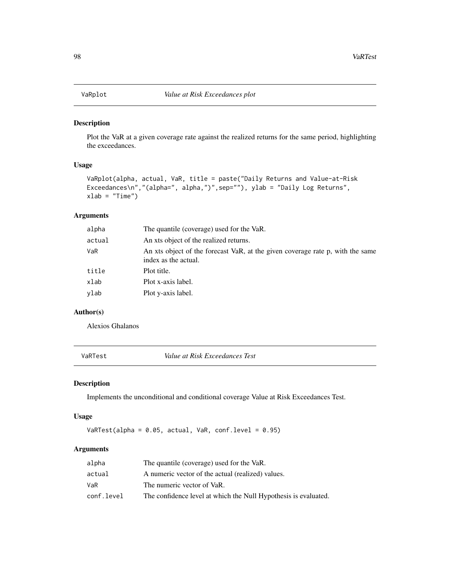<span id="page-97-0"></span>

#### Description

Plot the VaR at a given coverage rate against the realized returns for the same period, highlighting the exceedances.

# Usage

```
VaRplot(alpha, actual, VaR, title = paste("Daily Returns and Value-at-Risk
Exceedances\n","(alpha=", alpha,")",sep=""), ylab = "Daily Log Returns",
xlab = "Time")
```
# Arguments

| alpha  | The quantile (coverage) used for the VaR.                                                              |
|--------|--------------------------------------------------------------------------------------------------------|
| actual | An xts object of the realized returns.                                                                 |
| VaR    | An xts object of the forecast VaR, at the given coverage rate p, with the same<br>index as the actual. |
| title  | Plot title.                                                                                            |
| xlab   | Plot x-axis label.                                                                                     |
| vlab   | Plot y-axis label.                                                                                     |
|        |                                                                                                        |

# Author(s)

Alexios Ghalanos

VaRTest *Value at Risk Exceedances Test*

# Description

Implements the unconditional and conditional coverage Value at Risk Exceedances Test.

# Usage

VaRTest(alpha =  $0.05$ , actual, VaR, conf.level =  $0.95$ )

# Arguments

| alpha      | The quantile (coverage) used for the VaR.                       |
|------------|-----------------------------------------------------------------|
| actual     | A numeric vector of the actual (realized) values.               |
| VaR        | The numeric vector of VaR.                                      |
| conf.level | The confidence level at which the Null Hypothesis is evaluated. |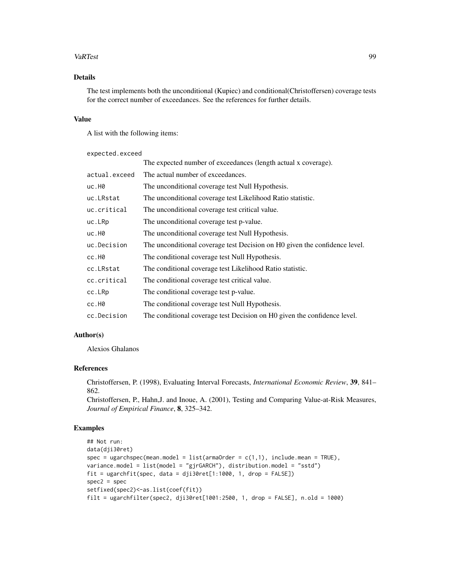# VaRTest 99

# Details

The test implements both the unconditional (Kupiec) and conditional(Christoffersen) coverage tests for the correct number of exceedances. See the references for further details.

# Value

A list with the following items:

expected.exceed

|               | The expected number of exceedances (length actual x coverage).             |
|---------------|----------------------------------------------------------------------------|
| actual.exceed | The actual number of exceedances.                                          |
| uc.H0         | The unconditional coverage test Null Hypothesis.                           |
| uc.LRstat     | The unconditional coverage test Likelihood Ratio statistic.                |
| uc.critical   | The unconditional coverage test critical value.                            |
| uc.LRp        | The unconditional coverage test p-value.                                   |
| uc.H0         | The unconditional coverage test Null Hypothesis.                           |
| uc.Decision   | The unconditional coverage test Decision on H0 given the confidence level. |
| cc.H0         | The conditional coverage test Null Hypothesis.                             |
| cc.LRstat     | The conditional coverage test Likelihood Ratio statistic.                  |
| cc.critical   | The conditional coverage test critical value.                              |
| cc.LRp        | The conditional coverage test p-value.                                     |
| cc.H0         | The conditional coverage test Null Hypothesis.                             |
| cc.Decision   | The conditional coverage test Decision on H0 given the confidence level.   |

# Author(s)

Alexios Ghalanos

# References

Christoffersen, P. (1998), Evaluating Interval Forecasts, *International Economic Review*, 39, 841– 862.

Christoffersen, P., Hahn,J. and Inoue, A. (2001), Testing and Comparing Value-at-Risk Measures, *Journal of Empirical Finance*, 8, 325–342.

# Examples

```
## Not run:
data(dji30ret)
spec = ugarchspec(mean.model = list(amadrder = c(1,1), include.mean = TRUE),variance.model = list(model = "gjrGARCH"), distribution.model = "sstd")
fit = ugarchfit(spec, data = dji30ret[1:1000, 1, drop = FALSE])spec2 = specsetfixed(spec2)<-as.list(coef(fit))
filt = ugarchfilter(spec2, dji30ret[1001:2500, 1, drop = FALSE], n.old = 1000)
```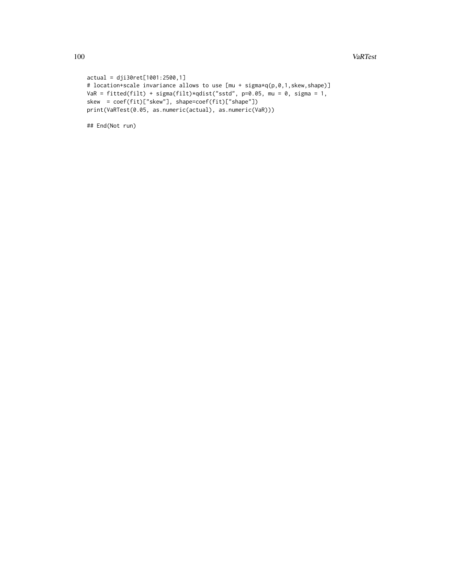100 VaRTest

```
actual = dji30ret[1001:2500,1]
# location+scale invariance allows to use [mu + sigma*q(p,0,1,skew,shape)]
VaR = fitted(filt) + sigma(filt)*qdist("sstd", p=0.05, mu = 0, sigma = 1,
skew = coef(fit)["skew"], shape=coef(fit)["shape"])
print(VaRTest(0.05, as.numeric(actual), as.numeric(VaR)))
```
## End(Not run)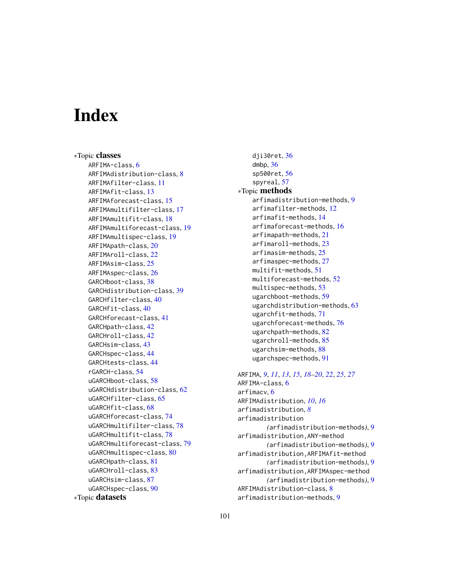# Index

∗Topic classes ARFIMA-class, [6](#page-5-0) ARFIMAdistribution-class, [8](#page-7-0) ARFIMAfilter-class, [11](#page-10-0) ARFIMAfit-class, [13](#page-12-0) ARFIMAforecast-class, [15](#page-14-0) ARFIMAmultifilter-class, [17](#page-16-0) ARFIMAmultifit-class, [18](#page-17-0) ARFIMAmultiforecast-class, [19](#page-18-0) ARFIMAmultispec-class, [19](#page-18-0) ARFIMApath-class, [20](#page-19-0) ARFIMAroll-class, [22](#page-21-0) ARFIMAsim-class, [25](#page-24-0) ARFIMAspec-class, [26](#page-25-0) GARCHboot-class, [38](#page-37-0) GARCHdistribution-class, [39](#page-38-0) GARCHfilter-class, [40](#page-39-2) GARCHfit-class, [40](#page-39-2) GARCHforecast-class, [41](#page-40-1) GARCHpath-class, [42](#page-41-1) GARCHroll-class, [42](#page-41-1) GARCHsim-class, [43](#page-42-1) GARCHspec-class, [44](#page-43-1) GARCHtests-class, [44](#page-43-1) rGARCH-class, [54](#page-53-1) uGARCHboot-class, [58](#page-57-1) uGARCHdistribution-class, [62](#page-61-1) uGARCHfilter-class, [65](#page-64-0) uGARCHfit-class, [68](#page-67-1) uGARCHforecast-class, [74](#page-73-1) uGARCHmultifilter-class, [78](#page-77-2) uGARCHmultifit-class, [78](#page-77-2) uGARCHmultiforecast-class, [79](#page-78-1) uGARCHmultispec-class, [80](#page-79-1) uGARCHpath-class, [81](#page-80-1) uGARCHroll-class, [83](#page-82-2) uGARCHsim-class, [87](#page-86-1) uGARCHspec-class, [90](#page-89-2) ∗Topic datasets

dji30ret, [36](#page-35-0) dmbp, [36](#page-35-0) sp500ret, [56](#page-55-0) spyreal, [57](#page-56-0) ∗Topic methods arfimadistribution-methods, [9](#page-8-0) arfimafilter-methods, [12](#page-11-0) arfimafit-methods, [14](#page-13-0) arfimaforecast-methods, [16](#page-15-0) arfimapath-methods, [21](#page-20-0) arfimaroll-methods, [23](#page-22-0) arfimasim-methods, [25](#page-24-0) arfimaspec-methods, [27](#page-26-0) multifit-methods, [51](#page-50-0) multiforecast-methods, [52](#page-51-0) multispec-methods, [53](#page-52-0) ugarchboot-methods, [59](#page-58-1) ugarchdistribution-methods, [63](#page-62-1) ugarchfit-methods, [71](#page-70-1) ugarchforecast-methods, [76](#page-75-1) ugarchpath-methods, [82](#page-81-0) ugarchroll-methods, [85](#page-84-1) ugarchsim-methods, [88](#page-87-1) ugarchspec-methods, [91](#page-90-1)

```
ARFIMA, 9, 11, 13, 15, 18–20, 22, 25, 27
ARFIMA-class, 6
arfimacv, 6
ARFIMAdistribution, 10, 16
arfimadistribution, 8
arfimadistribution
        (arfimadistribution-methods), 9
arfimadistribution,ANY-method
        (arfimadistribution-methods), 9
arfimadistribution,ARFIMAfit-method
        (arfimadistribution-methods), 9
arfimadistribution,ARFIMAspec-method
        (arfimadistribution-methods), 9
ARFIMAdistribution-class, 8
arfimadistribution-methods, 9
```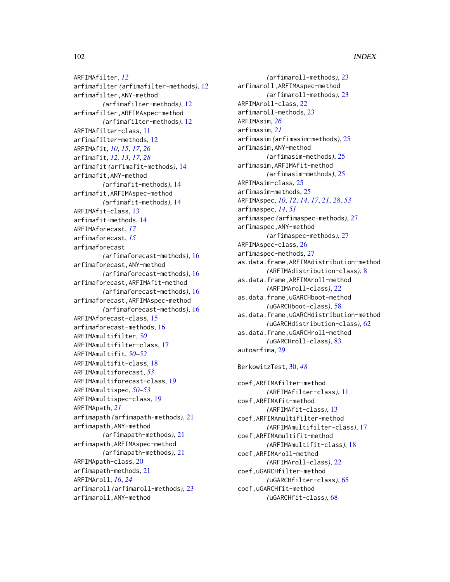ARFIMAfilter, *[12](#page-11-0)* arfimafilter *(*arfimafilter-methods*)*, [12](#page-11-0) arfimafilter,ANY-method *(*arfimafilter-methods*)*, [12](#page-11-0) arfimafilter,ARFIMAspec-method *(*arfimafilter-methods*)*, [12](#page-11-0) ARFIMAfilter-class, [11](#page-10-0) arfimafilter-methods, [12](#page-11-0) ARFIMAfit, *[10](#page-9-0)*, *[15](#page-14-0)*, *[17](#page-16-0)*, *[26](#page-25-0)* arfimafit, *[12,](#page-11-0) [13](#page-12-0)*, *[17](#page-16-0)*, *[28](#page-27-0)* arfimafit *(*arfimafit-methods*)*, [14](#page-13-0) arfimafit,ANY-method *(*arfimafit-methods*)*, [14](#page-13-0) arfimafit,ARFIMAspec-method *(*arfimafit-methods*)*, [14](#page-13-0) ARFIMAfit-class, [13](#page-12-0) arfimafit-methods, [14](#page-13-0) ARFIMAforecast, *[17](#page-16-0)* arfimaforecast, *[15](#page-14-0)* arfimaforecast *(*arfimaforecast-methods*)*, [16](#page-15-0) arfimaforecast,ANY-method *(*arfimaforecast-methods*)*, [16](#page-15-0) arfimaforecast,ARFIMAfit-method *(*arfimaforecast-methods*)*, [16](#page-15-0) arfimaforecast,ARFIMAspec-method *(*arfimaforecast-methods*)*, [16](#page-15-0) ARFIMAforecast-class, [15](#page-14-0) arfimaforecast-methods, [16](#page-15-0) ARFIMAmultifilter, *[50](#page-49-0)* ARFIMAmultifilter-class, [17](#page-16-0) ARFIMAmultifit, *[50](#page-49-0)[–52](#page-51-0)* ARFIMAmultifit-class, [18](#page-17-0) ARFIMAmultiforecast, *[53](#page-52-0)* ARFIMAmultiforecast-class, [19](#page-18-0) ARFIMAmultispec, *[50](#page-49-0)[–53](#page-52-0)* ARFIMAmultispec-class, [19](#page-18-0) ARFIMApath, *[21](#page-20-0)* arfimapath *(*arfimapath-methods*)*, [21](#page-20-0) arfimapath,ANY-method *(*arfimapath-methods*)*, [21](#page-20-0) arfimapath,ARFIMAspec-method *(*arfimapath-methods*)*, [21](#page-20-0) ARFIMApath-class, [20](#page-19-0) arfimapath-methods, [21](#page-20-0) ARFIMAroll, *[16](#page-15-0)*, *[24](#page-23-0)* arfimaroll *(*arfimaroll-methods*)*, [23](#page-22-0) arfimaroll,ANY-method

```
(arfimaroll-methods), 23
arfimaroll,ARFIMAspec-method
        (arfimaroll-methods), 23
ARFIMAroll-class, 22
arfimaroll-methods, 23
ARFIMAsim, 26
arfimasim, 21
arfimasim (arfimasim-methods), 25
arfimasim,ANY-method
        (arfimasim-methods), 25
arfimasim,ARFIMAfit-method
        (arfimasim-methods), 25
ARFIMAsim-class, 25
arfimasim-methods, 25
ARFIMAspec, 10, 12, 14, 17, 21, 28, 53
arfimaspec, 14, 51
arfimaspec (arfimaspec-methods), 27
arfimaspec,ANY-method
        (arfimaspec-methods), 27
ARFIMAspec-class, 26
arfimaspec-methods, 27
as.data.frame,ARFIMAdistribution-method
        (ARFIMAdistribution-class), 8
as.data.frame,ARFIMAroll-method
        (ARFIMAroll-class), 22
as.data.frame,uGARCHboot-method
        (uGARCHboot-class), 58
as.data.frame,uGARCHdistribution-method
        (uGARCHdistribution-class), 62
as.data.frame,uGARCHroll-method
        (uGARCHroll-class), 83
autoarfima, 29
BerkowitzTest, 30, 48
coef,ARFIMAfilter-method
        (ARFIMAfilter-class), 11
coef,ARFIMAfit-method
        (ARFIMAfit-class), 13
```

```
coef,ARFIMAmultifilter-method
        (ARFIMAmultifilter-class), 17
coef,ARFIMAmultifit-method
        (ARFIMAmultifit-class), 18
coef,ARFIMAroll-method
        (ARFIMAroll-class), 22
coef,uGARCHfilter-method
        (uGARCHfilter-class), 65
coef,uGARCHfit-method
        (uGARCHfit-class), 68
```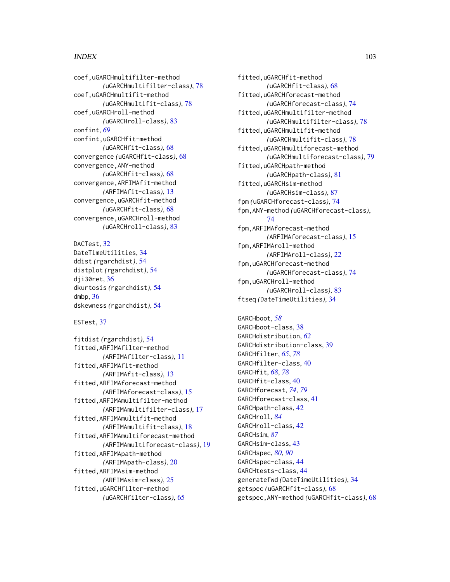# INDEX  $103$

coef,uGARCHmultifilter-method *(*uGARCHmultifilter-class*)*, [78](#page-77-2) coef,uGARCHmultifit-method *(*uGARCHmultifit-class*)*, [78](#page-77-2) coef,uGARCHroll-method *(*uGARCHroll-class*)*, [83](#page-82-2) confint, *[69](#page-68-0)* confint,uGARCHfit-method *(*uGARCHfit-class*)*, [68](#page-67-1) convergence *(*uGARCHfit-class*)*, [68](#page-67-1) convergence,ANY-method *(*uGARCHfit-class*)*, [68](#page-67-1) convergence,ARFIMAfit-method *(*ARFIMAfit-class*)*, [13](#page-12-0) convergence,uGARCHfit-method *(*uGARCHfit-class*)*, [68](#page-67-1) convergence,uGARCHroll-method *(*uGARCHroll-class*)*, [83](#page-82-2)

```
DACTest, 32
DateTimeUtilities, 34
ddist (rgarchdist), 54
distplot (rgarchdist), 54
dji30ret, 36
dkurtosis (rgarchdist), 54
dmbp, 36
dskewness (rgarchdist), 54
```
# ESTest, [37](#page-36-0)

fitdist *(*rgarchdist*)*, [54](#page-53-1) fitted,ARFIMAfilter-method *(*ARFIMAfilter-class*)*, [11](#page-10-0) fitted,ARFIMAfit-method *(*ARFIMAfit-class*)*, [13](#page-12-0) fitted,ARFIMAforecast-method *(*ARFIMAforecast-class*)*, [15](#page-14-0) fitted,ARFIMAmultifilter-method *(*ARFIMAmultifilter-class*)*, [17](#page-16-0) fitted,ARFIMAmultifit-method *(*ARFIMAmultifit-class*)*, [18](#page-17-0) fitted,ARFIMAmultiforecast-method *(*ARFIMAmultiforecast-class*)*, [19](#page-18-0) fitted,ARFIMApath-method *(*ARFIMApath-class*)*, [20](#page-19-0) fitted,ARFIMAsim-method *(*ARFIMAsim-class*)*, [25](#page-24-0) fitted,uGARCHfilter-method *(*uGARCHfilter-class*)*, [65](#page-64-0)

fitted,uGARCHfit-method *(*uGARCHfit-class*)*, [68](#page-67-1) fitted,uGARCHforecast-method *(*uGARCHforecast-class*)*, [74](#page-73-1) fitted,uGARCHmultifilter-method *(*uGARCHmultifilter-class*)*, [78](#page-77-2) fitted,uGARCHmultifit-method *(*uGARCHmultifit-class*)*, [78](#page-77-2) fitted,uGARCHmultiforecast-method *(*uGARCHmultiforecast-class*)*, [79](#page-78-1) fitted,uGARCHpath-method *(*uGARCHpath-class*)*, [81](#page-80-1) fitted,uGARCHsim-method *(*uGARCHsim-class*)*, [87](#page-86-1) fpm *(*uGARCHforecast-class*)*, [74](#page-73-1) fpm,ANY-method *(*uGARCHforecast-class*)*, [74](#page-73-1) fpm,ARFIMAforecast-method *(*ARFIMAforecast-class*)*, [15](#page-14-0) fpm,ARFIMAroll-method *(*ARFIMAroll-class*)*, [22](#page-21-0) fpm,uGARCHforecast-method *(*uGARCHforecast-class*)*, [74](#page-73-1) fpm,uGARCHroll-method *(*uGARCHroll-class*)*, [83](#page-82-2) ftseq *(*DateTimeUtilities*)*, [34](#page-33-0)

GARCHboot, *[58](#page-57-1)* GARCHboot-class, [38](#page-37-0) GARCHdistribution, *[62](#page-61-1)* GARCHdistribution-class, [39](#page-38-0) GARCHfilter, *[65](#page-64-0)*, *[78](#page-77-2)* GARCHfilter-class, [40](#page-39-2) GARCHfit, *[68](#page-67-1)*, *[78](#page-77-2)* GARCHfit-class, [40](#page-39-2) GARCHforecast, *[74](#page-73-1)*, *[79](#page-78-1)* GARCHforecast-class, [41](#page-40-1) GARCHpath-class, [42](#page-41-1) GARCHroll, *[84](#page-83-0)* GARCHroll-class, [42](#page-41-1) GARCHsim, *[87](#page-86-1)* GARCHsim-class, [43](#page-42-1) GARCHspec, *[80](#page-79-1)*, *[90](#page-89-2)* GARCHspec-class, [44](#page-43-1) GARCHtests-class, [44](#page-43-1) generatefwd *(*DateTimeUtilities*)*, [34](#page-33-0) getspec *(*uGARCHfit-class*)*, [68](#page-67-1) getspec,ANY-method *(*uGARCHfit-class*)*, [68](#page-67-1)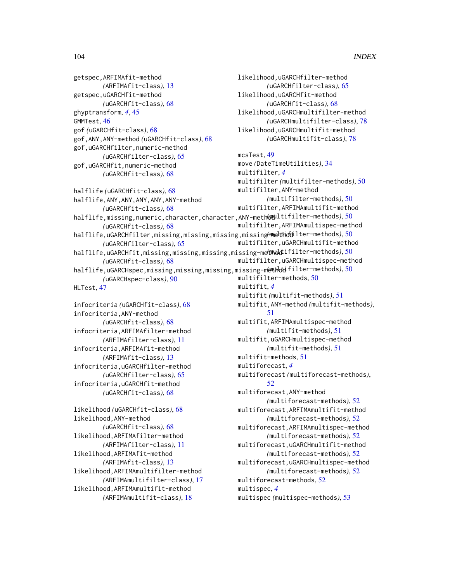getspec,ARFIMAfit-method *(*ARFIMAfit-class*)*, [13](#page-12-0) getspec,uGARCHfit-method *(*uGARCHfit-class*)*, [68](#page-67-1) ghyptransform, *[4](#page-3-0)*, [45](#page-44-0) GMMTest, [46](#page-45-0) gof *(*uGARCHfit-class*)*, [68](#page-67-1) gof,ANY,ANY-method *(*uGARCHfit-class*)*, [68](#page-67-1) gof,uGARCHfilter,numeric-method *(*uGARCHfilter-class*)*, [65](#page-64-0) gof,uGARCHfit,numeric-method *(*uGARCHfit-class*)*, [68](#page-67-1)

halflife *(*uGARCHfit-class*)*, [68](#page-67-1) halflife,ANY,ANY,ANY,ANY,ANY-method *(*uGARCHfit-class*)*, [68](#page-67-1) halflife,missing,numeric,character,character,ANY-method *(*multifilter-methods*)*, [50](#page-49-0) *(*uGARCHfit-class*)*, [68](#page-67-1) halflife,uGARCHfilter,missing,missing,missing,missing-method *(*multifilter-methods*)*, [50](#page-49-0) *(*uGARCHfilter-class*)*, [65](#page-64-0) halflife,uGARCHfit,missing,missing,missing,missing-method *(*multifilter-methods*)*, [50](#page-49-0) *(*uGARCHfit-class*)*, [68](#page-67-1) halflife,uGARCHspec,missing,missing,missing,missing-m@Mb**di**filter-methods),[50](#page-49-0) *(*uGARCHspec-class*)*, [90](#page-89-2) HLTest, [47](#page-46-0)

infocriteria *(*uGARCHfit-class*)*, [68](#page-67-1) infocriteria,ANY-method *(*uGARCHfit-class*)*, [68](#page-67-1) infocriteria,ARFIMAfilter-method *(*ARFIMAfilter-class*)*, [11](#page-10-0) infocriteria,ARFIMAfit-method *(*ARFIMAfit-class*)*, [13](#page-12-0) infocriteria,uGARCHfilter-method *(*uGARCHfilter-class*)*, [65](#page-64-0) infocriteria,uGARCHfit-method *(*uGARCHfit-class*)*, [68](#page-67-1)

likelihood *(*uGARCHfit-class*)*, [68](#page-67-1) likelihood,ANY-method *(*uGARCHfit-class*)*, [68](#page-67-1) likelihood,ARFIMAfilter-method *(*ARFIMAfilter-class*)*, [11](#page-10-0) likelihood,ARFIMAfit-method *(*ARFIMAfit-class*)*, [13](#page-12-0) likelihood,ARFIMAmultifilter-method *(*ARFIMAmultifilter-class*)*, [17](#page-16-0) likelihood,ARFIMAmultifit-method *(*ARFIMAmultifit-class*)*, [18](#page-17-0)

likelihood,uGARCHfilter-method *(*uGARCHfilter-class*)*, [65](#page-64-0) likelihood,uGARCHfit-method *(*uGARCHfit-class*)*, [68](#page-67-1) likelihood,uGARCHmultifilter-method *(*uGARCHmultifilter-class*)*, [78](#page-77-2) likelihood,uGARCHmultifit-method *(*uGARCHmultifit-class*)*, [78](#page-77-2) mcsTest, [49](#page-48-0) move *(*DateTimeUtilities*)*, [34](#page-33-0) multifilter, *[4](#page-3-0)* multifilter *(*multifilter-methods*)*, [50](#page-49-0) multifilter,ANY-method *(*multifilter-methods*)*, [50](#page-49-0) multifilter,ARFIMAmultifit-method multifilter,ARFIMAmultispec-method multifilter,uGARCHmultifit-method multifilter,uGARCHmultispec-method multifilter-methods, [50](#page-49-0) multifit, *[4](#page-3-0)* multifit *(*multifit-methods*)*, [51](#page-50-0) multifit,ANY-method *(*multifit-methods*)*, [51](#page-50-0) multifit,ARFIMAmultispec-method *(*multifit-methods*)*, [51](#page-50-0) multifit,uGARCHmultispec-method *(*multifit-methods*)*, [51](#page-50-0) multifit-methods, [51](#page-50-0) multiforecast, *[4](#page-3-0)* multiforecast *(*multiforecast-methods*)*,  $52$ multiforecast,ANY-method *(*multiforecast-methods*)*, [52](#page-51-0) multiforecast,ARFIMAmultifit-method *(*multiforecast-methods*)*, [52](#page-51-0) multiforecast,ARFIMAmultispec-method *(*multiforecast-methods*)*, [52](#page-51-0) multiforecast,uGARCHmultifit-method *(*multiforecast-methods*)*, [52](#page-51-0) multiforecast,uGARCHmultispec-method *(*multiforecast-methods*)*, [52](#page-51-0) multiforecast-methods, [52](#page-51-0) multispec, *[4](#page-3-0)* multispec *(*multispec-methods*)*, [53](#page-52-0)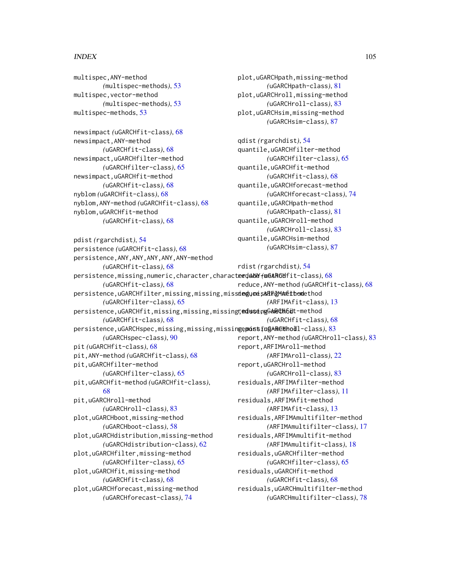#### INDEX 105

multispec,ANY-method *(*multispec-methods*)*, [53](#page-52-0) multispec,vector-method *(*multispec-methods*)*, [53](#page-52-0) multispec-methods, [53](#page-52-0)

newsimpact *(*uGARCHfit-class*)*, [68](#page-67-1) newsimpact,ANY-method *(*uGARCHfit-class*)*, [68](#page-67-1) newsimpact,uGARCHfilter-method *(*uGARCHfilter-class*)*, [65](#page-64-0) newsimpact,uGARCHfit-method *(*uGARCHfit-class*)*, [68](#page-67-1) nyblom *(*uGARCHfit-class*)*, [68](#page-67-1) nyblom,ANY-method *(*uGARCHfit-class*)*, [68](#page-67-1) nyblom,uGARCHfit-method *(*uGARCHfit-class*)*, [68](#page-67-1)

pdist *(*rgarchdist*)*, [54](#page-53-1) persistence *(*uGARCHfit-class*)*, [68](#page-67-1) persistence,ANY,ANY,ANY,ANY,ANY-method *(*uGARCHfit-class*)*, [68](#page-67-1) persistence,missing,numeric,character,character,ANY-method reduce *(*uGARCHfit-class*)*, [68](#page-67-1) *(*uGARCHfit-class*)*, [68](#page-67-1) persistence,uGARCHfilter,missing,missing,miss**iedyme;sSRFF@MAn&thoml**ethod *(*uGARCHfilter-class*)*, [65](#page-64-0) persistence,uGARCHfit,missing,missing,missingrุ**eduseingGARCHbüt-**method *(*uGARCHfit-class*)*, [68](#page-67-1) persistence,uGARCHspec,missing,missing,missin**gepoistingARE#hod**l-class),[83](#page-82-2) *(*uGARCHspec-class*)*, [90](#page-89-2) pit *(*uGARCHfit-class*)*, [68](#page-67-1) pit,ANY-method *(*uGARCHfit-class*)*, [68](#page-67-1) pit,uGARCHfilter-method *(*uGARCHfilter-class*)*, [65](#page-64-0) pit,uGARCHfit-method *(*uGARCHfit-class*)*, [68](#page-67-1) pit,uGARCHroll-method *(*uGARCHroll-class*)*, [83](#page-82-2) plot,uGARCHboot,missing-method *(*uGARCHboot-class*)*, [58](#page-57-1) plot,uGARCHdistribution,missing-method *(*uGARCHdistribution-class*)*, [62](#page-61-1) plot,uGARCHfilter,missing-method *(*uGARCHfilter-class*)*, [65](#page-64-0) plot,uGARCHfit,missing-method *(*uGARCHfit-class*)*, [68](#page-67-1) plot,uGARCHforecast,missing-method *(*uGARCHsim-class*)*, [87](#page-86-1) rdist *(*rgarchdist*)*, [54](#page-53-1) reduce,ANY-method *(*uGARCHfit-class*)*, [68](#page-67-1) *(*ARFIMAfit-class*)*, [13](#page-12-0) *(*uGARCHfit-class*)*, [68](#page-67-1) report,ANY-method *(*uGARCHroll-class*)*, [83](#page-82-2) report,ARFIMAroll-method *(*ARFIMAroll-class*)*, [22](#page-21-0) report,uGARCHroll-method *(*uGARCHroll-class*)*, [83](#page-82-2) residuals,ARFIMAfilter-method *(*ARFIMAfilter-class*)*, [11](#page-10-0) residuals,ARFIMAfit-method *(*ARFIMAfit-class*)*, [13](#page-12-0) residuals,ARFIMAmultifilter-method *(*ARFIMAmultifilter-class*)*, [17](#page-16-0) residuals,ARFIMAmultifit-method *(*ARFIMAmultifit-class*)*, [18](#page-17-0) residuals,uGARCHfilter-method *(*uGARCHfilter-class*)*, [65](#page-64-0) residuals,uGARCHfit-method *(*uGARCHfit-class*)*, [68](#page-67-1) residuals,uGARCHmultifilter-method

*(*uGARCHforecast-class*)*, [74](#page-73-1)

plot,uGARCHpath,missing-method *(*uGARCHpath-class*)*, [81](#page-80-1) plot,uGARCHroll,missing-method *(*uGARCHroll-class*)*, [83](#page-82-2) plot,uGARCHsim,missing-method *(*uGARCHsim-class*)*, [87](#page-86-1)

qdist *(*rgarchdist*)*, [54](#page-53-1) quantile,uGARCHfilter-method *(*uGARCHfilter-class*)*, [65](#page-64-0) quantile,uGARCHfit-method *(*uGARCHfit-class*)*, [68](#page-67-1) quantile,uGARCHforecast-method *(*uGARCHforecast-class*)*, [74](#page-73-1) quantile,uGARCHpath-method *(*uGARCHpath-class*)*, [81](#page-80-1) quantile,uGARCHroll-method *(*uGARCHroll-class*)*, [83](#page-82-2) quantile,uGARCHsim-method

*(*uGARCHmultifilter-class*)*, [78](#page-77-2)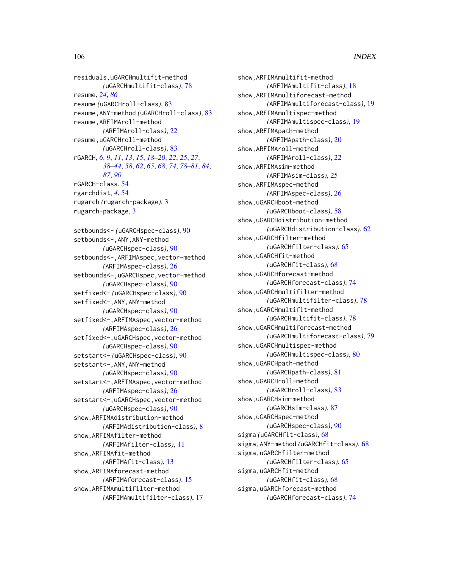residuals,uGARCHmultifit-method *(*uGARCHmultifit-class*)*, [78](#page-77-2) resume, *[24](#page-23-0)*, *[86](#page-85-0)* resume *(*uGARCHroll-class*)*, [83](#page-82-2) resume,ANY-method *(*uGARCHroll-class*)*, [83](#page-82-2) resume,ARFIMAroll-method *(*ARFIMAroll-class*)*, [22](#page-21-0) resume,uGARCHroll-method *(*uGARCHroll-class*)*, [83](#page-82-2) rGARCH, *[6](#page-5-0)*, *[9](#page-8-0)*, *[11](#page-10-0)*, *[13](#page-12-0)*, *[15](#page-14-0)*, *[18–](#page-17-0)[20](#page-19-0)*, *[22](#page-21-0)*, *[25](#page-24-0)*, *[27](#page-26-0)*, *[38](#page-37-0)[–44](#page-43-1)*, *[58](#page-57-1)*, *[62](#page-61-1)*, *[65](#page-64-0)*, *[68](#page-67-1)*, *[74](#page-73-1)*, *[78–](#page-77-2)[81](#page-80-1)*, *[84](#page-83-0)*, *[87](#page-86-1)*, *[90](#page-89-2)* rGARCH-class, [54](#page-53-1) rgarchdist, *[4](#page-3-0)*, [54](#page-53-1) rugarch *(*rugarch-package*)*, [3](#page-2-0) rugarch-package, [3](#page-2-0) setbounds<- *(*uGARCHspec-class*)*, [90](#page-89-2) setbounds<-,ANY,ANY-method *(*uGARCHspec-class*)*, [90](#page-89-2) setbounds<-, ARFIMAspec, vector-method *(*ARFIMAspec-class*)*, [26](#page-25-0) setbounds<-,uGARCHspec,vector-method *(*uGARCHspec-class*)*, [90](#page-89-2) setfixed<- *(*uGARCHspec-class*)*, [90](#page-89-2) setfixed<-,ANY,ANY-method *(*uGARCHspec-class*)*, [90](#page-89-2) setfixed<-,ARFIMAspec,vector-method *(*ARFIMAspec-class*)*, [26](#page-25-0)

setfixed<-,uGARCHspec,vector-method *(*uGARCHspec-class*)*, [90](#page-89-2) setstart<- *(*uGARCHspec-class*)*, [90](#page-89-2) setstart<-,ANY,ANY-method *(*uGARCHspec-class*)*, [90](#page-89-2) setstart<-,ARFIMAspec,vector-method *(*ARFIMAspec-class*)*, [26](#page-25-0) setstart<-,uGARCHspec,vector-method *(*uGARCHspec-class*)*, [90](#page-89-2) show,ARFIMAdistribution-method *(*ARFIMAdistribution-class*)*, [8](#page-7-0) show,ARFIMAfilter-method *(*ARFIMAfilter-class*)*, [11](#page-10-0) show,ARFIMAfit-method *(*ARFIMAfit-class*)*, [13](#page-12-0) show,ARFIMAforecast-method *(*ARFIMAforecast-class*)*, [15](#page-14-0) show,ARFIMAmultifilter-method

*(*ARFIMAmultifilter-class*)*, [17](#page-16-0)

show,ARFIMAmultifit-method *(*ARFIMAmultifit-class*)*, [18](#page-17-0) show,ARFIMAmultiforecast-method *(*ARFIMAmultiforecast-class*)*, [19](#page-18-0) show,ARFIMAmultispec-method *(*ARFIMAmultispec-class*)*, [19](#page-18-0) show,ARFIMApath-method *(*ARFIMApath-class*)*, [20](#page-19-0) show,ARFIMAroll-method *(*ARFIMAroll-class*)*, [22](#page-21-0) show,ARFIMAsim-method *(*ARFIMAsim-class*)*, [25](#page-24-0) show,ARFIMAspec-method *(*ARFIMAspec-class*)*, [26](#page-25-0) show,uGARCHboot-method *(*uGARCHboot-class*)*, [58](#page-57-1) show,uGARCHdistribution-method *(*uGARCHdistribution-class*)*, [62](#page-61-1) show,uGARCHfilter-method *(*uGARCHfilter-class*)*, [65](#page-64-0) show,uGARCHfit-method *(*uGARCHfit-class*)*, [68](#page-67-1) show,uGARCHforecast-method *(*uGARCHforecast-class*)*, [74](#page-73-1) show,uGARCHmultifilter-method *(*uGARCHmultifilter-class*)*, [78](#page-77-2) show,uGARCHmultifit-method *(*uGARCHmultifit-class*)*, [78](#page-77-2) show,uGARCHmultiforecast-method *(*uGARCHmultiforecast-class*)*, [79](#page-78-1) show,uGARCHmultispec-method *(*uGARCHmultispec-class*)*, [80](#page-79-1) show,uGARCHpath-method *(*uGARCHpath-class*)*, [81](#page-80-1) show,uGARCHroll-method *(*uGARCHroll-class*)*, [83](#page-82-2) show,uGARCHsim-method *(*uGARCHsim-class*)*, [87](#page-86-1) show,uGARCHspec-method *(*uGARCHspec-class*)*, [90](#page-89-2) sigma *(*uGARCHfit-class*)*, [68](#page-67-1) sigma,ANY-method *(*uGARCHfit-class*)*, [68](#page-67-1) sigma,uGARCHfilter-method *(*uGARCHfilter-class*)*, [65](#page-64-0) sigma,uGARCHfit-method *(*uGARCHfit-class*)*, [68](#page-67-1) sigma,uGARCHforecast-method *(*uGARCHforecast-class*)*, [74](#page-73-1)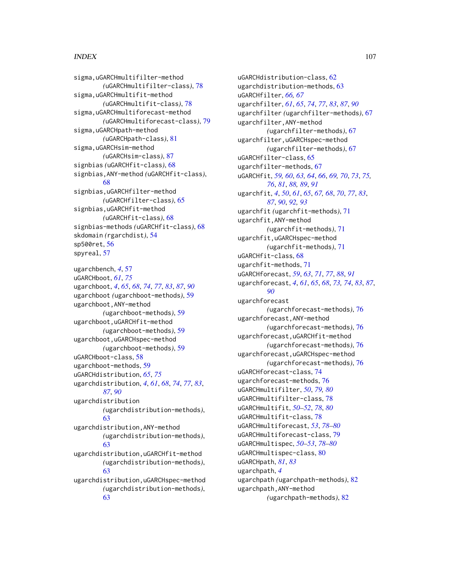# INDEX  $107$

```
sigma,uGARCHmultifilter-method
        (uGARCHmultifilter-class), 78
sigma,uGARCHmultifit-method
        (uGARCHmultifit-class), 78
sigma,uGARCHmultiforecast-method
        (uGARCHmultiforecast-class), 79
sigma,uGARCHpath-method
        (uGARCHpath-class), 81
sigma,uGARCHsim-method
        (uGARCHsim-class), 87
signbias (uGARCHfit-class), 68
signbias,ANY-method (uGARCHfit-class),
        68
signbias,uGARCHfilter-method
        (uGARCHfilter-class), 65
signbias,uGARCHfit-method
        (uGARCHfit-class), 68
signbias-methods (uGARCHfit-class), 68
skdomain (rgarchdist), 54
sp500ret, 56
spyreal, 57
```
ugarchbench, *[4](#page-3-0)*, [57](#page-56-0) uGARCHboot, *[61](#page-60-0)*, *[75](#page-74-0)* ugarchboot, *[4](#page-3-0)*, *[65](#page-64-0)*, *[68](#page-67-1)*, *[74](#page-73-1)*, *[77](#page-76-0)*, *[83](#page-82-2)*, *[87](#page-86-1)*, *[90](#page-89-2)* ugarchboot *(*ugarchboot-methods*)*, [59](#page-58-1) ugarchboot,ANY-method *(*ugarchboot-methods*)*, [59](#page-58-1) ugarchboot,uGARCHfit-method *(*ugarchboot-methods*)*, [59](#page-58-1) ugarchboot,uGARCHspec-method *(*ugarchboot-methods*)*, [59](#page-58-1) uGARCHboot-class, [58](#page-57-1) ugarchboot-methods, [59](#page-58-1) uGARCHdistribution, *[65](#page-64-0)*, *[75](#page-74-0)* ugarchdistribution, *[4](#page-3-0)*, *[61](#page-60-0)*, *[68](#page-67-1)*, *[74](#page-73-1)*, *[77](#page-76-0)*, *[83](#page-82-2)*, *[87](#page-86-1)*, *[90](#page-89-2)* ugarchdistribution *(*ugarchdistribution-methods*)*, [63](#page-62-1) ugarchdistribution,ANY-method *(*ugarchdistribution-methods*)*, [63](#page-62-1) ugarchdistribution,uGARCHfit-method *(*ugarchdistribution-methods*)*, [63](#page-62-1) ugarchdistribution,uGARCHspec-method *(*ugarchdistribution-methods*)*, [63](#page-62-1)

uGARCHdistribution-class, [62](#page-61-1) ugarchdistribution-methods, [63](#page-62-1) uGARCHfilter, *[66,](#page-65-0) [67](#page-66-1)* ugarchfilter, *[61](#page-60-0)*, *[65](#page-64-0)*, *[74](#page-73-1)*, *[77](#page-76-0)*, *[83](#page-82-2)*, *[87](#page-86-1)*, *[90](#page-89-2)* ugarchfilter *(*ugarchfilter-methods*)*, [67](#page-66-1) ugarchfilter,ANY-method *(*ugarchfilter-methods*)*, [67](#page-66-1) ugarchfilter,uGARCHspec-method *(*ugarchfilter-methods*)*, [67](#page-66-1) uGARCHfilter-class, [65](#page-64-0) ugarchfilter-methods, [67](#page-66-1) uGARCHfit, *[59,](#page-58-1) [60](#page-59-0)*, *[63,](#page-62-1) [64](#page-63-0)*, *[66](#page-65-0)*, *[69,](#page-68-0) [70](#page-69-0)*, *[73](#page-72-0)*, *[75,](#page-74-0) [76](#page-75-1)*, *[81](#page-80-1)*, *[88,](#page-87-1) [89](#page-88-0)*, *[91](#page-90-1)* ugarchfit, *[4](#page-3-0)*, *[50](#page-49-0)*, *[61](#page-60-0)*, *[65](#page-64-0)*, *[67,](#page-66-1) [68](#page-67-1)*, *[70](#page-69-0)*, *[77](#page-76-0)*, *[83](#page-82-2)*, *[87](#page-86-1)*, *[90](#page-89-2)*, *[92,](#page-91-0) [93](#page-92-0)* ugarchfit *(*ugarchfit-methods*)*, [71](#page-70-1) ugarchfit,ANY-method *(*ugarchfit-methods*)*, [71](#page-70-1) ugarchfit,uGARCHspec-method *(*ugarchfit-methods*)*, [71](#page-70-1) uGARCHfit-class, [68](#page-67-1) ugarchfit-methods, [71](#page-70-1) uGARCHforecast, *[59](#page-58-1)*, *[63](#page-62-1)*, *[71](#page-70-1)*, *[77](#page-76-0)*, *[88](#page-87-1)*, *[91](#page-90-1)* ugarchforecast, *[4](#page-3-0)*, *[61](#page-60-0)*, *[65](#page-64-0)*, *[68](#page-67-1)*, *[73,](#page-72-0) [74](#page-73-1)*, *[83](#page-82-2)*, *[87](#page-86-1)*, *[90](#page-89-2)* ugarchforecast *(*ugarchforecast-methods*)*, [76](#page-75-1) ugarchforecast,ANY-method *(*ugarchforecast-methods*)*, [76](#page-75-1) ugarchforecast,uGARCHfit-method *(*ugarchforecast-methods*)*, [76](#page-75-1) ugarchforecast,uGARCHspec-method *(*ugarchforecast-methods*)*, [76](#page-75-1) uGARCHforecast-class, [74](#page-73-1) ugarchforecast-methods, [76](#page-75-1) uGARCHmultifilter, *[50](#page-49-0)*, *[79,](#page-78-1) [80](#page-79-1)* uGARCHmultifilter-class, [78](#page-77-2) uGARCHmultifit, *[50](#page-49-0)[–52](#page-51-0)*, *[78](#page-77-2)*, *[80](#page-79-1)* uGARCHmultifit-class, [78](#page-77-2) uGARCHmultiforecast, *[53](#page-52-0)*, *[78](#page-77-2)[–80](#page-79-1)* uGARCHmultiforecast-class, [79](#page-78-1) uGARCHmultispec, *[50](#page-49-0)[–53](#page-52-0)*, *[78](#page-77-2)[–80](#page-79-1)* uGARCHmultispec-class, [80](#page-79-1) uGARCHpath, *[81](#page-80-1)*, *[83](#page-82-2)* ugarchpath, *[4](#page-3-0)* ugarchpath *(*ugarchpath-methods*)*, [82](#page-81-0) ugarchpath,ANY-method *(*ugarchpath-methods*)*, [82](#page-81-0)